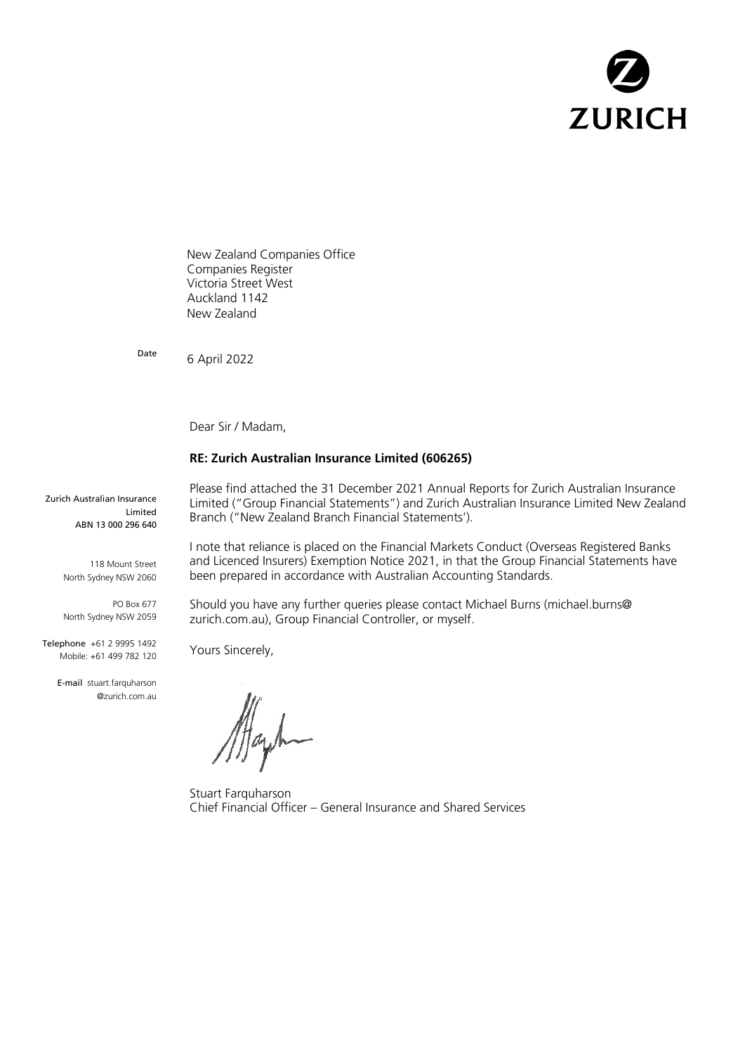

New Zealand Companies Office Companies Register Victoria Street West Auckland 1142 New Zealand

Date 6 April 2022

Dear Sir / Madam,

### **RE: Zurich Australian Insurance Limited (606265)**

Zurich Australian Insurance Limited ABN 13 000 296 640

> 118 Mount Street North Sydney NSW 2060

> PO Box 677 North Sydney NSW 2059

Telephone +61 2 9995 1492 Mobile: +61 499 782 120

> E-mail stuart.farquharson @zurich.com.au

Please find attached the 31 December 2021 Annual Reports for Zurich Australian Insurance Limited ("Group Financial Statements") and Zurich Australian Insurance Limited New Zealand Branch ("New Zealand Branch Financial Statements').

I note that reliance is placed on the Financial Markets Conduct (Overseas Registered Banks and Licenced Insurers) Exemption Notice 2021, in that the Group Financial Statements have been prepared in accordance with Australian Accounting Standards.

Should you have any further queries please contact Michael Burns (michael.burns@ zurich.com.au), Group Financial Controller, or myself.

Yours Sincerely,

Stuart Farquharson Chief Financial Officer – General Insurance and Shared Services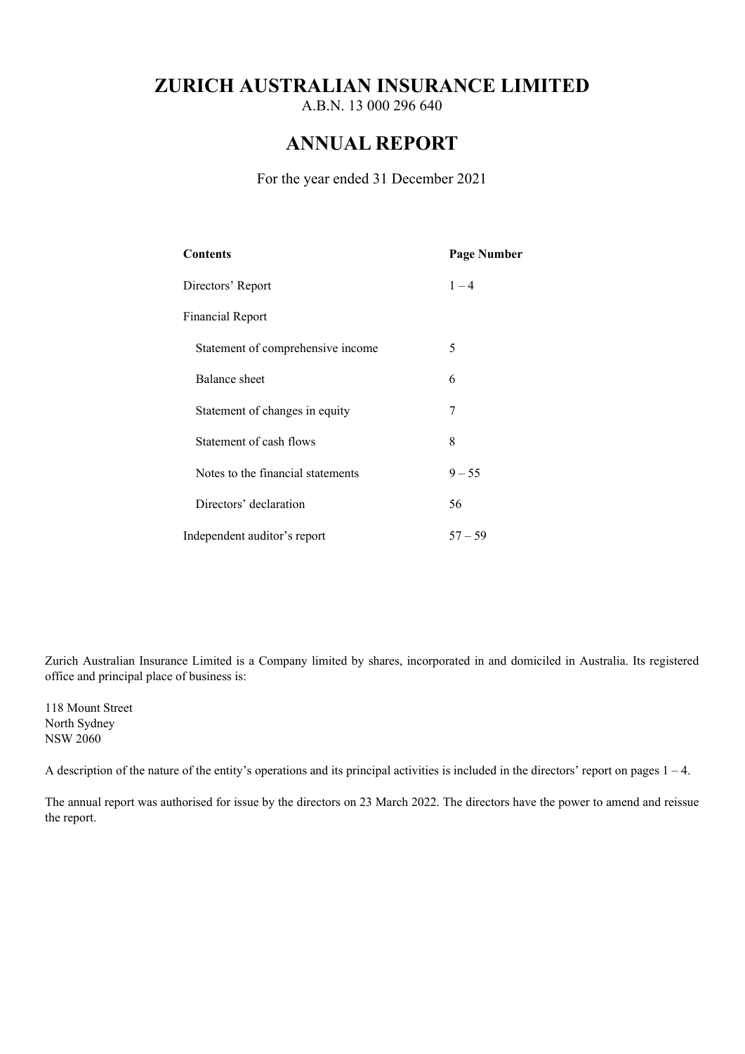A.B.N. 13 000 296 640

# **ANNUAL REPORT**

For the year ended 31 December 2021

| <b>Contents</b>                   | <b>Page Number</b> |
|-----------------------------------|--------------------|
| Directors' Report                 | $1 - 4$            |
| <b>Financial Report</b>           |                    |
| Statement of comprehensive income | 5                  |
| Balance sheet                     | 6                  |
| Statement of changes in equity    | 7                  |
| Statement of cash flows           | 8                  |
| Notes to the financial statements | $9 - 55$           |
| Directors' declaration            | 56                 |
| Independent auditor's report      | $57 - 59$          |

Zurich Australian Insurance Limited is a Company limited by shares, incorporated in and domiciled in Australia. Its registered office and principal place of business is:

118 Mount Street North Sydney NSW 2060

A description of the nature of the entity's operations and its principal activities is included in the directors' report on pages 1 – 4.

The annual report was authorised for issue by the directors on 23 March 2022. The directors have the power to amend and reissue the report.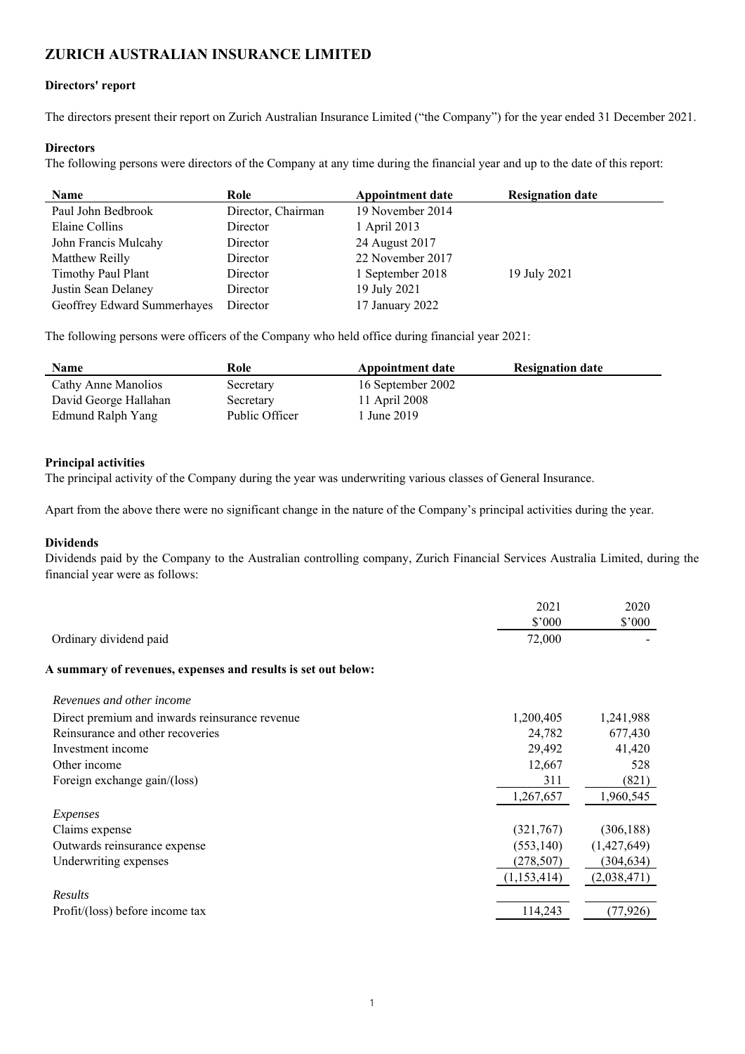### **Directors' report**

The directors present their report on Zurich Australian Insurance Limited ("the Company") for the year ended 31 December 2021.

### **Directors**

The following persons were directors of the Company at any time during the financial year and up to the date of this report:

| Name                        | Role               | <b>Appointment date</b> | <b>Resignation date</b> |
|-----------------------------|--------------------|-------------------------|-------------------------|
| Paul John Bedbrook          | Director, Chairman | 19 November 2014        |                         |
| Elaine Collins              | Director           | 1 April 2013            |                         |
| John Francis Mulcahy        | Director           | 24 August 2017          |                         |
| Matthew Reilly              | Director           | 22 November 2017        |                         |
| Timothy Paul Plant          | Director           | 1 September 2018        | 19 July 2021            |
| Justin Sean Delaney         | Director           | 19 July 2021            |                         |
| Geoffrey Edward Summerhayes | Director           | 17 January 2022         |                         |

The following persons were officers of the Company who held office during financial year 2021:

| <b>Name</b>           | Role           | Appointment date  | <b>Resignation date</b> |
|-----------------------|----------------|-------------------|-------------------------|
| Cathy Anne Manolios   | Secretary      | 16 September 2002 |                         |
| David George Hallahan | Secretary      | 11 April 2008     |                         |
| Edmund Ralph Yang     | Public Officer | 1 June 2019       |                         |

### **Principal activities**

The principal activity of the Company during the year was underwriting various classes of General Insurance.

Apart from the above there were no significant change in the nature of the Company's principal activities during the year.

### **Dividends**

Dividends paid by the Company to the Australian controlling company, Zurich Financial Services Australia Limited, during the financial year were as follows:

|                                                               | 2021           | 2020        |
|---------------------------------------------------------------|----------------|-------------|
|                                                               | $$^{\circ}000$ | \$'000      |
| Ordinary dividend paid                                        | 72,000         |             |
| A summary of revenues, expenses and results is set out below: |                |             |
| Revenues and other income                                     |                |             |
| Direct premium and inwards reinsurance revenue                | 1,200,405      | 1,241,988   |
| Reinsurance and other recoveries                              | 24,782         | 677,430     |
| Investment income                                             | 29,492         | 41,420      |
| Other income                                                  | 12,667         | 528         |
| Foreign exchange gain/(loss)                                  | 311            | (821)       |
|                                                               | 1,267,657      | 1,960,545   |
| Expenses                                                      |                |             |
| Claims expense                                                | (321,767)      | (306, 188)  |
| Outwards reinsurance expense                                  | (553, 140)     | (1,427,649) |
| Underwriting expenses                                         | (278, 507)     | (304, 634)  |
|                                                               | (1,153,414)    | (2,038,471) |
| <b>Results</b>                                                |                |             |
| Profit/(loss) before income tax                               | 114,243        | (77, 926)   |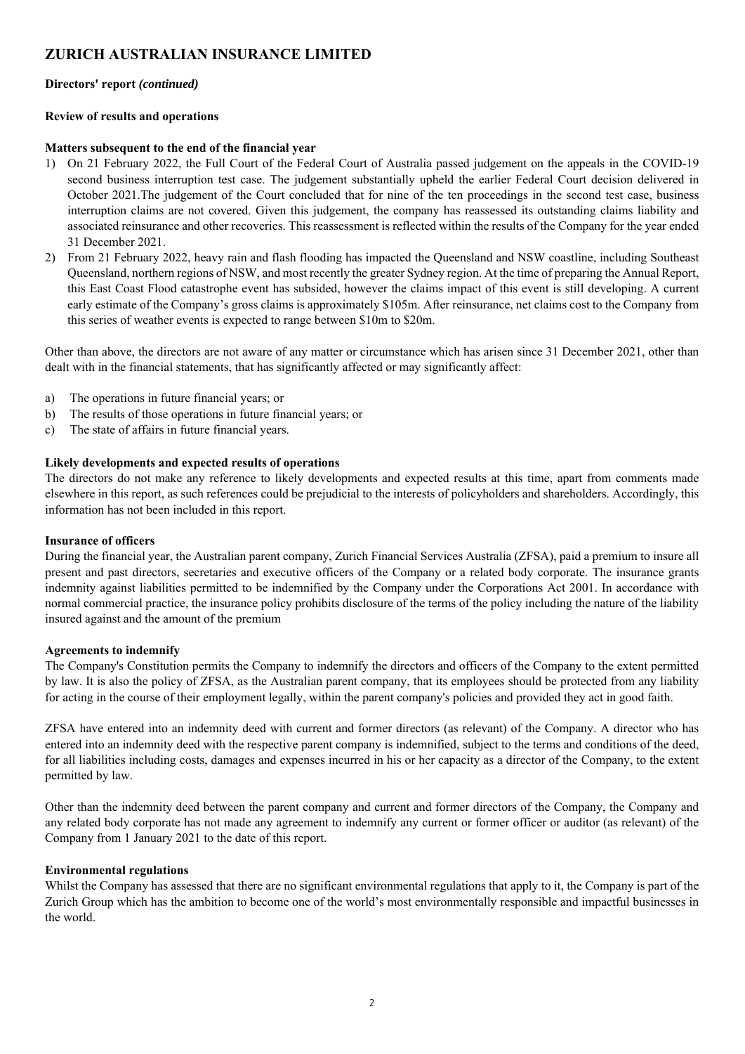### **Directors' report** *(continued)*

### **Review of results and operations**

### **Matters subsequent to the end of the financial year**

- 1) On 21 February 2022, the Full Court of the Federal Court of Australia passed judgement on the appeals in the COVID-19 second business interruption test case. The judgement substantially upheld the earlier Federal Court decision delivered in October 2021.The judgement of the Court concluded that for nine of the ten proceedings in the second test case, business interruption claims are not covered. Given this judgement, the company has reassessed its outstanding claims liability and associated reinsurance and other recoveries. This reassessment is reflected within the results of the Company for the year ended 31 December 2021.
- 2) From 21 February 2022, heavy rain and flash flooding has impacted the Queensland and NSW coastline, including Southeast Queensland, northern regions of NSW, and most recently the greater Sydney region. At the time of preparing the Annual Report, this East Coast Flood catastrophe event has subsided, however the claims impact of this event is still developing. A current early estimate of the Company's gross claims is approximately \$105m. After reinsurance, net claims cost to the Company from this series of weather events is expected to range between \$10m to \$20m.

Other than above, the directors are not aware of any matter or circumstance which has arisen since 31 December 2021, other than dealt with in the financial statements, that has significantly affected or may significantly affect:

- a) The operations in future financial years; or
- b) The results of those operations in future financial years; or
- c) The state of affairs in future financial years.

### **Likely developments and expected results of operations**

The directors do not make any reference to likely developments and expected results at this time, apart from comments made elsewhere in this report, as such references could be prejudicial to the interests of policyholders and shareholders. Accordingly, this information has not been included in this report.

#### **Insurance of officers**

During the financial year, the Australian parent company, Zurich Financial Services Australia (ZFSA), paid a premium to insure all present and past directors, secretaries and executive officers of the Company or a related body corporate. The insurance grants indemnity against liabilities permitted to be indemnified by the Company under the Corporations Act 2001. In accordance with normal commercial practice, the insurance policy prohibits disclosure of the terms of the policy including the nature of the liability insured against and the amount of the premium

#### **Agreements to indemnify**

The Company's Constitution permits the Company to indemnify the directors and officers of the Company to the extent permitted by law. It is also the policy of ZFSA, as the Australian parent company, that its employees should be protected from any liability for acting in the course of their employment legally, within the parent company's policies and provided they act in good faith.

ZFSA have entered into an indemnity deed with current and former directors (as relevant) of the Company. A director who has entered into an indemnity deed with the respective parent company is indemnified, subject to the terms and conditions of the deed, for all liabilities including costs, damages and expenses incurred in his or her capacity as a director of the Company, to the extent permitted by law.

Other than the indemnity deed between the parent company and current and former directors of the Company, the Company and any related body corporate has not made any agreement to indemnify any current or former officer or auditor (as relevant) of the Company from 1 January 2021 to the date of this report.

#### **Environmental regulations**

Whilst the Company has assessed that there are no significant environmental regulations that apply to it, the Company is part of the Zurich Group which has the ambition to become one of the world's most environmentally responsible and impactful businesses in the world.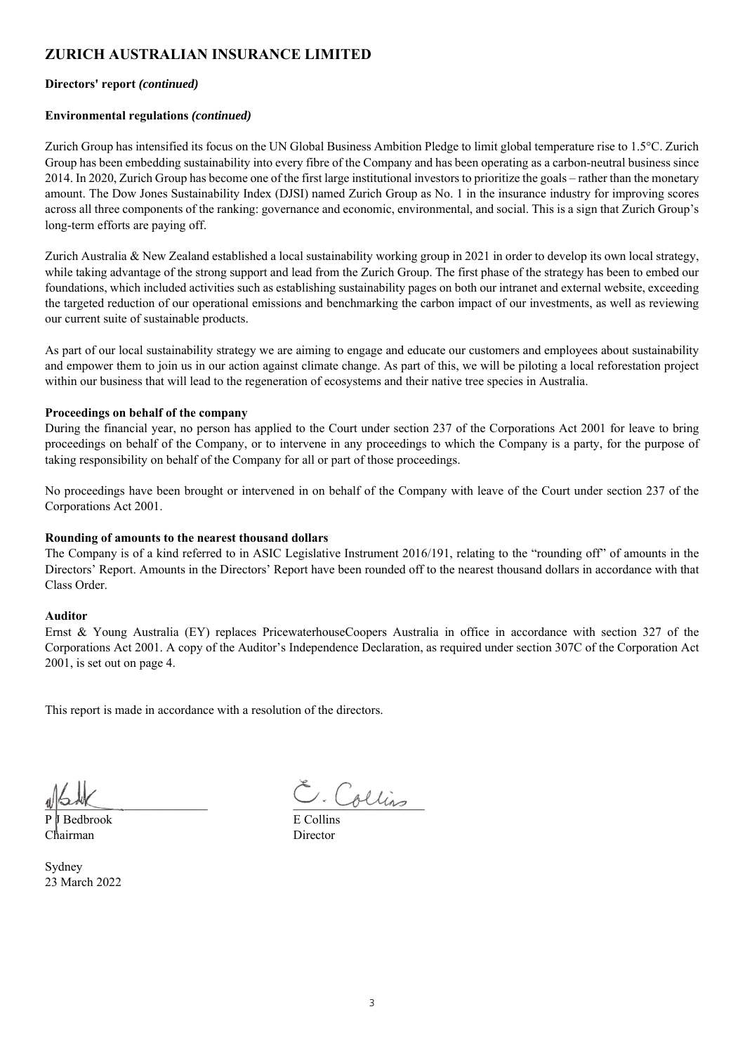### **Directors' report** *(continued)*

### **Environmental regulations** *(continued)*

Zurich Group has intensified its focus on the UN Global Business Ambition Pledge to limit global temperature rise to 1.5°C. Zurich Group has been embedding sustainability into every fibre of the Company and has been operating as a carbon-neutral business since 2014. In 2020, Zurich Group has become one of the first large institutional investors to prioritize the goals – rather than the monetary amount. The Dow Jones Sustainability Index (DJSI) named Zurich Group as No. 1 in the insurance industry for improving scores across all three components of the ranking: governance and economic, environmental, and social. This is a sign that Zurich Group's long-term efforts are paying off.

Zurich Australia & New Zealand established a local sustainability working group in 2021 in order to develop its own local strategy, while taking advantage of the strong support and lead from the Zurich Group. The first phase of the strategy has been to embed our foundations, which included activities such as establishing sustainability pages on both our intranet and external website, exceeding the targeted reduction of our operational emissions and benchmarking the carbon impact of our investments, as well as reviewing our current suite of sustainable products.

As part of our local sustainability strategy we are aiming to engage and educate our customers and employees about sustainability and empower them to join us in our action against climate change. As part of this, we will be piloting a local reforestation project within our business that will lead to the regeneration of ecosystems and their native tree species in Australia.

### **Proceedings on behalf of the company**

During the financial year, no person has applied to the Court under section 237 of the Corporations Act 2001 for leave to bring proceedings on behalf of the Company, or to intervene in any proceedings to which the Company is a party, for the purpose of taking responsibility on behalf of the Company for all or part of those proceedings.

No proceedings have been brought or intervened in on behalf of the Company with leave of the Court under section 237 of the Corporations Act 2001.

#### **Rounding of amounts to the nearest thousand dollars**

The Company is of a kind referred to in ASIC Legislative Instrument 2016/191, relating to the "rounding off" of amounts in the Directors' Report. Amounts in the Directors' Report have been rounded off to the nearest thousand dollars in accordance with that Class Order.

# **Auditor**

Ernst & Young Australia (EY) replaces PricewaterhouseCoopers Australia in office in accordance with section 327 of the Corporations Act 2001. A copy of the Auditor's Independence Declaration, as required under section 307C of the Corporation Act 2001, is set out on page 4.

This report is made in accordance with a resolution of the directors.

Bedbrook E Collins Chairman Director

Sydney 23 March 2022

 $\stackrel{\ast}{\smile}$ . Collis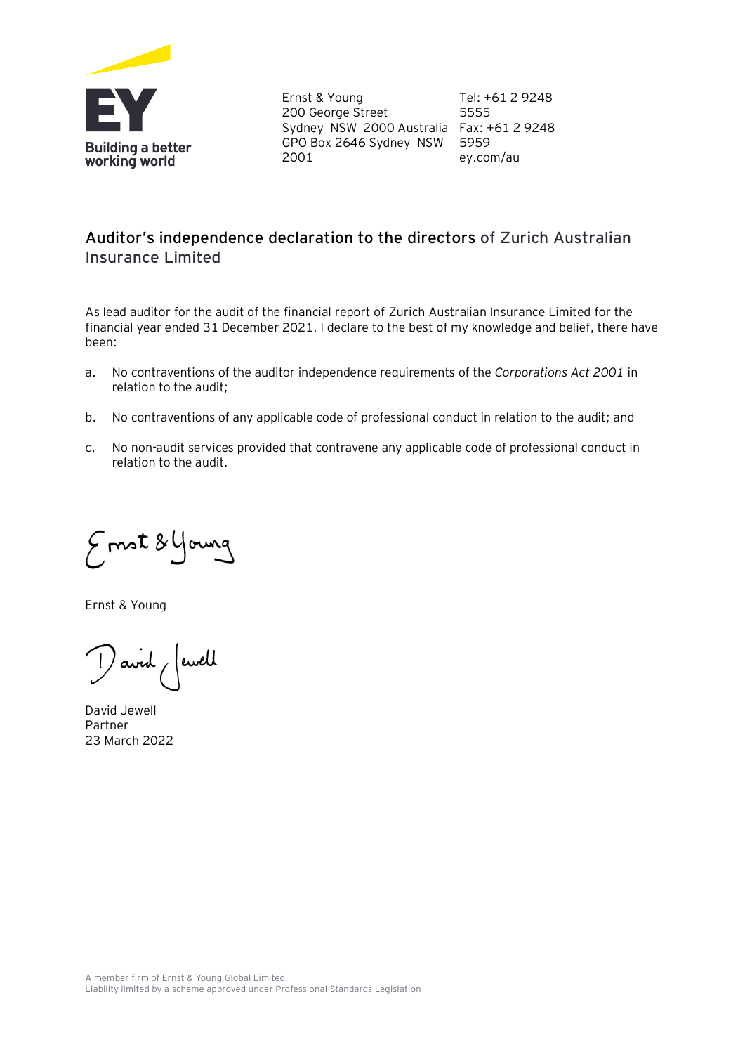

Ernst & Young 200 George Street Sydney NSW 2000 Australia Fax: +61 2 9248 GPO Box 2646 Sydney NSW 5959 2001 5555

Tel: +61 2 9248 ey.com/au

# **Auditor's independence declaration to the directors of Zurich Australian Insurance Limited**

As lead auditor for the audit of the financial report of Zurich Australian Insurance Limited for the financial year ended 31 December 2021, I declare to the best of my knowledge and belief, there have been:

- a. No contraventions of the auditor independence requirements of the *Corporations Act 2001* in relation to the audit;
- b. No contraventions of any applicable code of professional conduct in relation to the audit; and
- c. No non-audit services provided that contravene any applicable code of professional conduct in relation to the audit.

Emst & Young

Ernst & Young

1) avril (ewell

David Jewell Partner 23 March 2022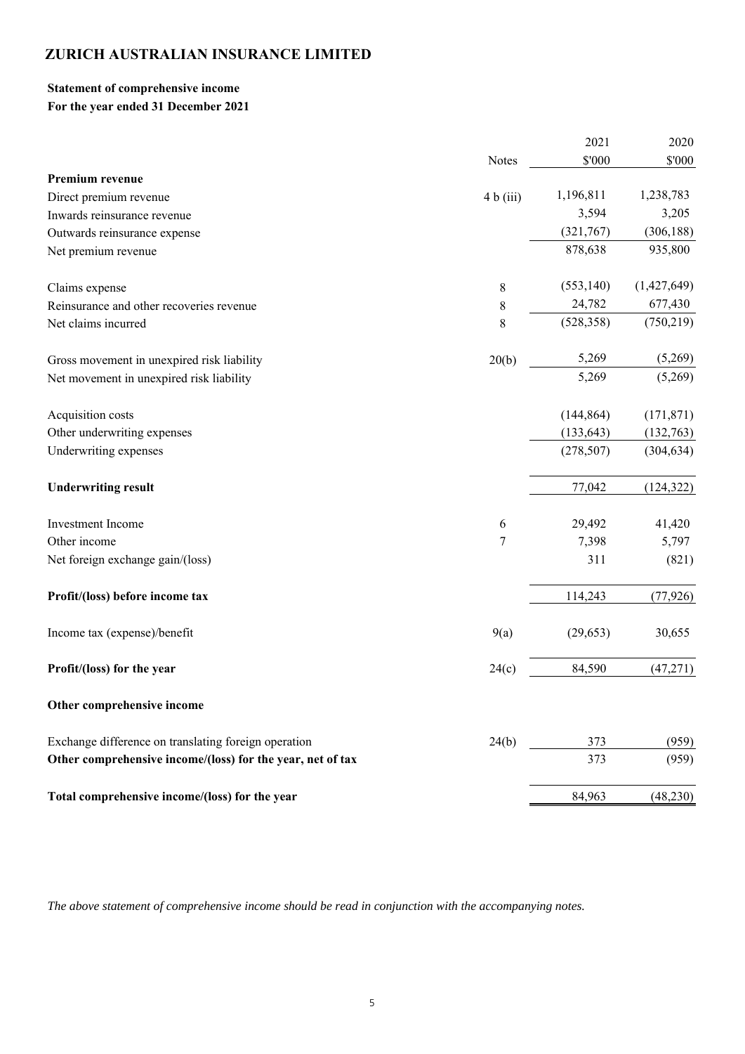# **Statement of comprehensive income For the year ended 31 December 2021**

|                                                            |           | 2021       | 2020        |
|------------------------------------------------------------|-----------|------------|-------------|
|                                                            | Notes     | \$'000     | \$'000      |
| Premium revenue                                            |           |            |             |
| Direct premium revenue                                     | 4 b (iii) | 1,196,811  | 1,238,783   |
| Inwards reinsurance revenue                                |           | 3,594      | 3,205       |
| Outwards reinsurance expense                               |           | (321,767)  | (306, 188)  |
| Net premium revenue                                        |           | 878,638    | 935,800     |
| Claims expense                                             | 8         | (553, 140) | (1,427,649) |
| Reinsurance and other recoveries revenue                   | 8         | 24,782     | 677,430     |
| Net claims incurred                                        | 8         | (528, 358) | (750, 219)  |
| Gross movement in unexpired risk liability                 | 20(b)     | 5,269      | (5,269)     |
| Net movement in unexpired risk liability                   |           | 5,269      | (5,269)     |
| Acquisition costs                                          |           | (144, 864) | (171, 871)  |
| Other underwriting expenses                                |           | (133, 643) | (132,763)   |
| Underwriting expenses                                      |           | (278, 507) | (304, 634)  |
| <b>Underwriting result</b>                                 |           | 77,042     | (124, 322)  |
| Investment Income                                          | 6         | 29,492     | 41,420      |
| Other income                                               | 7         | 7,398      | 5,797       |
| Net foreign exchange gain/(loss)                           |           | 311        | (821)       |
| Profit/(loss) before income tax                            |           | 114,243    | (77, 926)   |
| Income tax (expense)/benefit                               | 9(a)      | (29, 653)  | 30,655      |
| Profit/(loss) for the year                                 | 24(c)     | 84,590     | (47, 271)   |
| Other comprehensive income                                 |           |            |             |
| Exchange difference on translating foreign operation       | 24(b)     | 373        | (959)       |
|                                                            |           |            |             |
| Other comprehensive income/(loss) for the year, net of tax |           | 373        | (959)       |

*The above statement of comprehensive income should be read in conjunction with the accompanying notes.*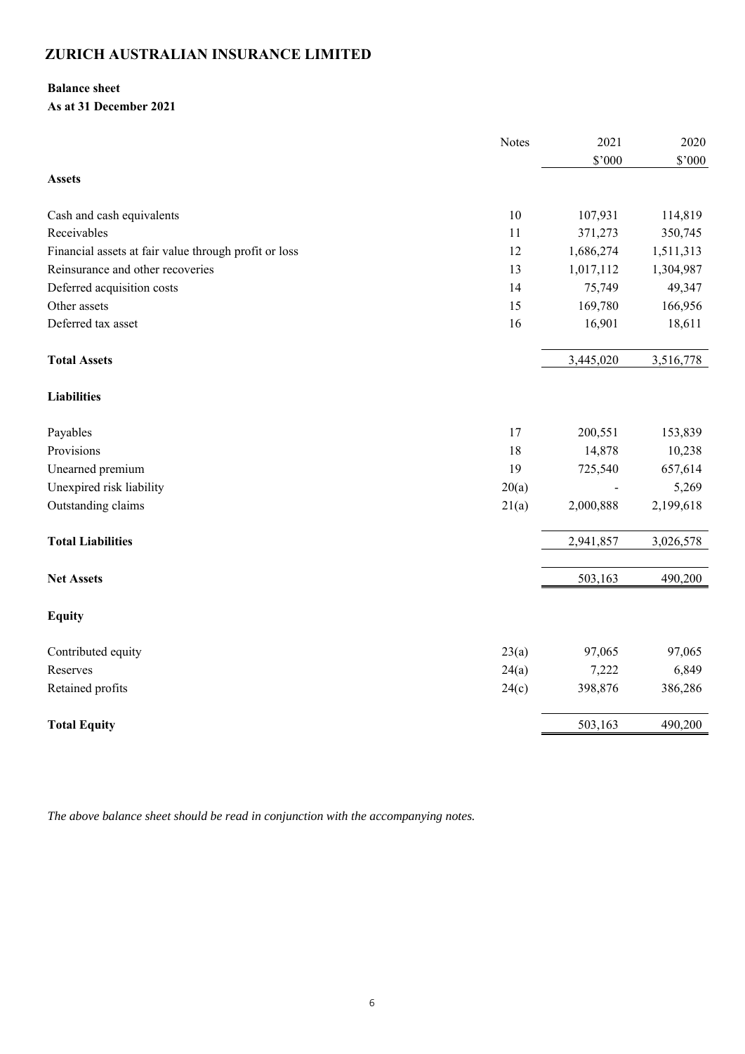# **Balance sheet**

**As at 31 December 2021** 

|                                                       | Notes | 2021      | 2020      |
|-------------------------------------------------------|-------|-----------|-----------|
|                                                       |       | \$'000    | \$'000    |
| <b>Assets</b>                                         |       |           |           |
| Cash and cash equivalents                             | 10    | 107,931   | 114,819   |
| Receivables                                           | 11    | 371,273   | 350,745   |
| Financial assets at fair value through profit or loss | 12    | 1,686,274 | 1,511,313 |
| Reinsurance and other recoveries                      | 13    | 1,017,112 | 1,304,987 |
| Deferred acquisition costs                            | 14    | 75,749    | 49,347    |
| Other assets                                          | 15    | 169,780   | 166,956   |
| Deferred tax asset                                    | 16    | 16,901    | 18,611    |
| <b>Total Assets</b>                                   |       | 3,445,020 | 3,516,778 |
| <b>Liabilities</b>                                    |       |           |           |
| Payables                                              | 17    | 200,551   | 153,839   |
| Provisions                                            | 18    | 14,878    | 10,238    |
| Unearned premium                                      | 19    | 725,540   | 657,614   |
| Unexpired risk liability                              | 20(a) |           | 5,269     |
| Outstanding claims                                    | 21(a) | 2,000,888 | 2,199,618 |
| <b>Total Liabilities</b>                              |       | 2,941,857 | 3,026,578 |
| <b>Net Assets</b>                                     |       | 503,163   | 490,200   |
| <b>Equity</b>                                         |       |           |           |
| Contributed equity                                    | 23(a) | 97,065    | 97,065    |
| Reserves                                              | 24(a) | 7,222     | 6,849     |
| Retained profits                                      | 24(c) | 398,876   | 386,286   |
| <b>Total Equity</b>                                   |       | 503,163   | 490,200   |

*The above balance sheet should be read in conjunction with the accompanying notes.*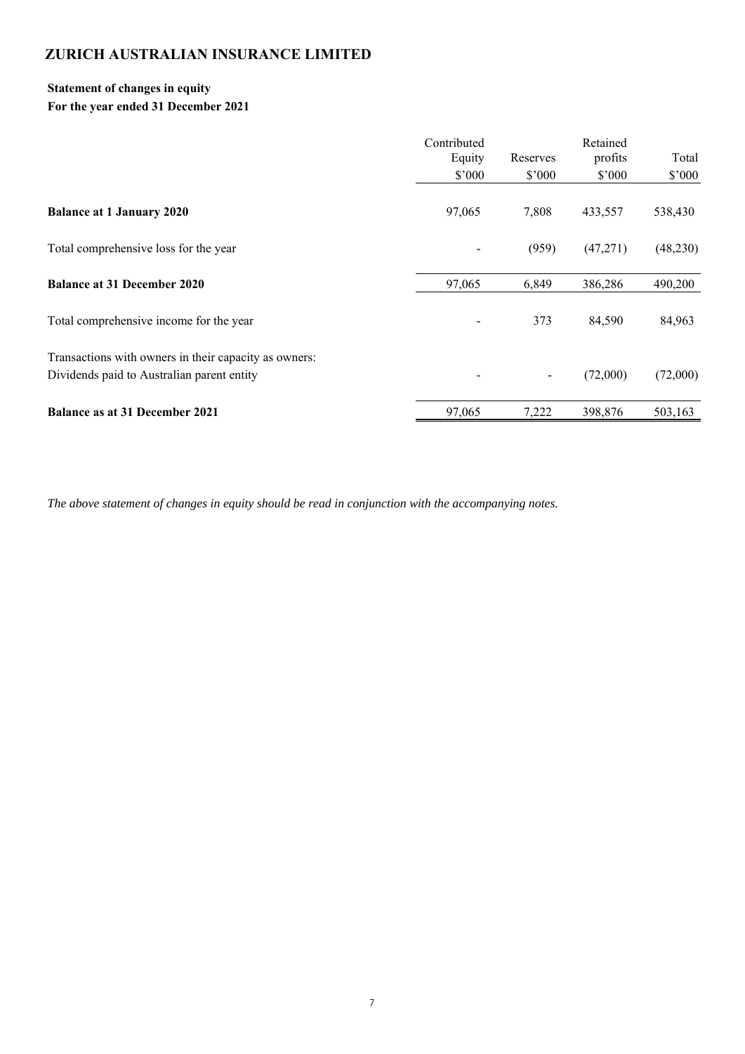# **Statement of changes in equity**

# **For the year ended 31 December 2021**

|                                                       | Contributed<br>Equity    | Reserves | Retained<br>profits | Total    |
|-------------------------------------------------------|--------------------------|----------|---------------------|----------|
|                                                       | \$'000                   | \$'000   | $$^{\circ}000$      | \$'000   |
| <b>Balance at 1 January 2020</b>                      | 97,065                   | 7,808    | 433,557             | 538,430  |
| Total comprehensive loss for the year                 |                          | (959)    | (47,271)            | (48,230) |
| <b>Balance at 31 December 2020</b>                    | 97,065                   | 6,849    | 386,286             | 490,200  |
| Total comprehensive income for the year               | $\overline{\phantom{0}}$ | 373      | 84,590              | 84,963   |
| Transactions with owners in their capacity as owners: |                          |          |                     |          |
| Dividends paid to Australian parent entity            |                          |          | (72,000)            | (72,000) |
| <b>Balance as at 31 December 2021</b>                 | 97,065                   | 7,222    | 398,876             | 503,163  |

*The above statement of changes in equity should be read in conjunction with the accompanying notes.*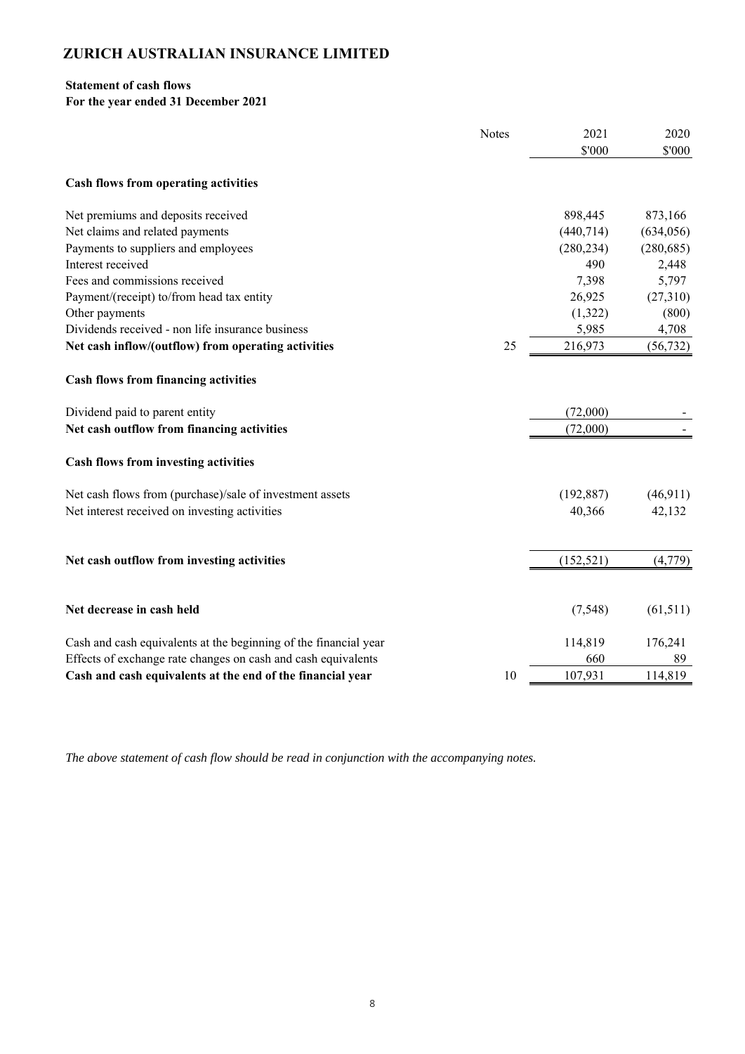### **Statement of cash flows**

**For the year ended 31 December 2021** 

|                                                                  | Notes | 2021       | 2020       |
|------------------------------------------------------------------|-------|------------|------------|
|                                                                  |       | \$'000     | \$'000     |
| Cash flows from operating activities                             |       |            |            |
| Net premiums and deposits received                               |       | 898,445    | 873,166    |
| Net claims and related payments                                  |       | (440, 714) | (634, 056) |
| Payments to suppliers and employees                              |       | (280, 234) | (280, 685) |
| Interest received                                                |       | 490        | 2,448      |
| Fees and commissions received                                    |       | 7,398      | 5,797      |
| Payment/(receipt) to/from head tax entity                        |       | 26,925     | (27,310)   |
| Other payments                                                   |       | (1,322)    | (800)      |
| Dividends received - non life insurance business                 |       | 5,985      | 4,708      |
| Net cash inflow/(outflow) from operating activities              | 25    | 216,973    | (56, 732)  |
| <b>Cash flows from financing activities</b>                      |       |            |            |
| Dividend paid to parent entity                                   |       | (72,000)   |            |
| Net cash outflow from financing activities                       |       | (72,000)   |            |
| Cash flows from investing activities                             |       |            |            |
| Net cash flows from (purchase)/sale of investment assets         |       | (192, 887) | (46, 911)  |
| Net interest received on investing activities                    |       | 40,366     | 42,132     |
|                                                                  |       |            |            |
| Net cash outflow from investing activities                       |       | (152, 521) | (4,779)    |
| Net decrease in cash held                                        |       | (7, 548)   | (61,511)   |
| Cash and cash equivalents at the beginning of the financial year |       | 114,819    | 176,241    |
| Effects of exchange rate changes on cash and cash equivalents    |       | 660        | 89         |
| Cash and cash equivalents at the end of the financial year       | 10    | 107,931    | 114,819    |

*The above statement of cash flow should be read in conjunction with the accompanying notes.*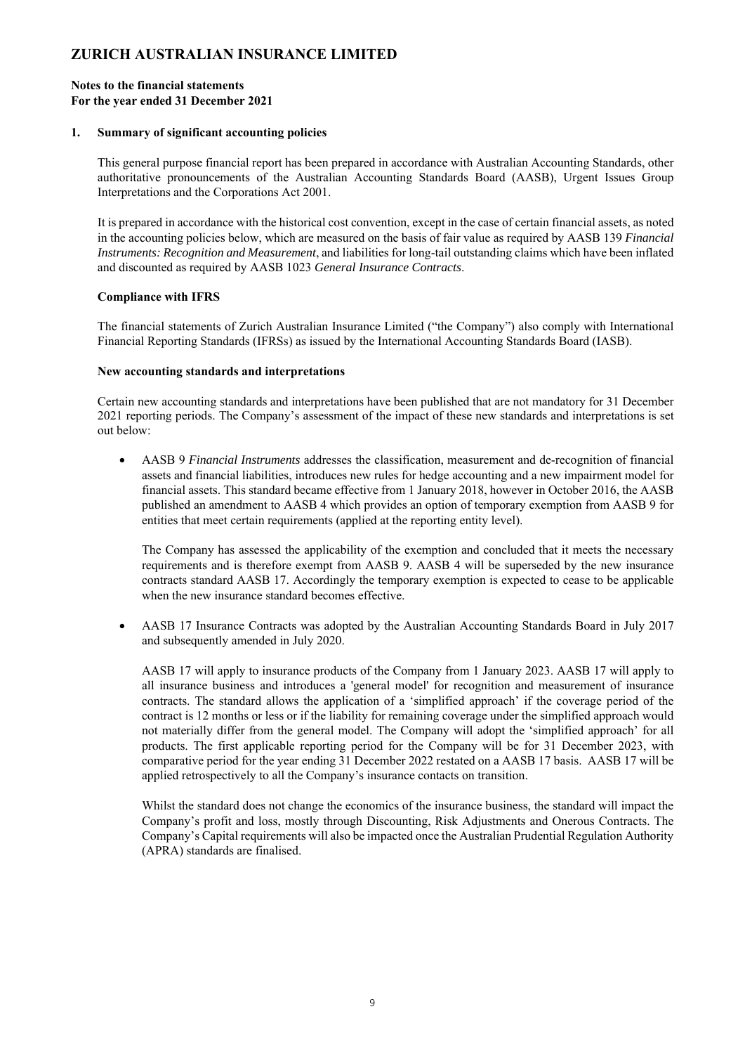# **Notes to the financial statements For the year ended 31 December 2021**

### **1. Summary of significant accounting policies**

This general purpose financial report has been prepared in accordance with Australian Accounting Standards, other authoritative pronouncements of the Australian Accounting Standards Board (AASB), Urgent Issues Group Interpretations and the Corporations Act 2001.

It is prepared in accordance with the historical cost convention, except in the case of certain financial assets, as noted in the accounting policies below, which are measured on the basis of fair value as required by AASB 139 *Financial Instruments: Recognition and Measurement*, and liabilities for long-tail outstanding claims which have been inflated and discounted as required by AASB 1023 *General Insurance Contracts*.

### **Compliance with IFRS**

The financial statements of Zurich Australian Insurance Limited ("the Company") also comply with International Financial Reporting Standards (IFRSs) as issued by the International Accounting Standards Board (IASB).

### **New accounting standards and interpretations**

Certain new accounting standards and interpretations have been published that are not mandatory for 31 December 2021 reporting periods. The Company's assessment of the impact of these new standards and interpretations is set out below:

 AASB 9 *Financial Instruments* addresses the classification, measurement and de-recognition of financial assets and financial liabilities, introduces new rules for hedge accounting and a new impairment model for financial assets. This standard became effective from 1 January 2018, however in October 2016, the AASB published an amendment to AASB 4 which provides an option of temporary exemption from AASB 9 for entities that meet certain requirements (applied at the reporting entity level).

The Company has assessed the applicability of the exemption and concluded that it meets the necessary requirements and is therefore exempt from AASB 9. AASB 4 will be superseded by the new insurance contracts standard AASB 17. Accordingly the temporary exemption is expected to cease to be applicable when the new insurance standard becomes effective.

 AASB 17 Insurance Contracts was adopted by the Australian Accounting Standards Board in July 2017 and subsequently amended in July 2020.

AASB 17 will apply to insurance products of the Company from 1 January 2023. AASB 17 will apply to all insurance business and introduces a 'general model' for recognition and measurement of insurance contracts. The standard allows the application of a 'simplified approach' if the coverage period of the contract is 12 months or less or if the liability for remaining coverage under the simplified approach would not materially differ from the general model. The Company will adopt the 'simplified approach' for all products. The first applicable reporting period for the Company will be for 31 December 2023, with comparative period for the year ending 31 December 2022 restated on a AASB 17 basis. AASB 17 will be applied retrospectively to all the Company's insurance contacts on transition.

Whilst the standard does not change the economics of the insurance business, the standard will impact the Company's profit and loss, mostly through Discounting, Risk Adjustments and Onerous Contracts. The Company's Capital requirements will also be impacted once the Australian Prudential Regulation Authority (APRA) standards are finalised.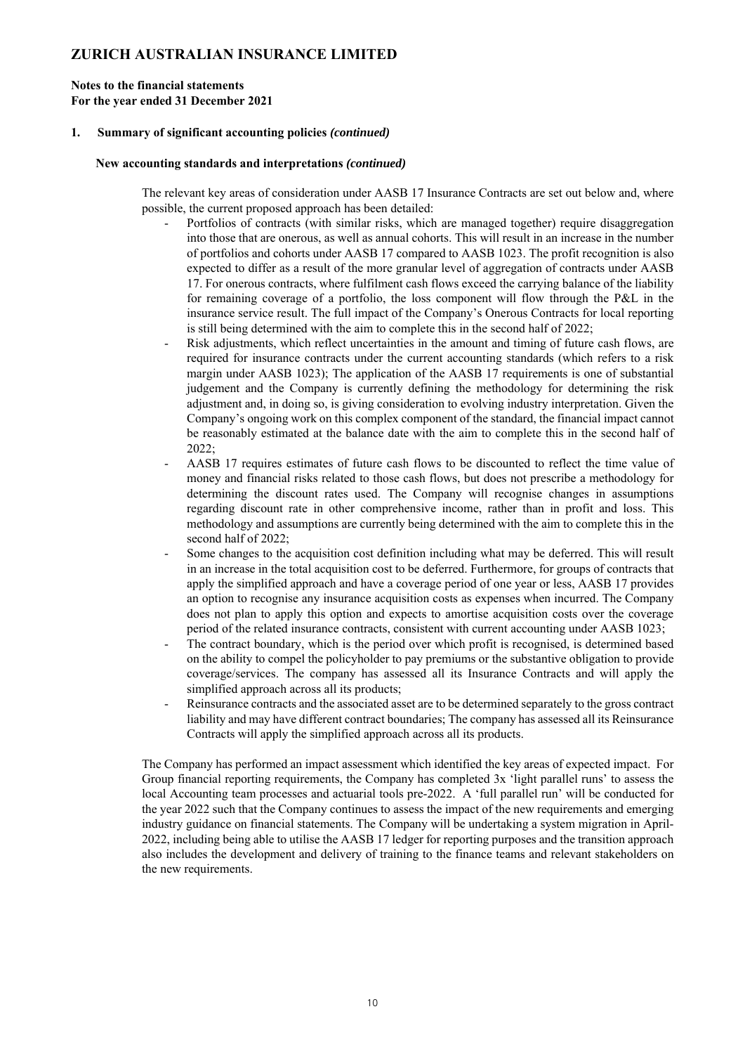### **Notes to the financial statements For the year ended 31 December 2021**

#### **1. Summary of significant accounting policies** *(continued)*

#### **New accounting standards and interpretations** *(continued)*

The relevant key areas of consideration under AASB 17 Insurance Contracts are set out below and, where possible, the current proposed approach has been detailed:

- Portfolios of contracts (with similar risks, which are managed together) require disaggregation into those that are onerous, as well as annual cohorts. This will result in an increase in the number of portfolios and cohorts under AASB 17 compared to AASB 1023. The profit recognition is also expected to differ as a result of the more granular level of aggregation of contracts under AASB 17. For onerous contracts, where fulfilment cash flows exceed the carrying balance of the liability for remaining coverage of a portfolio, the loss component will flow through the P&L in the insurance service result. The full impact of the Company's Onerous Contracts for local reporting is still being determined with the aim to complete this in the second half of 2022;
- Risk adjustments, which reflect uncertainties in the amount and timing of future cash flows, are required for insurance contracts under the current accounting standards (which refers to a risk margin under AASB 1023); The application of the AASB 17 requirements is one of substantial judgement and the Company is currently defining the methodology for determining the risk adjustment and, in doing so, is giving consideration to evolving industry interpretation. Given the Company's ongoing work on this complex component of the standard, the financial impact cannot be reasonably estimated at the balance date with the aim to complete this in the second half of 2022;
- AASB 17 requires estimates of future cash flows to be discounted to reflect the time value of money and financial risks related to those cash flows, but does not prescribe a methodology for determining the discount rates used. The Company will recognise changes in assumptions regarding discount rate in other comprehensive income, rather than in profit and loss. This methodology and assumptions are currently being determined with the aim to complete this in the second half of 2022;
- Some changes to the acquisition cost definition including what may be deferred. This will result in an increase in the total acquisition cost to be deferred. Furthermore, for groups of contracts that apply the simplified approach and have a coverage period of one year or less, AASB 17 provides an option to recognise any insurance acquisition costs as expenses when incurred. The Company does not plan to apply this option and expects to amortise acquisition costs over the coverage period of the related insurance contracts, consistent with current accounting under AASB 1023;
- The contract boundary, which is the period over which profit is recognised, is determined based on the ability to compel the policyholder to pay premiums or the substantive obligation to provide coverage/services. The company has assessed all its Insurance Contracts and will apply the simplified approach across all its products;
- Reinsurance contracts and the associated asset are to be determined separately to the gross contract liability and may have different contract boundaries; The company has assessed all its Reinsurance Contracts will apply the simplified approach across all its products.

The Company has performed an impact assessment which identified the key areas of expected impact. For Group financial reporting requirements, the Company has completed 3x 'light parallel runs' to assess the local Accounting team processes and actuarial tools pre-2022. A 'full parallel run' will be conducted for the year 2022 such that the Company continues to assess the impact of the new requirements and emerging industry guidance on financial statements. The Company will be undertaking a system migration in April-2022, including being able to utilise the AASB 17 ledger for reporting purposes and the transition approach also includes the development and delivery of training to the finance teams and relevant stakeholders on the new requirements.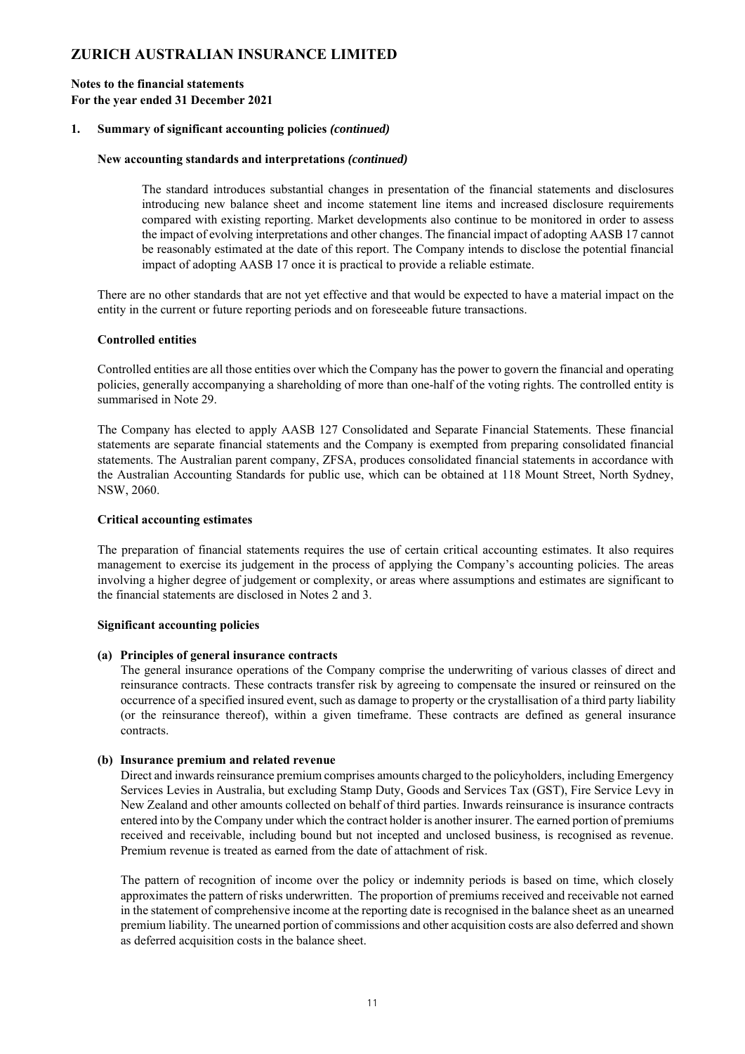# **Notes to the financial statements For the year ended 31 December 2021**

#### **1. Summary of significant accounting policies** *(continued)*

#### **New accounting standards and interpretations** *(continued)*

The standard introduces substantial changes in presentation of the financial statements and disclosures introducing new balance sheet and income statement line items and increased disclosure requirements compared with existing reporting. Market developments also continue to be monitored in order to assess the impact of evolving interpretations and other changes. The financial impact of adopting AASB 17 cannot be reasonably estimated at the date of this report. The Company intends to disclose the potential financial impact of adopting AASB 17 once it is practical to provide a reliable estimate.

There are no other standards that are not yet effective and that would be expected to have a material impact on the entity in the current or future reporting periods and on foreseeable future transactions.

#### **Controlled entities**

Controlled entities are all those entities over which the Company has the power to govern the financial and operating policies, generally accompanying a shareholding of more than one-half of the voting rights. The controlled entity is summarised in Note 29.

The Company has elected to apply AASB 127 Consolidated and Separate Financial Statements. These financial statements are separate financial statements and the Company is exempted from preparing consolidated financial statements. The Australian parent company, ZFSA, produces consolidated financial statements in accordance with the Australian Accounting Standards for public use, which can be obtained at 118 Mount Street, North Sydney, NSW, 2060.

#### **Critical accounting estimates**

The preparation of financial statements requires the use of certain critical accounting estimates. It also requires management to exercise its judgement in the process of applying the Company's accounting policies. The areas involving a higher degree of judgement or complexity, or areas where assumptions and estimates are significant to the financial statements are disclosed in Notes 2 and 3.

#### **Significant accounting policies**

#### **(a) Principles of general insurance contracts**

The general insurance operations of the Company comprise the underwriting of various classes of direct and reinsurance contracts. These contracts transfer risk by agreeing to compensate the insured or reinsured on the occurrence of a specified insured event, such as damage to property or the crystallisation of a third party liability (or the reinsurance thereof), within a given timeframe. These contracts are defined as general insurance contracts.

#### **(b) Insurance premium and related revenue**

Direct and inwards reinsurance premium comprises amounts charged to the policyholders, including Emergency Services Levies in Australia, but excluding Stamp Duty, Goods and Services Tax (GST), Fire Service Levy in New Zealand and other amounts collected on behalf of third parties. Inwards reinsurance is insurance contracts entered into by the Company under which the contract holder is another insurer. The earned portion of premiums received and receivable, including bound but not incepted and unclosed business, is recognised as revenue. Premium revenue is treated as earned from the date of attachment of risk.

The pattern of recognition of income over the policy or indemnity periods is based on time, which closely approximates the pattern of risks underwritten. The proportion of premiums received and receivable not earned in the statement of comprehensive income at the reporting date is recognised in the balance sheet as an unearned premium liability. The unearned portion of commissions and other acquisition costs are also deferred and shown as deferred acquisition costs in the balance sheet.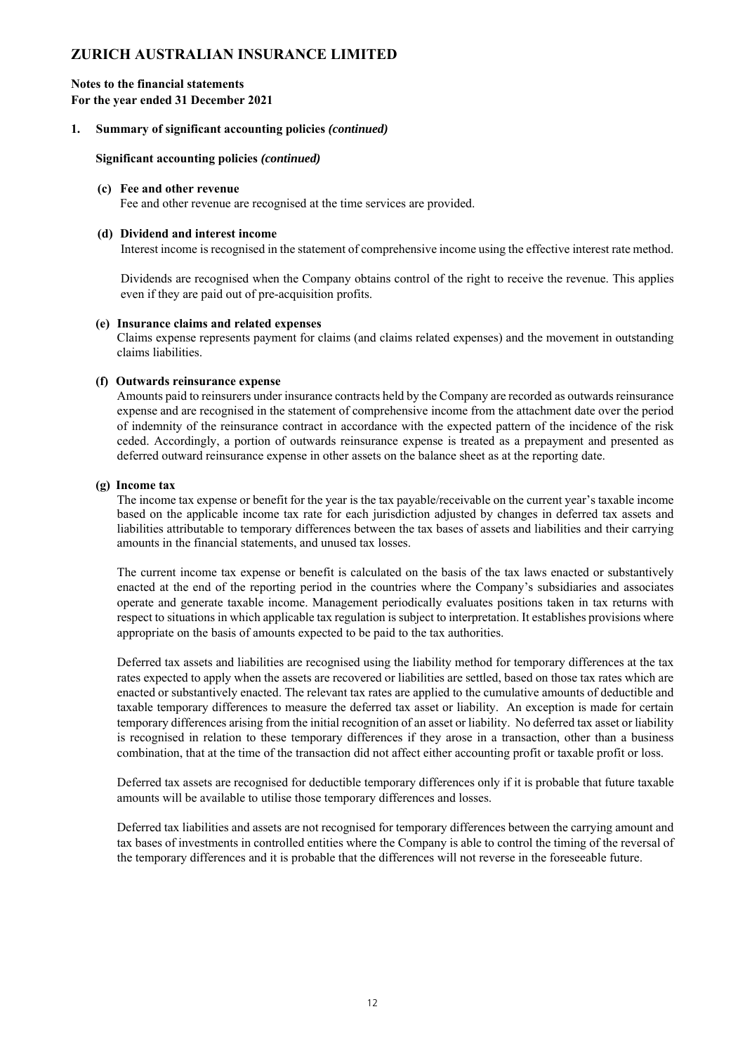### **Notes to the financial statements For the year ended 31 December 2021**

#### **1. Summary of significant accounting policies** *(continued)*

**Significant accounting policies** *(continued)* 

#### **(c) Fee and other revenue**

Fee and other revenue are recognised at the time services are provided.

#### **(d) Dividend and interest income**

Interest income is recognised in the statement of comprehensive income using the effective interest rate method.

Dividends are recognised when the Company obtains control of the right to receive the revenue. This applies even if they are paid out of pre-acquisition profits.

#### **(e) Insurance claims and related expenses**

Claims expense represents payment for claims (and claims related expenses) and the movement in outstanding claims liabilities.

#### **(f) Outwards reinsurance expense**

Amounts paid to reinsurers under insurance contracts held by the Company are recorded as outwards reinsurance expense and are recognised in the statement of comprehensive income from the attachment date over the period of indemnity of the reinsurance contract in accordance with the expected pattern of the incidence of the risk ceded. Accordingly, a portion of outwards reinsurance expense is treated as a prepayment and presented as deferred outward reinsurance expense in other assets on the balance sheet as at the reporting date.

### **(g) Income tax**

The income tax expense or benefit for the year is the tax payable/receivable on the current year's taxable income based on the applicable income tax rate for each jurisdiction adjusted by changes in deferred tax assets and liabilities attributable to temporary differences between the tax bases of assets and liabilities and their carrying amounts in the financial statements, and unused tax losses.

The current income tax expense or benefit is calculated on the basis of the tax laws enacted or substantively enacted at the end of the reporting period in the countries where the Company's subsidiaries and associates operate and generate taxable income. Management periodically evaluates positions taken in tax returns with respect to situations in which applicable tax regulation is subject to interpretation. It establishes provisions where appropriate on the basis of amounts expected to be paid to the tax authorities.

Deferred tax assets and liabilities are recognised using the liability method for temporary differences at the tax rates expected to apply when the assets are recovered or liabilities are settled, based on those tax rates which are enacted or substantively enacted. The relevant tax rates are applied to the cumulative amounts of deductible and taxable temporary differences to measure the deferred tax asset or liability. An exception is made for certain temporary differences arising from the initial recognition of an asset or liability. No deferred tax asset or liability is recognised in relation to these temporary differences if they arose in a transaction, other than a business combination, that at the time of the transaction did not affect either accounting profit or taxable profit or loss.

Deferred tax assets are recognised for deductible temporary differences only if it is probable that future taxable amounts will be available to utilise those temporary differences and losses.

Deferred tax liabilities and assets are not recognised for temporary differences between the carrying amount and tax bases of investments in controlled entities where the Company is able to control the timing of the reversal of the temporary differences and it is probable that the differences will not reverse in the foreseeable future.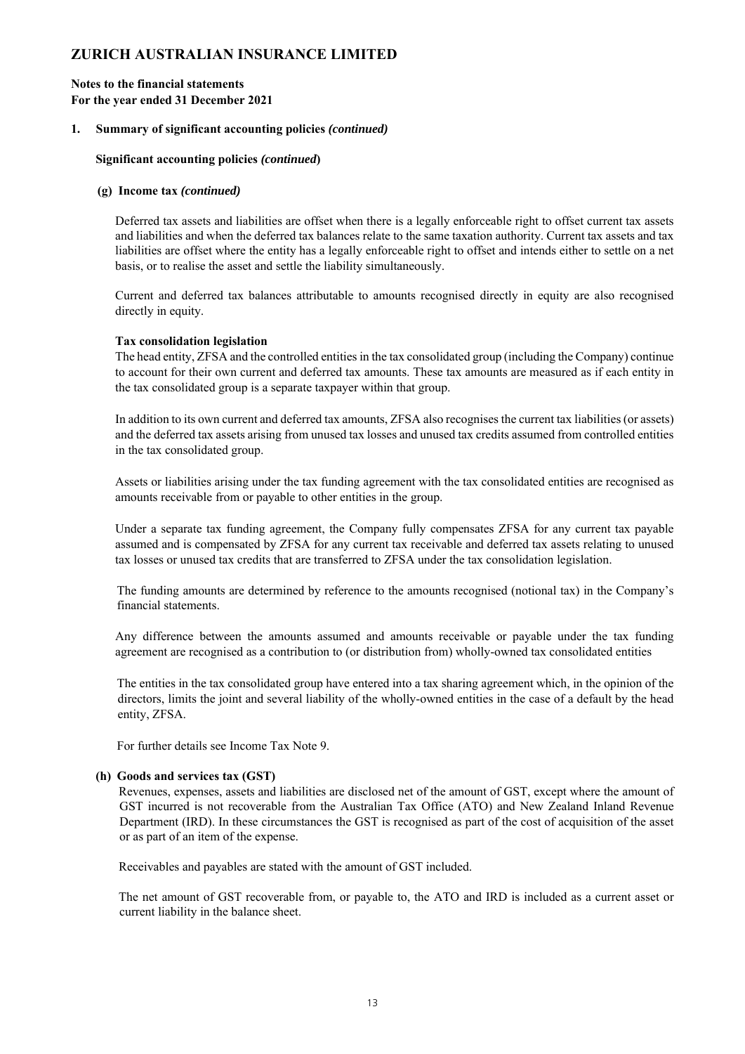# **Notes to the financial statements For the year ended 31 December 2021**

#### **1. Summary of significant accounting policies** *(continued)*

### **Significant accounting policies** *(continued***)**

### **(g) Income tax** *(continued)*

Deferred tax assets and liabilities are offset when there is a legally enforceable right to offset current tax assets and liabilities and when the deferred tax balances relate to the same taxation authority. Current tax assets and tax liabilities are offset where the entity has a legally enforceable right to offset and intends either to settle on a net basis, or to realise the asset and settle the liability simultaneously.

Current and deferred tax balances attributable to amounts recognised directly in equity are also recognised directly in equity.

### **Tax consolidation legislation**

The head entity, ZFSA and the controlled entities in the tax consolidated group (including the Company) continue to account for their own current and deferred tax amounts. These tax amounts are measured as if each entity in the tax consolidated group is a separate taxpayer within that group.

In addition to its own current and deferred tax amounts, ZFSA also recognises the current tax liabilities (or assets) and the deferred tax assets arising from unused tax losses and unused tax credits assumed from controlled entities in the tax consolidated group.

Assets or liabilities arising under the tax funding agreement with the tax consolidated entities are recognised as amounts receivable from or payable to other entities in the group.

Under a separate tax funding agreement, the Company fully compensates ZFSA for any current tax payable assumed and is compensated by ZFSA for any current tax receivable and deferred tax assets relating to unused tax losses or unused tax credits that are transferred to ZFSA under the tax consolidation legislation.

The funding amounts are determined by reference to the amounts recognised (notional tax) in the Company's financial statements.

Any difference between the amounts assumed and amounts receivable or payable under the tax funding agreement are recognised as a contribution to (or distribution from) wholly-owned tax consolidated entities

The entities in the tax consolidated group have entered into a tax sharing agreement which, in the opinion of the directors, limits the joint and several liability of the wholly-owned entities in the case of a default by the head entity, ZFSA.

For further details see Income Tax Note 9.

#### **(h) Goods and services tax (GST)**

Revenues, expenses, assets and liabilities are disclosed net of the amount of GST, except where the amount of GST incurred is not recoverable from the Australian Tax Office (ATO) and New Zealand Inland Revenue Department (IRD). In these circumstances the GST is recognised as part of the cost of acquisition of the asset or as part of an item of the expense.

Receivables and payables are stated with the amount of GST included.

The net amount of GST recoverable from, or payable to, the ATO and IRD is included as a current asset or current liability in the balance sheet.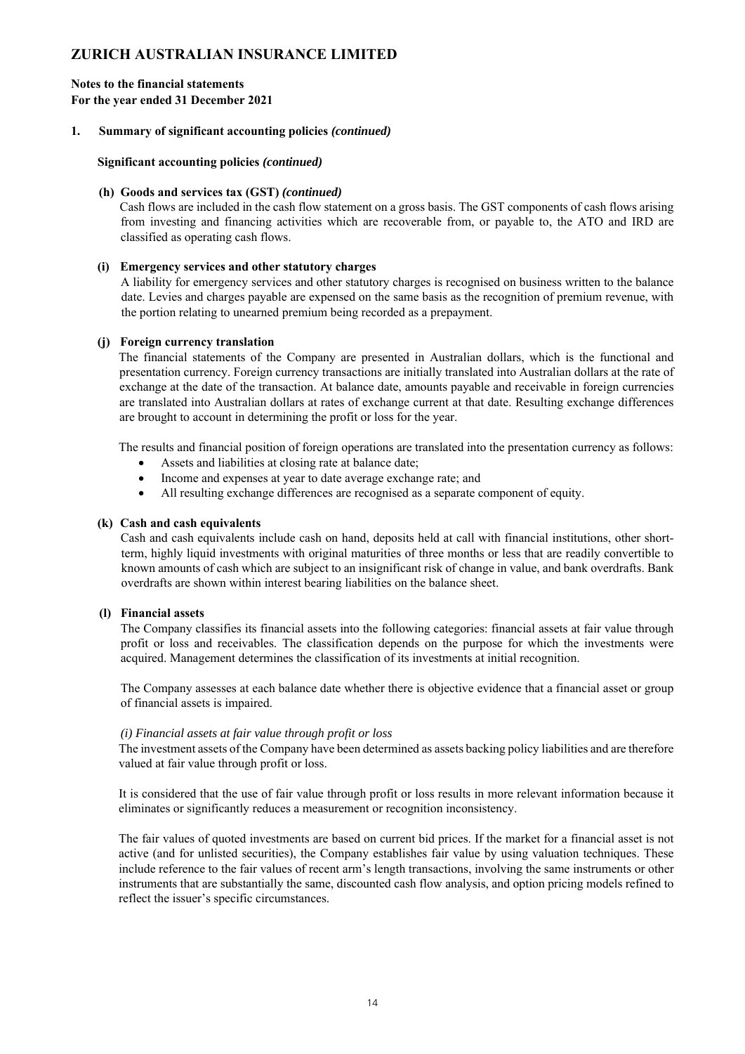### **Notes to the financial statements For the year ended 31 December 2021**

#### **1. Summary of significant accounting policies** *(continued)*

#### **Significant accounting policies** *(continued)*

#### **(h) Goods and services tax (GST)** *(continued)*

Cash flows are included in the cash flow statement on a gross basis. The GST components of cash flows arising from investing and financing activities which are recoverable from, or payable to, the ATO and IRD are classified as operating cash flows.

#### **(i) Emergency services and other statutory charges**

A liability for emergency services and other statutory charges is recognised on business written to the balance date. Levies and charges payable are expensed on the same basis as the recognition of premium revenue, with the portion relating to unearned premium being recorded as a prepayment.

#### **(j) Foreign currency translation**

The financial statements of the Company are presented in Australian dollars, which is the functional and presentation currency. Foreign currency transactions are initially translated into Australian dollars at the rate of exchange at the date of the transaction. At balance date, amounts payable and receivable in foreign currencies are translated into Australian dollars at rates of exchange current at that date. Resulting exchange differences are brought to account in determining the profit or loss for the year.

The results and financial position of foreign operations are translated into the presentation currency as follows:

- Assets and liabilities at closing rate at balance date;
- Income and expenses at year to date average exchange rate; and
- All resulting exchange differences are recognised as a separate component of equity.

#### **(k) Cash and cash equivalents**

Cash and cash equivalents include cash on hand, deposits held at call with financial institutions, other shortterm, highly liquid investments with original maturities of three months or less that are readily convertible to known amounts of cash which are subject to an insignificant risk of change in value, and bank overdrafts. Bank overdrafts are shown within interest bearing liabilities on the balance sheet.

#### **(l) Financial assets**

The Company classifies its financial assets into the following categories: financial assets at fair value through profit or loss and receivables. The classification depends on the purpose for which the investments were acquired. Management determines the classification of its investments at initial recognition.

The Company assesses at each balance date whether there is objective evidence that a financial asset or group of financial assets is impaired.

#### *(i) Financial assets at fair value through profit or loss*

The investment assets of the Company have been determined as assets backing policy liabilities and are therefore valued at fair value through profit or loss.

It is considered that the use of fair value through profit or loss results in more relevant information because it eliminates or significantly reduces a measurement or recognition inconsistency.

The fair values of quoted investments are based on current bid prices. If the market for a financial asset is not active (and for unlisted securities), the Company establishes fair value by using valuation techniques. These include reference to the fair values of recent arm's length transactions, involving the same instruments or other instruments that are substantially the same, discounted cash flow analysis, and option pricing models refined to reflect the issuer's specific circumstances.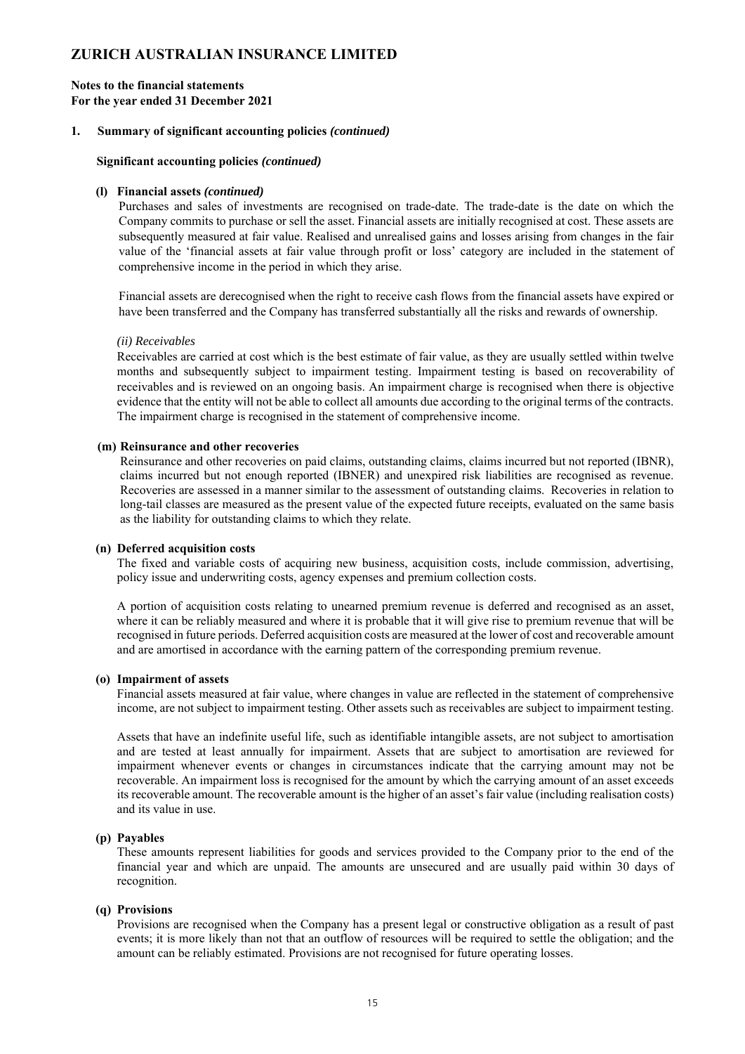### **Notes to the financial statements For the year ended 31 December 2021**

#### **1. Summary of significant accounting policies** *(continued)*

#### **Significant accounting policies** *(continued)*

#### **(l) Financial assets** *(continued)*

Purchases and sales of investments are recognised on trade-date. The trade-date is the date on which the Company commits to purchase or sell the asset. Financial assets are initially recognised at cost. These assets are subsequently measured at fair value. Realised and unrealised gains and losses arising from changes in the fair value of the 'financial assets at fair value through profit or loss' category are included in the statement of comprehensive income in the period in which they arise.

Financial assets are derecognised when the right to receive cash flows from the financial assets have expired or have been transferred and the Company has transferred substantially all the risks and rewards of ownership.

#### *(ii) Receivables*

Receivables are carried at cost which is the best estimate of fair value, as they are usually settled within twelve months and subsequently subject to impairment testing. Impairment testing is based on recoverability of receivables and is reviewed on an ongoing basis. An impairment charge is recognised when there is objective evidence that the entity will not be able to collect all amounts due according to the original terms of the contracts. The impairment charge is recognised in the statement of comprehensive income.

#### **(m) Reinsurance and other recoveries**

Reinsurance and other recoveries on paid claims, outstanding claims, claims incurred but not reported (IBNR), claims incurred but not enough reported (IBNER) and unexpired risk liabilities are recognised as revenue. Recoveries are assessed in a manner similar to the assessment of outstanding claims. Recoveries in relation to long-tail classes are measured as the present value of the expected future receipts, evaluated on the same basis as the liability for outstanding claims to which they relate.

#### **(n) Deferred acquisition costs**

The fixed and variable costs of acquiring new business, acquisition costs, include commission, advertising, policy issue and underwriting costs, agency expenses and premium collection costs.

A portion of acquisition costs relating to unearned premium revenue is deferred and recognised as an asset, where it can be reliably measured and where it is probable that it will give rise to premium revenue that will be recognised in future periods. Deferred acquisition costs are measured at the lower of cost and recoverable amount and are amortised in accordance with the earning pattern of the corresponding premium revenue.

#### **(o) Impairment of assets**

Financial assets measured at fair value, where changes in value are reflected in the statement of comprehensive income, are not subject to impairment testing. Other assets such as receivables are subject to impairment testing.

Assets that have an indefinite useful life, such as identifiable intangible assets, are not subject to amortisation and are tested at least annually for impairment. Assets that are subject to amortisation are reviewed for impairment whenever events or changes in circumstances indicate that the carrying amount may not be recoverable. An impairment loss is recognised for the amount by which the carrying amount of an asset exceeds its recoverable amount. The recoverable amount is the higher of an asset's fair value (including realisation costs) and its value in use.

### **(p) Payables**

These amounts represent liabilities for goods and services provided to the Company prior to the end of the financial year and which are unpaid. The amounts are unsecured and are usually paid within 30 days of recognition.

### **(q) Provisions**

Provisions are recognised when the Company has a present legal or constructive obligation as a result of past events; it is more likely than not that an outflow of resources will be required to settle the obligation; and the amount can be reliably estimated. Provisions are not recognised for future operating losses.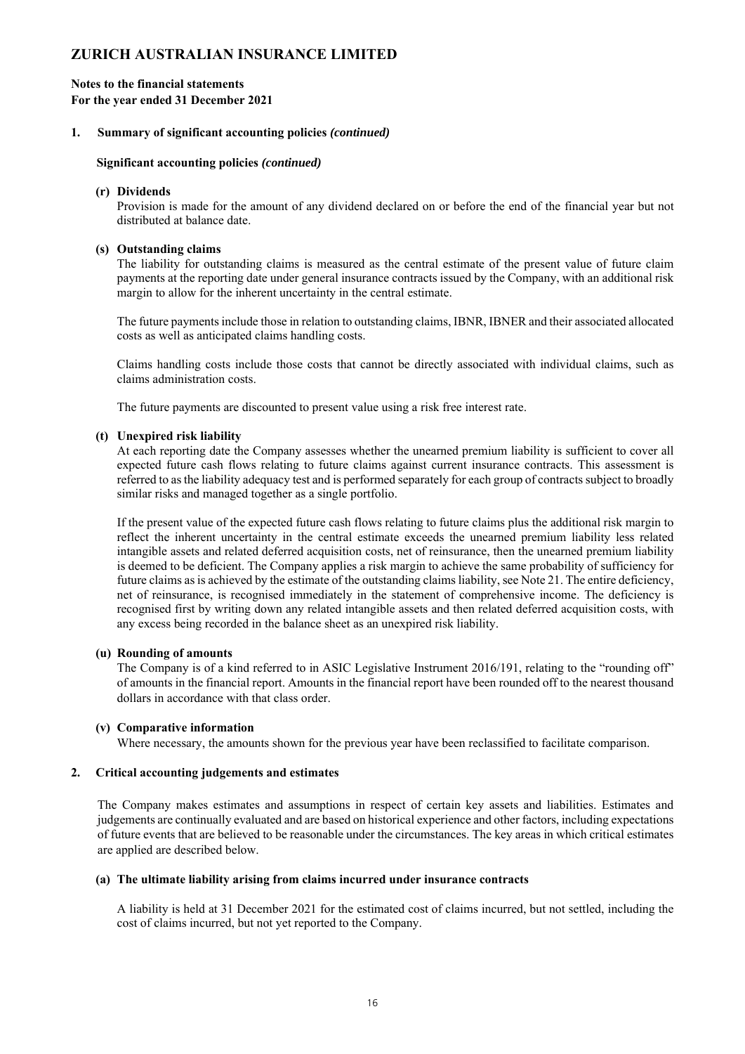### **Notes to the financial statements For the year ended 31 December 2021**

#### **1. Summary of significant accounting policies** *(continued)*

#### **Significant accounting policies** *(continued)*

#### **(r) Dividends**

Provision is made for the amount of any dividend declared on or before the end of the financial year but not distributed at balance date.

#### **(s) Outstanding claims**

The liability for outstanding claims is measured as the central estimate of the present value of future claim payments at the reporting date under general insurance contracts issued by the Company, with an additional risk margin to allow for the inherent uncertainty in the central estimate.

The future payments include those in relation to outstanding claims, IBNR, IBNER and their associated allocated costs as well as anticipated claims handling costs.

Claims handling costs include those costs that cannot be directly associated with individual claims, such as claims administration costs.

The future payments are discounted to present value using a risk free interest rate.

#### **(t) Unexpired risk liability**

At each reporting date the Company assesses whether the unearned premium liability is sufficient to cover all expected future cash flows relating to future claims against current insurance contracts. This assessment is referred to as the liability adequacy test and is performed separately for each group of contracts subject to broadly similar risks and managed together as a single portfolio.

If the present value of the expected future cash flows relating to future claims plus the additional risk margin to reflect the inherent uncertainty in the central estimate exceeds the unearned premium liability less related intangible assets and related deferred acquisition costs, net of reinsurance, then the unearned premium liability is deemed to be deficient. The Company applies a risk margin to achieve the same probability of sufficiency for future claims as is achieved by the estimate of the outstanding claims liability, see Note 21. The entire deficiency, net of reinsurance, is recognised immediately in the statement of comprehensive income. The deficiency is recognised first by writing down any related intangible assets and then related deferred acquisition costs, with any excess being recorded in the balance sheet as an unexpired risk liability.

#### **(u) Rounding of amounts**

The Company is of a kind referred to in ASIC Legislative Instrument 2016/191, relating to the "rounding off" of amounts in the financial report. Amounts in the financial report have been rounded off to the nearest thousand dollars in accordance with that class order.

#### **(v) Comparative information**

Where necessary, the amounts shown for the previous year have been reclassified to facilitate comparison.

#### **2. Critical accounting judgements and estimates**

The Company makes estimates and assumptions in respect of certain key assets and liabilities. Estimates and judgements are continually evaluated and are based on historical experience and other factors, including expectations of future events that are believed to be reasonable under the circumstances. The key areas in which critical estimates are applied are described below.

#### **(a) The ultimate liability arising from claims incurred under insurance contracts**

A liability is held at 31 December 2021 for the estimated cost of claims incurred, but not settled, including the cost of claims incurred, but not yet reported to the Company.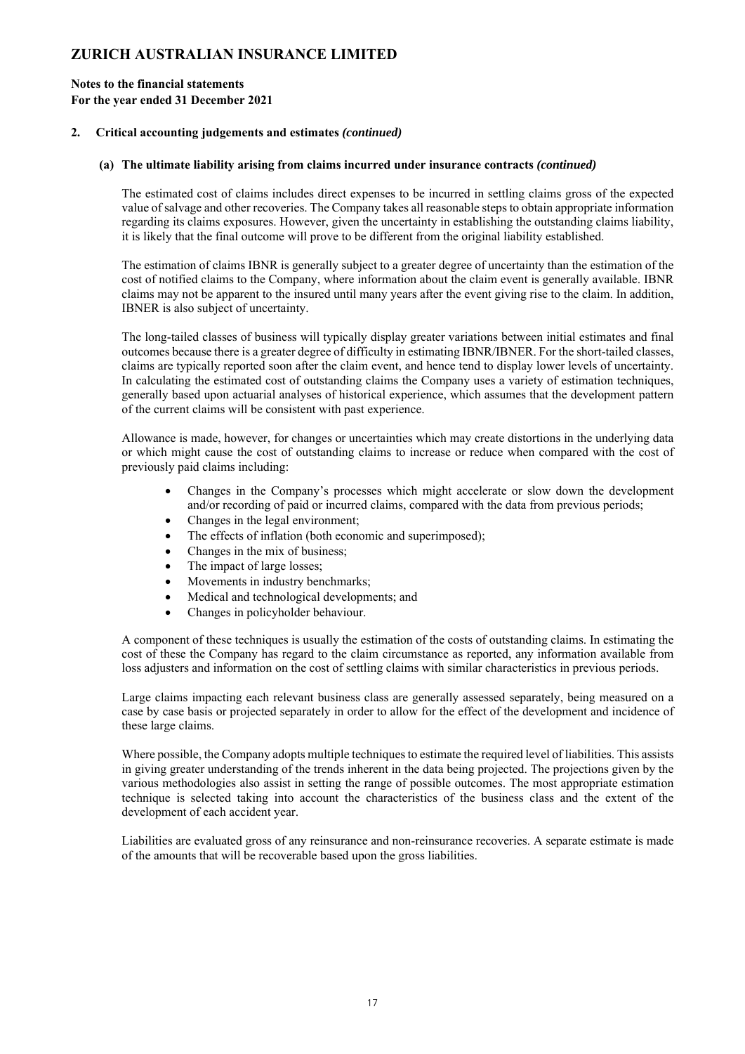# **Notes to the financial statements For the year ended 31 December 2021**

#### **2. Critical accounting judgements and estimates** *(continued)*

#### **(a) The ultimate liability arising from claims incurred under insurance contracts** *(continued)*

The estimated cost of claims includes direct expenses to be incurred in settling claims gross of the expected value of salvage and other recoveries. The Company takes all reasonable steps to obtain appropriate information regarding its claims exposures. However, given the uncertainty in establishing the outstanding claims liability, it is likely that the final outcome will prove to be different from the original liability established.

The estimation of claims IBNR is generally subject to a greater degree of uncertainty than the estimation of the cost of notified claims to the Company, where information about the claim event is generally available. IBNR claims may not be apparent to the insured until many years after the event giving rise to the claim. In addition, IBNER is also subject of uncertainty.

The long-tailed classes of business will typically display greater variations between initial estimates and final outcomes because there is a greater degree of difficulty in estimating IBNR/IBNER. For the short-tailed classes, claims are typically reported soon after the claim event, and hence tend to display lower levels of uncertainty. In calculating the estimated cost of outstanding claims the Company uses a variety of estimation techniques, generally based upon actuarial analyses of historical experience, which assumes that the development pattern of the current claims will be consistent with past experience.

Allowance is made, however, for changes or uncertainties which may create distortions in the underlying data or which might cause the cost of outstanding claims to increase or reduce when compared with the cost of previously paid claims including:

- Changes in the Company's processes which might accelerate or slow down the development and/or recording of paid or incurred claims, compared with the data from previous periods;
- Changes in the legal environment;
- The effects of inflation (both economic and superimposed);
- Changes in the mix of business;
- The impact of large losses;
- Movements in industry benchmarks;
- Medical and technological developments; and
- Changes in policyholder behaviour.

A component of these techniques is usually the estimation of the costs of outstanding claims. In estimating the cost of these the Company has regard to the claim circumstance as reported, any information available from loss adjusters and information on the cost of settling claims with similar characteristics in previous periods.

Large claims impacting each relevant business class are generally assessed separately, being measured on a case by case basis or projected separately in order to allow for the effect of the development and incidence of these large claims.

Where possible, the Company adopts multiple techniques to estimate the required level of liabilities. This assists in giving greater understanding of the trends inherent in the data being projected. The projections given by the various methodologies also assist in setting the range of possible outcomes. The most appropriate estimation technique is selected taking into account the characteristics of the business class and the extent of the development of each accident year.

Liabilities are evaluated gross of any reinsurance and non-reinsurance recoveries. A separate estimate is made of the amounts that will be recoverable based upon the gross liabilities.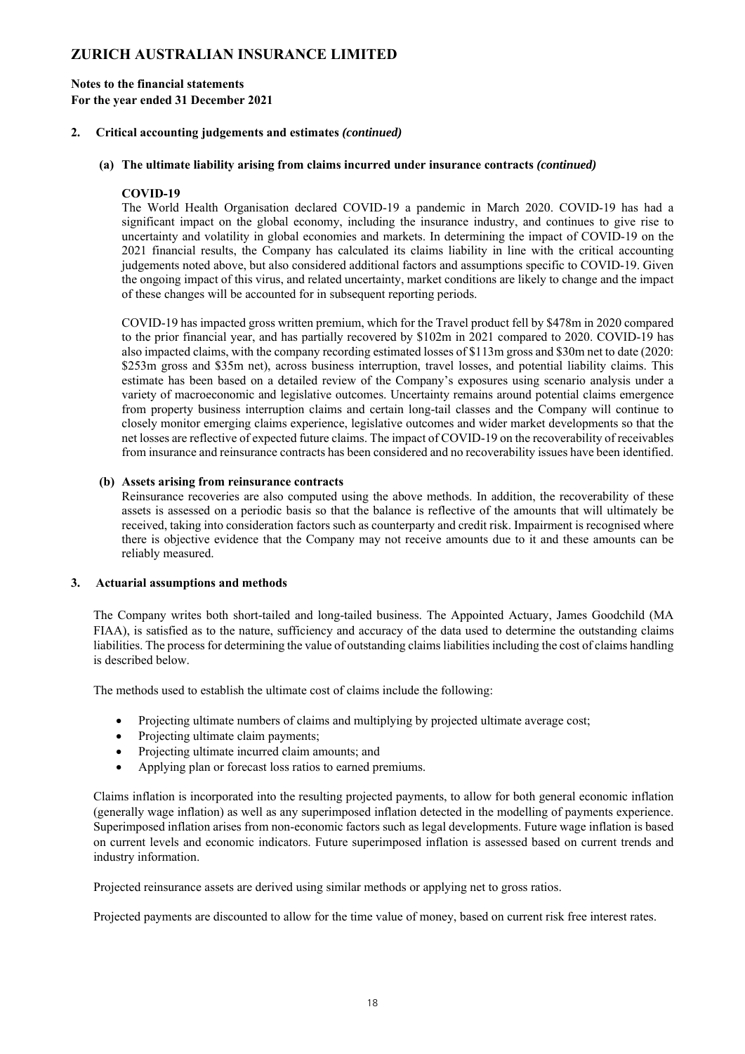# **Notes to the financial statements For the year ended 31 December 2021**

**2. Critical accounting judgements and estimates** *(continued)* 

#### **(a) The ultimate liability arising from claims incurred under insurance contracts** *(continued)*

### **COVID-19**

The World Health Organisation declared COVID-19 a pandemic in March 2020. COVID-19 has had a significant impact on the global economy, including the insurance industry, and continues to give rise to uncertainty and volatility in global economies and markets. In determining the impact of COVID-19 on the 2021 financial results, the Company has calculated its claims liability in line with the critical accounting judgements noted above, but also considered additional factors and assumptions specific to COVID-19. Given the ongoing impact of this virus, and related uncertainty, market conditions are likely to change and the impact of these changes will be accounted for in subsequent reporting periods.

COVID-19 has impacted gross written premium, which for the Travel product fell by \$478m in 2020 compared to the prior financial year, and has partially recovered by \$102m in 2021 compared to 2020. COVID-19 has also impacted claims, with the company recording estimated losses of \$113m gross and \$30m net to date (2020: \$253m gross and \$35m net), across business interruption, travel losses, and potential liability claims. This estimate has been based on a detailed review of the Company's exposures using scenario analysis under a variety of macroeconomic and legislative outcomes. Uncertainty remains around potential claims emergence from property business interruption claims and certain long-tail classes and the Company will continue to closely monitor emerging claims experience, legislative outcomes and wider market developments so that the net losses are reflective of expected future claims. The impact of COVID-19 on the recoverability of receivables from insurance and reinsurance contracts has been considered and no recoverability issues have been identified.

#### **(b) Assets arising from reinsurance contracts**

Reinsurance recoveries are also computed using the above methods. In addition, the recoverability of these assets is assessed on a periodic basis so that the balance is reflective of the amounts that will ultimately be received, taking into consideration factors such as counterparty and credit risk. Impairment is recognised where there is objective evidence that the Company may not receive amounts due to it and these amounts can be reliably measured.

### **3. Actuarial assumptions and methods**

The Company writes both short-tailed and long-tailed business. The Appointed Actuary, James Goodchild (MA FIAA), is satisfied as to the nature, sufficiency and accuracy of the data used to determine the outstanding claims liabilities. The process for determining the value of outstanding claims liabilities including the cost of claims handling is described below.

The methods used to establish the ultimate cost of claims include the following:

- Projecting ultimate numbers of claims and multiplying by projected ultimate average cost;
- Projecting ultimate claim payments;
- Projecting ultimate incurred claim amounts; and
- Applying plan or forecast loss ratios to earned premiums.

Claims inflation is incorporated into the resulting projected payments, to allow for both general economic inflation (generally wage inflation) as well as any superimposed inflation detected in the modelling of payments experience. Superimposed inflation arises from non-economic factors such as legal developments. Future wage inflation is based on current levels and economic indicators. Future superimposed inflation is assessed based on current trends and industry information.

Projected reinsurance assets are derived using similar methods or applying net to gross ratios.

Projected payments are discounted to allow for the time value of money, based on current risk free interest rates.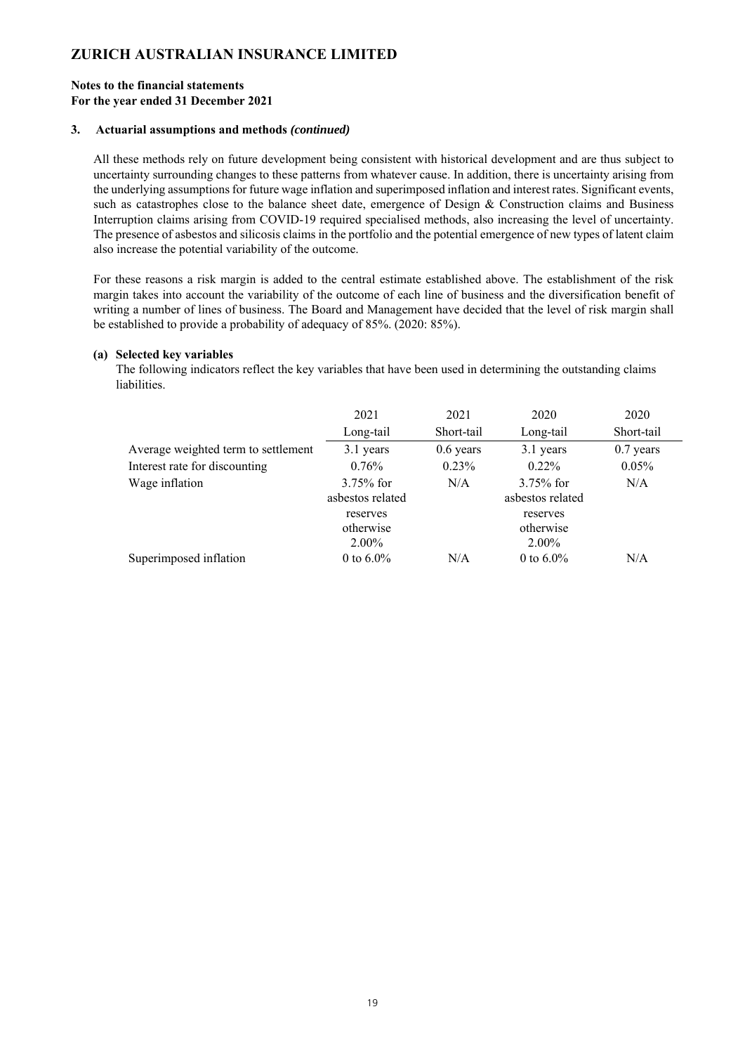### **Notes to the financial statements For the year ended 31 December 2021**

#### **3. Actuarial assumptions and methods** *(continued)*

All these methods rely on future development being consistent with historical development and are thus subject to uncertainty surrounding changes to these patterns from whatever cause. In addition, there is uncertainty arising from the underlying assumptions for future wage inflation and superimposed inflation and interest rates. Significant events, such as catastrophes close to the balance sheet date, emergence of Design & Construction claims and Business Interruption claims arising from COVID-19 required specialised methods, also increasing the level of uncertainty. The presence of asbestos and silicosis claims in the portfolio and the potential emergence of new types of latent claim also increase the potential variability of the outcome.

For these reasons a risk margin is added to the central estimate established above. The establishment of the risk margin takes into account the variability of the outcome of each line of business and the diversification benefit of writing a number of lines of business. The Board and Management have decided that the level of risk margin shall be established to provide a probability of adequacy of 85%. (2020: 85%).

#### **(a) Selected key variables**

The following indicators reflect the key variables that have been used in determining the outstanding claims liabilities.

|                                     | 2021             | 2021        | 2020             | 2020        |
|-------------------------------------|------------------|-------------|------------------|-------------|
|                                     | Long-tail        | Short-tail  | Long-tail        | Short-tail  |
| Average weighted term to settlement | 3.1 years        | $0.6$ years | 3.1 years        | $0.7$ years |
| Interest rate for discounting       | $0.76\%$         | 0.23%       | $0.22\%$         | 0.05%       |
| Wage inflation                      | $3.75\%$ for     | N/A         | $3.75%$ for      | N/A         |
|                                     | asbestos related |             | asbestos related |             |
|                                     | reserves         |             | reserves         |             |
|                                     | otherwise        |             | otherwise        |             |
|                                     | $2.00\%$         |             | $2.00\%$         |             |
| Superimposed inflation              | 0 to $6.0\%$     | N/A         | 0 to $6.0\%$     | N/A         |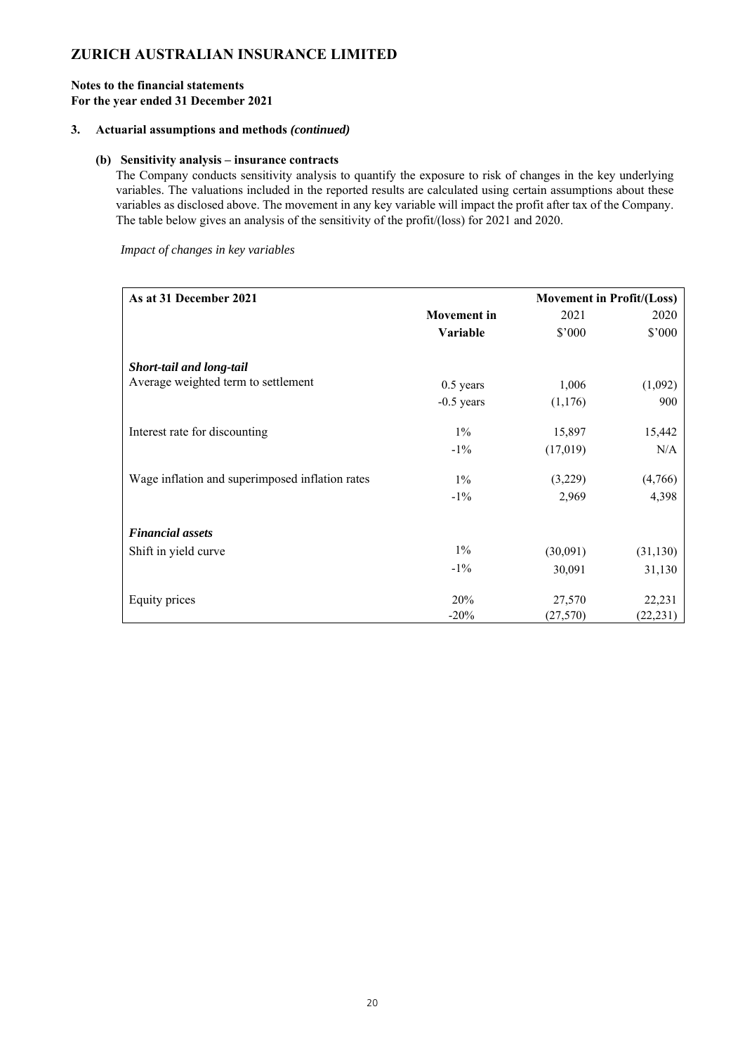### **Notes to the financial statements For the year ended 31 December 2021**

### **3. Actuarial assumptions and methods** *(continued)*

### **(b) Sensitivity analysis – insurance contracts**

The Company conducts sensitivity analysis to quantify the exposure to risk of changes in the key underlying variables. The valuations included in the reported results are calculated using certain assumptions about these variables as disclosed above. The movement in any key variable will impact the profit after tax of the Company. The table below gives an analysis of the sensitivity of the profit/(loss) for 2021 and 2020.

*Impact of changes in key variables* 

| As at 31 December 2021                          |                    | <b>Movement in Profit/(Loss)</b> |           |
|-------------------------------------------------|--------------------|----------------------------------|-----------|
|                                                 | <b>Movement</b> in | 2021                             | 2020      |
|                                                 | Variable           | \$'000                           | \$'000    |
| <b>Short-tail and long-tail</b>                 |                    |                                  |           |
| Average weighted term to settlement             | $0.5$ years        | 1,006                            | (1,092)   |
|                                                 | $-0.5$ years       | (1,176)                          | 900       |
| Interest rate for discounting                   | $1\%$              | 15,897                           | 15,442    |
|                                                 | $-1\%$             | (17,019)                         | N/A       |
| Wage inflation and superimposed inflation rates | $1\%$              | (3,229)                          | (4,766)   |
|                                                 | $-1\%$             | 2,969                            | 4,398     |
| <b>Financial assets</b>                         |                    |                                  |           |
| Shift in yield curve                            | $1\%$              | (30,091)                         | (31, 130) |
|                                                 | $-1\%$             | 30,091                           | 31,130    |
| Equity prices                                   | 20%                | 27,570                           | 22,231    |
|                                                 | $-20%$             | (27,570)                         | (22, 231) |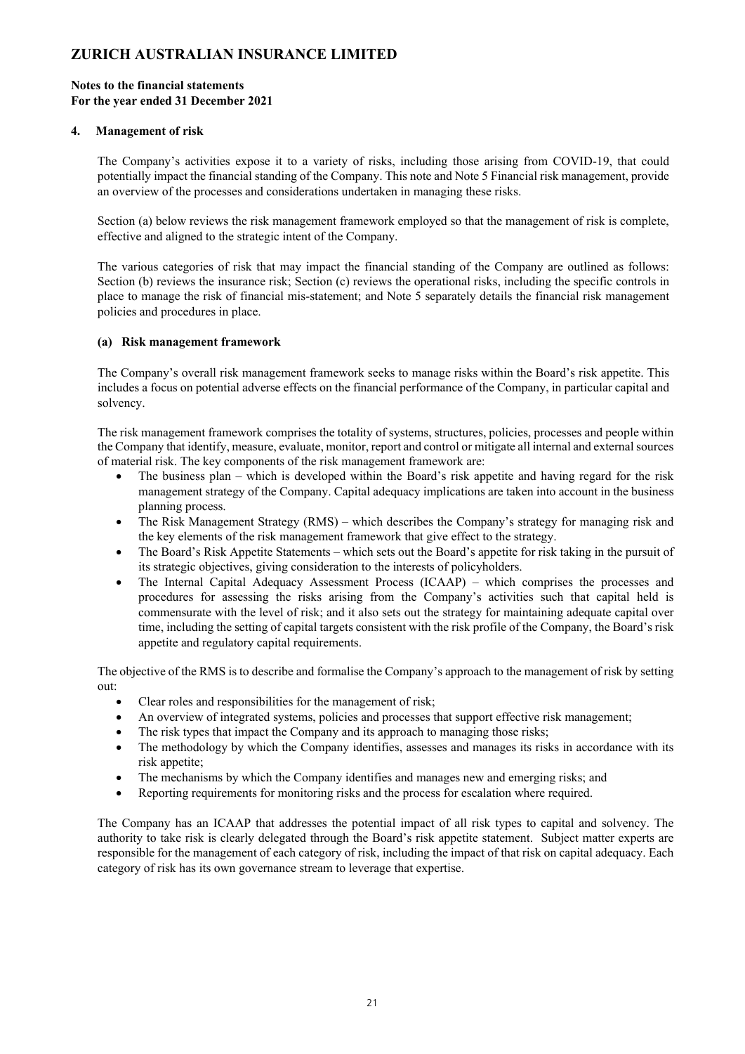# **Notes to the financial statements For the year ended 31 December 2021**

### **4. Management of risk**

The Company's activities expose it to a variety of risks, including those arising from COVID-19, that could potentially impact the financial standing of the Company. This note and Note 5 Financial risk management, provide an overview of the processes and considerations undertaken in managing these risks.

Section (a) below reviews the risk management framework employed so that the management of risk is complete, effective and aligned to the strategic intent of the Company.

The various categories of risk that may impact the financial standing of the Company are outlined as follows: Section (b) reviews the insurance risk; Section (c) reviews the operational risks, including the specific controls in place to manage the risk of financial mis-statement; and Note 5 separately details the financial risk management policies and procedures in place.

### **(a) Risk management framework**

The Company's overall risk management framework seeks to manage risks within the Board's risk appetite. This includes a focus on potential adverse effects on the financial performance of the Company, in particular capital and solvency.

The risk management framework comprises the totality of systems, structures, policies, processes and people within the Company that identify, measure, evaluate, monitor, report and control or mitigate all internal and external sources of material risk. The key components of the risk management framework are:

- The business plan which is developed within the Board's risk appetite and having regard for the risk management strategy of the Company. Capital adequacy implications are taken into account in the business planning process.
- The Risk Management Strategy (RMS) which describes the Company's strategy for managing risk and the key elements of the risk management framework that give effect to the strategy.
- The Board's Risk Appetite Statements which sets out the Board's appetite for risk taking in the pursuit of its strategic objectives, giving consideration to the interests of policyholders.
- The Internal Capital Adequacy Assessment Process (ICAAP) which comprises the processes and procedures for assessing the risks arising from the Company's activities such that capital held is commensurate with the level of risk; and it also sets out the strategy for maintaining adequate capital over time, including the setting of capital targets consistent with the risk profile of the Company, the Board's risk appetite and regulatory capital requirements.

The objective of the RMS is to describe and formalise the Company's approach to the management of risk by setting out:

- Clear roles and responsibilities for the management of risk;
- An overview of integrated systems, policies and processes that support effective risk management;
- The risk types that impact the Company and its approach to managing those risks;
- The methodology by which the Company identifies, assesses and manages its risks in accordance with its risk appetite;
- The mechanisms by which the Company identifies and manages new and emerging risks; and
- Reporting requirements for monitoring risks and the process for escalation where required.

The Company has an ICAAP that addresses the potential impact of all risk types to capital and solvency. The authority to take risk is clearly delegated through the Board's risk appetite statement. Subject matter experts are responsible for the management of each category of risk, including the impact of that risk on capital adequacy. Each category of risk has its own governance stream to leverage that expertise.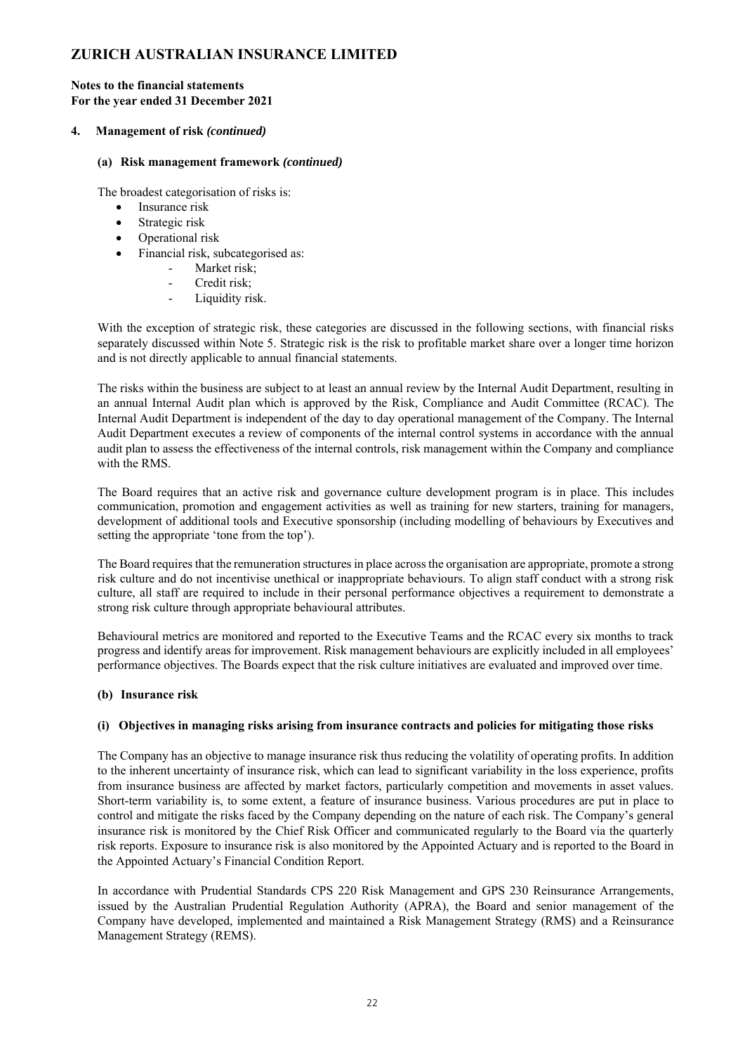### **Notes to the financial statements For the year ended 31 December 2021**

- **4. Management of risk** *(continued)* 
	- **(a) Risk management framework** *(continued)*

The broadest categorisation of risks is:

- Insurance risk
- Strategic risk
- Operational risk
- Financial risk, subcategorised as:
	- Market risk;
	- Credit risk;
	- Liquidity risk.

With the exception of strategic risk, these categories are discussed in the following sections, with financial risks separately discussed within Note 5. Strategic risk is the risk to profitable market share over a longer time horizon and is not directly applicable to annual financial statements.

The risks within the business are subject to at least an annual review by the Internal Audit Department, resulting in an annual Internal Audit plan which is approved by the Risk, Compliance and Audit Committee (RCAC). The Internal Audit Department is independent of the day to day operational management of the Company. The Internal Audit Department executes a review of components of the internal control systems in accordance with the annual audit plan to assess the effectiveness of the internal controls, risk management within the Company and compliance with the RMS.

The Board requires that an active risk and governance culture development program is in place. This includes communication, promotion and engagement activities as well as training for new starters, training for managers, development of additional tools and Executive sponsorship (including modelling of behaviours by Executives and setting the appropriate 'tone from the top').

The Board requires that the remuneration structures in place across the organisation are appropriate, promote a strong risk culture and do not incentivise unethical or inappropriate behaviours. To align staff conduct with a strong risk culture, all staff are required to include in their personal performance objectives a requirement to demonstrate a strong risk culture through appropriate behavioural attributes.

Behavioural metrics are monitored and reported to the Executive Teams and the RCAC every six months to track progress and identify areas for improvement. Risk management behaviours are explicitly included in all employees' performance objectives. The Boards expect that the risk culture initiatives are evaluated and improved over time.

#### **(b) Insurance risk**

#### **(i) Objectives in managing risks arising from insurance contracts and policies for mitigating those risks**

The Company has an objective to manage insurance risk thus reducing the volatility of operating profits. In addition to the inherent uncertainty of insurance risk, which can lead to significant variability in the loss experience, profits from insurance business are affected by market factors, particularly competition and movements in asset values. Short-term variability is, to some extent, a feature of insurance business. Various procedures are put in place to control and mitigate the risks faced by the Company depending on the nature of each risk. The Company's general insurance risk is monitored by the Chief Risk Officer and communicated regularly to the Board via the quarterly risk reports. Exposure to insurance risk is also monitored by the Appointed Actuary and is reported to the Board in the Appointed Actuary's Financial Condition Report.

In accordance with Prudential Standards CPS 220 Risk Management and GPS 230 Reinsurance Arrangements, issued by the Australian Prudential Regulation Authority (APRA), the Board and senior management of the Company have developed, implemented and maintained a Risk Management Strategy (RMS) and a Reinsurance Management Strategy (REMS).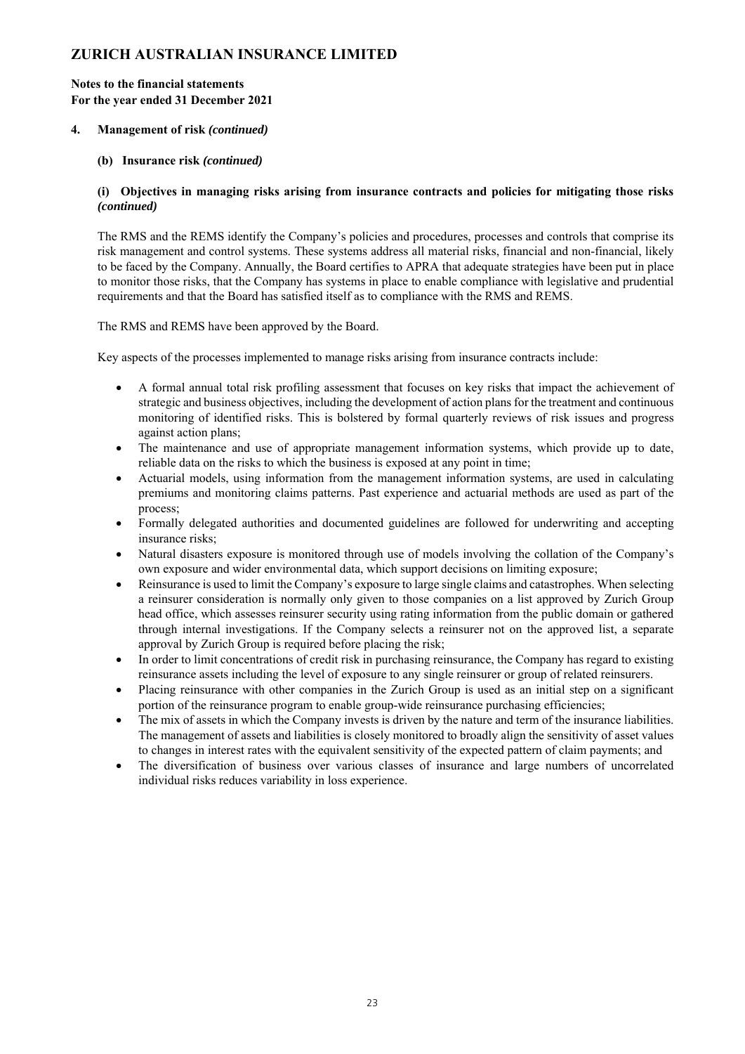# **Notes to the financial statements For the year ended 31 December 2021**

### **4. Management of risk** *(continued)*

**(b) Insurance risk** *(continued)* 

### **(i) Objectives in managing risks arising from insurance contracts and policies for mitigating those risks**  *(continued)*

The RMS and the REMS identify the Company's policies and procedures, processes and controls that comprise its risk management and control systems. These systems address all material risks, financial and non-financial, likely to be faced by the Company. Annually, the Board certifies to APRA that adequate strategies have been put in place to monitor those risks, that the Company has systems in place to enable compliance with legislative and prudential requirements and that the Board has satisfied itself as to compliance with the RMS and REMS.

The RMS and REMS have been approved by the Board.

Key aspects of the processes implemented to manage risks arising from insurance contracts include:

- A formal annual total risk profiling assessment that focuses on key risks that impact the achievement of strategic and business objectives, including the development of action plans for the treatment and continuous monitoring of identified risks. This is bolstered by formal quarterly reviews of risk issues and progress against action plans;
- The maintenance and use of appropriate management information systems, which provide up to date, reliable data on the risks to which the business is exposed at any point in time;
- Actuarial models, using information from the management information systems, are used in calculating premiums and monitoring claims patterns. Past experience and actuarial methods are used as part of the process;
- Formally delegated authorities and documented guidelines are followed for underwriting and accepting insurance risks;
- Natural disasters exposure is monitored through use of models involving the collation of the Company's own exposure and wider environmental data, which support decisions on limiting exposure;
- Reinsurance is used to limit the Company's exposure to large single claims and catastrophes. When selecting a reinsurer consideration is normally only given to those companies on a list approved by Zurich Group head office, which assesses reinsurer security using rating information from the public domain or gathered through internal investigations. If the Company selects a reinsurer not on the approved list, a separate approval by Zurich Group is required before placing the risk;
- In order to limit concentrations of credit risk in purchasing reinsurance, the Company has regard to existing reinsurance assets including the level of exposure to any single reinsurer or group of related reinsurers.
- Placing reinsurance with other companies in the Zurich Group is used as an initial step on a significant portion of the reinsurance program to enable group-wide reinsurance purchasing efficiencies;
- The mix of assets in which the Company invests is driven by the nature and term of the insurance liabilities. The management of assets and liabilities is closely monitored to broadly align the sensitivity of asset values to changes in interest rates with the equivalent sensitivity of the expected pattern of claim payments; and
- The diversification of business over various classes of insurance and large numbers of uncorrelated individual risks reduces variability in loss experience.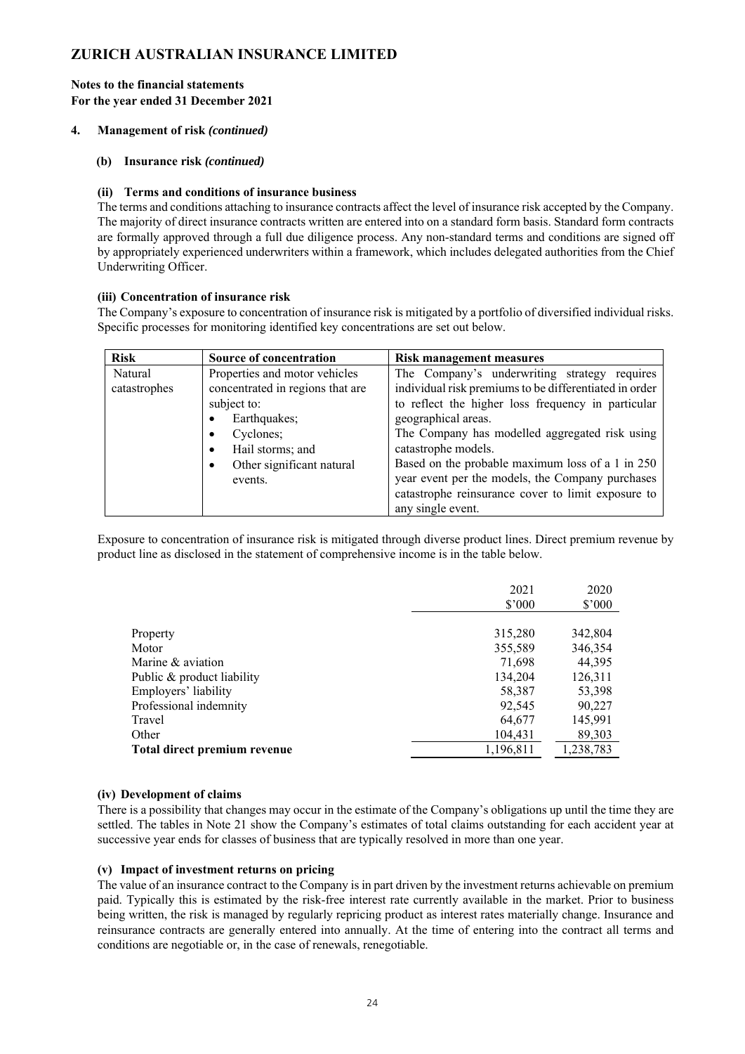### **Notes to the financial statements For the year ended 31 December 2021**

### **4. Management of risk** *(continued)*

 **(b) Insurance risk** *(continued)* 

### **(ii) Terms and conditions of insurance business**

The terms and conditions attaching to insurance contracts affect the level of insurance risk accepted by the Company. The majority of direct insurance contracts written are entered into on a standard form basis. Standard form contracts are formally approved through a full due diligence process. Any non-standard terms and conditions are signed off by appropriately experienced underwriters within a framework, which includes delegated authorities from the Chief Underwriting Officer.

### **(iii) Concentration of insurance risk**

The Company's exposure to concentration of insurance risk is mitigated by a portfolio of diversified individual risks. Specific processes for monitoring identified key concentrations are set out below.

| <b>Risk</b>  | <b>Source of concentration</b>   | <b>Risk management measures</b>                        |
|--------------|----------------------------------|--------------------------------------------------------|
| Natural      | Properties and motor vehicles    | The Company's underwriting strategy requires           |
| catastrophes | concentrated in regions that are | individual risk premiums to be differentiated in order |
|              | subject to:                      | to reflect the higher loss frequency in particular     |
|              | Earthquakes;                     | geographical areas.                                    |
|              | Cyclones;                        | The Company has modelled aggregated risk using         |
|              | Hail storms; and                 | catastrophe models.                                    |
|              | Other significant natural        | Based on the probable maximum loss of a 1 in 250       |
|              | events.                          | year event per the models, the Company purchases       |
|              |                                  | catastrophe reinsurance cover to limit exposure to     |
|              |                                  | any single event.                                      |

Exposure to concentration of insurance risk is mitigated through diverse product lines. Direct premium revenue by product line as disclosed in the statement of comprehensive income is in the table below.

|                              | 2021            | 2020            |
|------------------------------|-----------------|-----------------|
|                              | $$^{\prime}000$ | $$^{\prime}000$ |
|                              |                 |                 |
| Property                     | 315,280         | 342,804         |
| Motor                        | 355,589         | 346,354         |
| Marine & aviation            | 71.698          | 44,395          |
| Public & product liability   | 134,204         | 126,311         |
| Employers' liability         | 58,387          | 53,398          |
| Professional indemnity       | 92,545          | 90,227          |
| Travel                       | 64,677          | 145,991         |
| Other                        | 104,431         | 89,303          |
| Total direct premium revenue | 1,196,811       | 1,238,783       |
|                              |                 |                 |

#### **(iv) Development of claims**

There is a possibility that changes may occur in the estimate of the Company's obligations up until the time they are settled. The tables in Note 21 show the Company's estimates of total claims outstanding for each accident year at successive year ends for classes of business that are typically resolved in more than one year.

#### **(v) Impact of investment returns on pricing**

The value of an insurance contract to the Company is in part driven by the investment returns achievable on premium paid. Typically this is estimated by the risk-free interest rate currently available in the market. Prior to business being written, the risk is managed by regularly repricing product as interest rates materially change. Insurance and reinsurance contracts are generally entered into annually. At the time of entering into the contract all terms and conditions are negotiable or, in the case of renewals, renegotiable.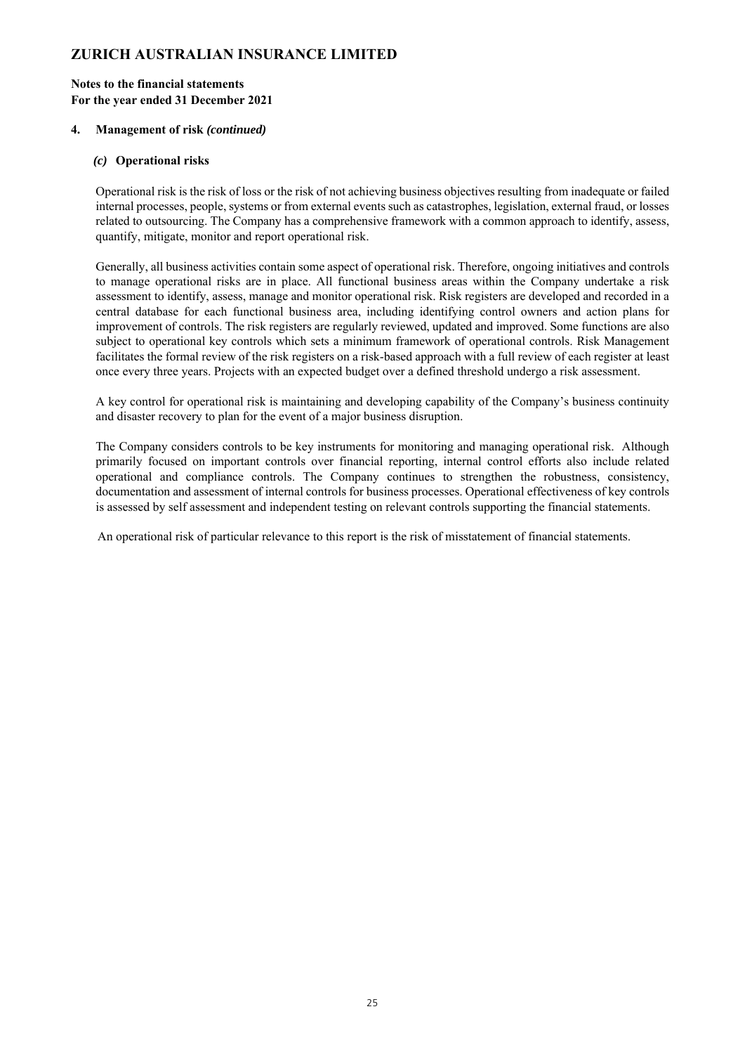# **Notes to the financial statements For the year ended 31 December 2021**

### **4. Management of risk** *(continued)*

### *(c)* **Operational risks**

Operational risk is the risk of loss or the risk of not achieving business objectives resulting from inadequate or failed internal processes, people, systems or from external events such as catastrophes, legislation, external fraud, or losses related to outsourcing. The Company has a comprehensive framework with a common approach to identify, assess, quantify, mitigate, monitor and report operational risk.

Generally, all business activities contain some aspect of operational risk. Therefore, ongoing initiatives and controls to manage operational risks are in place. All functional business areas within the Company undertake a risk assessment to identify, assess, manage and monitor operational risk. Risk registers are developed and recorded in a central database for each functional business area, including identifying control owners and action plans for improvement of controls. The risk registers are regularly reviewed, updated and improved. Some functions are also subject to operational key controls which sets a minimum framework of operational controls. Risk Management facilitates the formal review of the risk registers on a risk-based approach with a full review of each register at least once every three years. Projects with an expected budget over a defined threshold undergo a risk assessment.

A key control for operational risk is maintaining and developing capability of the Company's business continuity and disaster recovery to plan for the event of a major business disruption.

The Company considers controls to be key instruments for monitoring and managing operational risk. Although primarily focused on important controls over financial reporting, internal control efforts also include related operational and compliance controls. The Company continues to strengthen the robustness, consistency, documentation and assessment of internal controls for business processes. Operational effectiveness of key controls is assessed by self assessment and independent testing on relevant controls supporting the financial statements.

An operational risk of particular relevance to this report is the risk of misstatement of financial statements.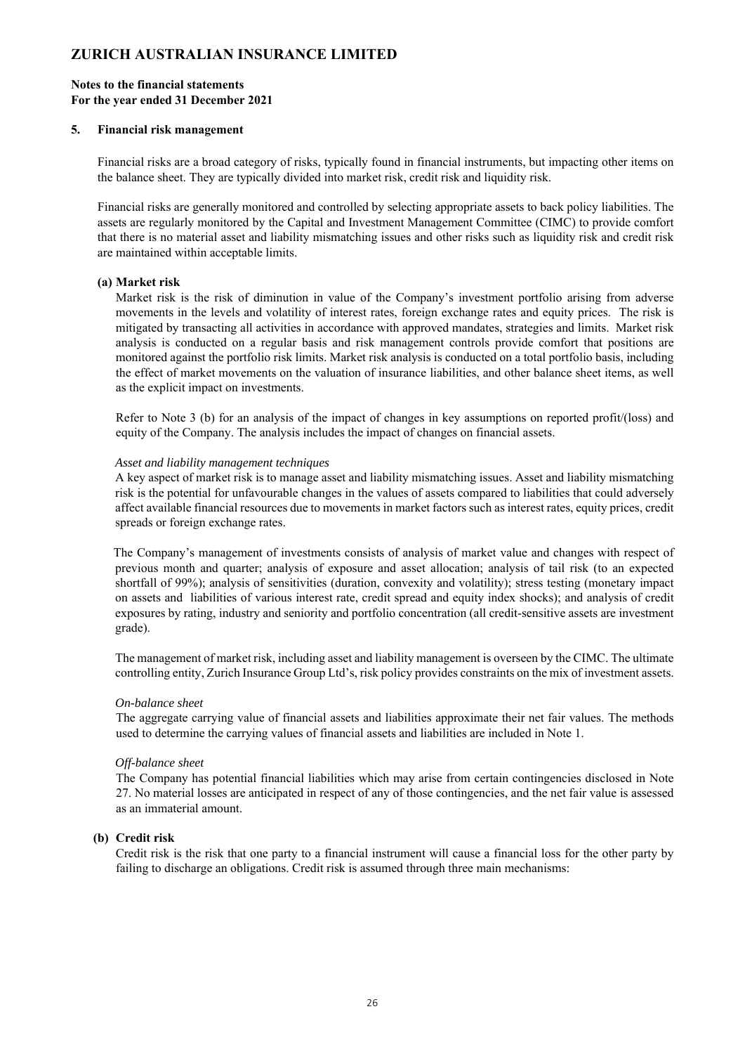# **Notes to the financial statements For the year ended 31 December 2021**

#### **5. Financial risk management**

Financial risks are a broad category of risks, typically found in financial instruments, but impacting other items on the balance sheet. They are typically divided into market risk, credit risk and liquidity risk.

Financial risks are generally monitored and controlled by selecting appropriate assets to back policy liabilities. The assets are regularly monitored by the Capital and Investment Management Committee (CIMC) to provide comfort that there is no material asset and liability mismatching issues and other risks such as liquidity risk and credit risk are maintained within acceptable limits.

### **(a) Market risk**

Market risk is the risk of diminution in value of the Company's investment portfolio arising from adverse movements in the levels and volatility of interest rates, foreign exchange rates and equity prices. The risk is mitigated by transacting all activities in accordance with approved mandates, strategies and limits. Market risk analysis is conducted on a regular basis and risk management controls provide comfort that positions are monitored against the portfolio risk limits. Market risk analysis is conducted on a total portfolio basis, including the effect of market movements on the valuation of insurance liabilities, and other balance sheet items, as well as the explicit impact on investments.

Refer to Note 3 (b) for an analysis of the impact of changes in key assumptions on reported profit/(loss) and equity of the Company. The analysis includes the impact of changes on financial assets.

#### *Asset and liability management techniques*

A key aspect of market risk is to manage asset and liability mismatching issues. Asset and liability mismatching risk is the potential for unfavourable changes in the values of assets compared to liabilities that could adversely affect available financial resources due to movements in market factors such as interest rates, equity prices, credit spreads or foreign exchange rates.

The Company's management of investments consists of analysis of market value and changes with respect of previous month and quarter; analysis of exposure and asset allocation; analysis of tail risk (to an expected shortfall of 99%); analysis of sensitivities (duration, convexity and volatility); stress testing (monetary impact on assets and liabilities of various interest rate, credit spread and equity index shocks); and analysis of credit exposures by rating, industry and seniority and portfolio concentration (all credit-sensitive assets are investment grade).

The management of market risk, including asset and liability management is overseen by the CIMC. The ultimate controlling entity, Zurich Insurance Group Ltd's, risk policy provides constraints on the mix of investment assets.

#### *On-balance sheet*

The aggregate carrying value of financial assets and liabilities approximate their net fair values. The methods used to determine the carrying values of financial assets and liabilities are included in Note 1.

#### *Off-balance sheet*

The Company has potential financial liabilities which may arise from certain contingencies disclosed in Note 27. No material losses are anticipated in respect of any of those contingencies, and the net fair value is assessed as an immaterial amount.

#### **(b) Credit risk**

Credit risk is the risk that one party to a financial instrument will cause a financial loss for the other party by failing to discharge an obligations. Credit risk is assumed through three main mechanisms: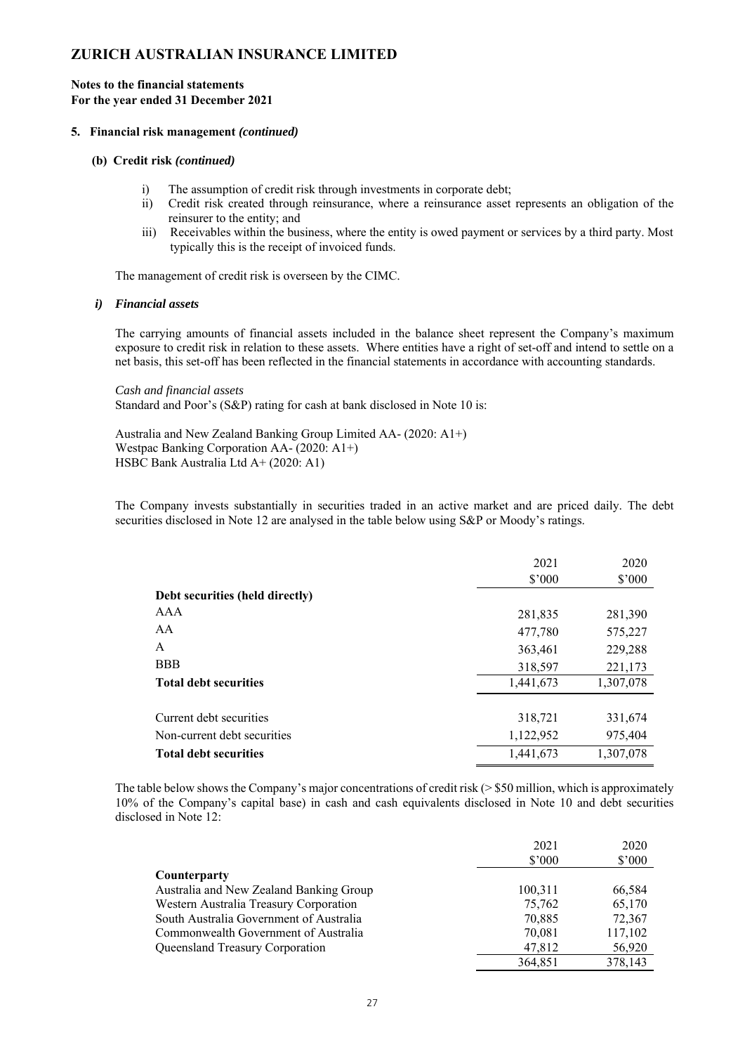#### **Notes to the financial statements For the year ended 31 December 2021**

#### **5. Financial risk management** *(continued)*

#### **(b) Credit risk** *(continued)*

- i) The assumption of credit risk through investments in corporate debt;
- ii) Credit risk created through reinsurance, where a reinsurance asset represents an obligation of the reinsurer to the entity; and
- iii) Receivables within the business, where the entity is owed payment or services by a third party. Most typically this is the receipt of invoiced funds.

The management of credit risk is overseen by the CIMC.

#### *i) Financial assets*

The carrying amounts of financial assets included in the balance sheet represent the Company's maximum exposure to credit risk in relation to these assets. Where entities have a right of set-off and intend to settle on a net basis, this set-off has been reflected in the financial statements in accordance with accounting standards.

*Cash and financial assets*  Standard and Poor's (S&P) rating for cash at bank disclosed in Note 10 is:

Australia and New Zealand Banking Group Limited AA- (2020: A1+) Westpac Banking Corporation AA- (2020: A1+) HSBC Bank Australia Ltd A+ (2020: A1)

The Company invests substantially in securities traded in an active market and are priced daily. The debt securities disclosed in Note 12 are analysed in the table below using S&P or Moody's ratings.

|                                 | 2021           | 2020      |
|---------------------------------|----------------|-----------|
|                                 | $$^{\circ}000$ | \$'000    |
| Debt securities (held directly) |                |           |
| AAA                             | 281,835        | 281,390   |
| AA                              | 477,780        | 575,227   |
| A                               | 363,461        | 229,288   |
| <b>BBB</b>                      | 318,597        | 221,173   |
| <b>Total debt securities</b>    | 1,441,673      | 1,307,078 |
|                                 |                |           |
| Current debt securities         | 318,721        | 331,674   |
| Non-current debt securities     | 1,122,952      | 975,404   |
| <b>Total debt securities</b>    | 1,441,673      | 1,307,078 |

The table below shows the Company's major concentrations of credit risk  $(>= $50$  million, which is approximately 10% of the Company's capital base) in cash and cash equivalents disclosed in Note 10 and debt securities disclosed in Note 12:

|                                         | 2021<br>\$3000 | 2020<br>\$'000 |
|-----------------------------------------|----------------|----------------|
| Counterparty                            |                |                |
| Australia and New Zealand Banking Group | 100,311        | 66,584         |
| Western Australia Treasury Corporation  | 75,762         | 65,170         |
| South Australia Government of Australia | 70,885         | 72,367         |
| Commonwealth Government of Australia    | 70,081         | 117,102        |
| Queensland Treasury Corporation         | 47,812         | 56,920         |
|                                         | 364.851        | 378,143        |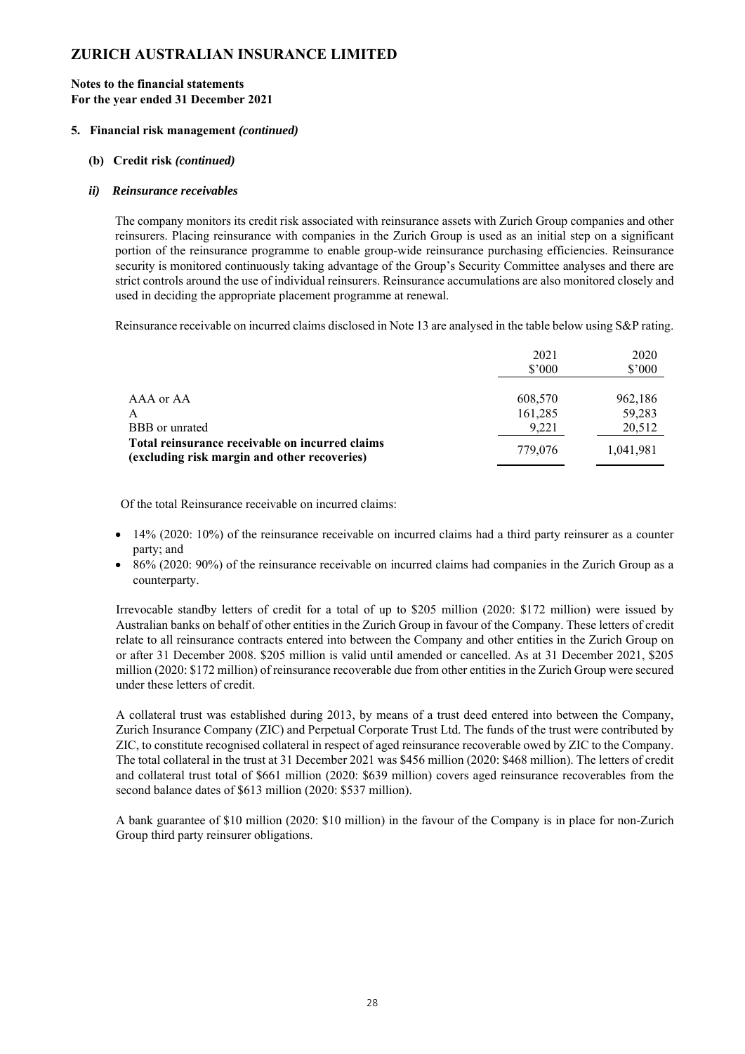### **Notes to the financial statements For the year ended 31 December 2021**

### **5. Financial risk management** *(continued)*

**(b) Credit risk** *(continued)*

### *ii) Reinsurance receivables*

The company monitors its credit risk associated with reinsurance assets with Zurich Group companies and other reinsurers. Placing reinsurance with companies in the Zurich Group is used as an initial step on a significant portion of the reinsurance programme to enable group-wide reinsurance purchasing efficiencies. Reinsurance security is monitored continuously taking advantage of the Group's Security Committee analyses and there are strict controls around the use of individual reinsurers. Reinsurance accumulations are also monitored closely and used in deciding the appropriate placement programme at renewal.

Reinsurance receivable on incurred claims disclosed in Note 13 are analysed in the table below using S&P rating.

|                                                                                                 | 2021<br>\$3000 | 2020<br>$$^{\circ}000$ |
|-------------------------------------------------------------------------------------------------|----------------|------------------------|
| AAA or AA                                                                                       | 608,570        | 962,186                |
| A                                                                                               | 161,285        | 59,283                 |
| BBB or unrated                                                                                  | 9.221          | 20,512                 |
| Total reinsurance receivable on incurred claims<br>(excluding risk margin and other recoveries) | 779,076        | 1,041,981              |

Of the total Reinsurance receivable on incurred claims:

- 14% (2020: 10%) of the reinsurance receivable on incurred claims had a third party reinsurer as a counter party; and
- 86% (2020: 90%) of the reinsurance receivable on incurred claims had companies in the Zurich Group as a counterparty.

Irrevocable standby letters of credit for a total of up to \$205 million (2020: \$172 million) were issued by Australian banks on behalf of other entities in the Zurich Group in favour of the Company. These letters of credit relate to all reinsurance contracts entered into between the Company and other entities in the Zurich Group on or after 31 December 2008. \$205 million is valid until amended or cancelled. As at 31 December 2021, \$205 million (2020: \$172 million) of reinsurance recoverable due from other entities in the Zurich Group were secured under these letters of credit.

A collateral trust was established during 2013, by means of a trust deed entered into between the Company, Zurich Insurance Company (ZIC) and Perpetual Corporate Trust Ltd. The funds of the trust were contributed by ZIC, to constitute recognised collateral in respect of aged reinsurance recoverable owed by ZIC to the Company. The total collateral in the trust at 31 December 2021 was \$456 million (2020: \$468 million). The letters of credit and collateral trust total of \$661 million (2020: \$639 million) covers aged reinsurance recoverables from the second balance dates of \$613 million (2020: \$537 million).

A bank guarantee of \$10 million (2020: \$10 million) in the favour of the Company is in place for non-Zurich Group third party reinsurer obligations.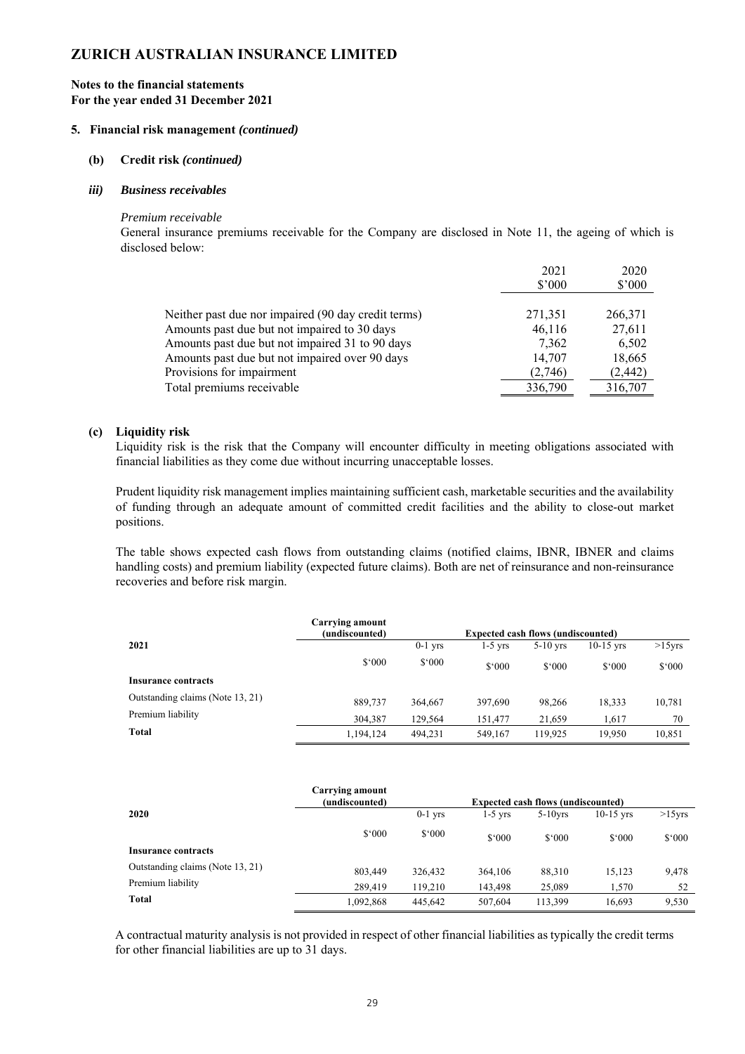### **Notes to the financial statements For the year ended 31 December 2021**

#### **5. Financial risk management** *(continued)*

- **(b) Credit risk** *(continued)*
- *iii) Business receivables*

#### *Premium receivable*

General insurance premiums receivable for the Company are disclosed in Note 11, the ageing of which is disclosed below:

|                                                     | 2021    | 2020     |
|-----------------------------------------------------|---------|----------|
|                                                     | \$2000  | \$'000   |
|                                                     |         |          |
| Neither past due nor impaired (90 day credit terms) | 271,351 | 266,371  |
| Amounts past due but not impaired to 30 days        | 46,116  | 27,611   |
| Amounts past due but not impaired 31 to 90 days     | 7,362   | 6,502    |
| Amounts past due but not impaired over 90 days      | 14,707  | 18,665   |
| Provisions for impairment                           | (2,746) | (2, 442) |
| Total premiums receivable                           | 336,790 | 316,707  |
|                                                     |         |          |

#### **(c) Liquidity risk**

Liquidity risk is the risk that the Company will encounter difficulty in meeting obligations associated with financial liabilities as they come due without incurring unacceptable losses.

Prudent liquidity risk management implies maintaining sufficient cash, marketable securities and the availability of funding through an adequate amount of committed credit facilities and the ability to close-out market positions.

The table shows expected cash flows from outstanding claims (notified claims, IBNR, IBNER and claims handling costs) and premium liability (expected future claims). Both are net of reinsurance and non-reinsurance recoveries and before risk margin.

|                                  | <b>Carrying amount</b><br>(undiscounted) |           | <b>Expected cash flows (undiscounted)</b> |            |             |           |
|----------------------------------|------------------------------------------|-----------|-------------------------------------------|------------|-------------|-----------|
| 2021                             |                                          | $0-1$ yrs | $1-5$ vrs                                 | $5-10$ vrs | $10-15$ vrs | $>15$ vrs |
|                                  | \$.000                                   | \$.000    | \$.000                                    | \$.000     | \$.000      | \$.000    |
| <b>Insurance contracts</b>       |                                          |           |                                           |            |             |           |
| Outstanding claims (Note 13, 21) | 889,737                                  | 364,667   | 397,690                                   | 98,266     | 18,333      | 10,781    |
| Premium liability                | 304,387                                  | 129.564   | 151,477                                   | 21.659     | 1.617       | 70        |
| Total                            | 1,194,124                                | 494.231   | 549,167                                   | 119.925    | 19.950      | 10,851    |

|                                  | <b>Carrying amount</b><br>(undiscounted) |           |           | <b>Expected cash flows (undiscounted)</b> |             |           |
|----------------------------------|------------------------------------------|-----------|-----------|-------------------------------------------|-------------|-----------|
| 2020                             |                                          | $0-1$ yrs | $1-5$ yrs | $5-10$ vrs                                | $10-15$ yrs | $>15$ yrs |
|                                  | \$.000                                   | \$°000    | \$.000    | \$.000                                    | \$°000      | \$.000    |
| Insurance contracts              |                                          |           |           |                                           |             |           |
| Outstanding claims (Note 13, 21) | 803.449                                  | 326,432   | 364,106   | 88,310                                    | 15.123      | 9,478     |
| Premium liability                | 289,419                                  | 119,210   | 143,498   | 25,089                                    | 1,570       | 52        |
| Total                            | 1.092.868                                | 445.642   | 507,604   | 113,399                                   | 16.693      | 9,530     |

A contractual maturity analysis is not provided in respect of other financial liabilities as typically the credit terms for other financial liabilities are up to 31 days.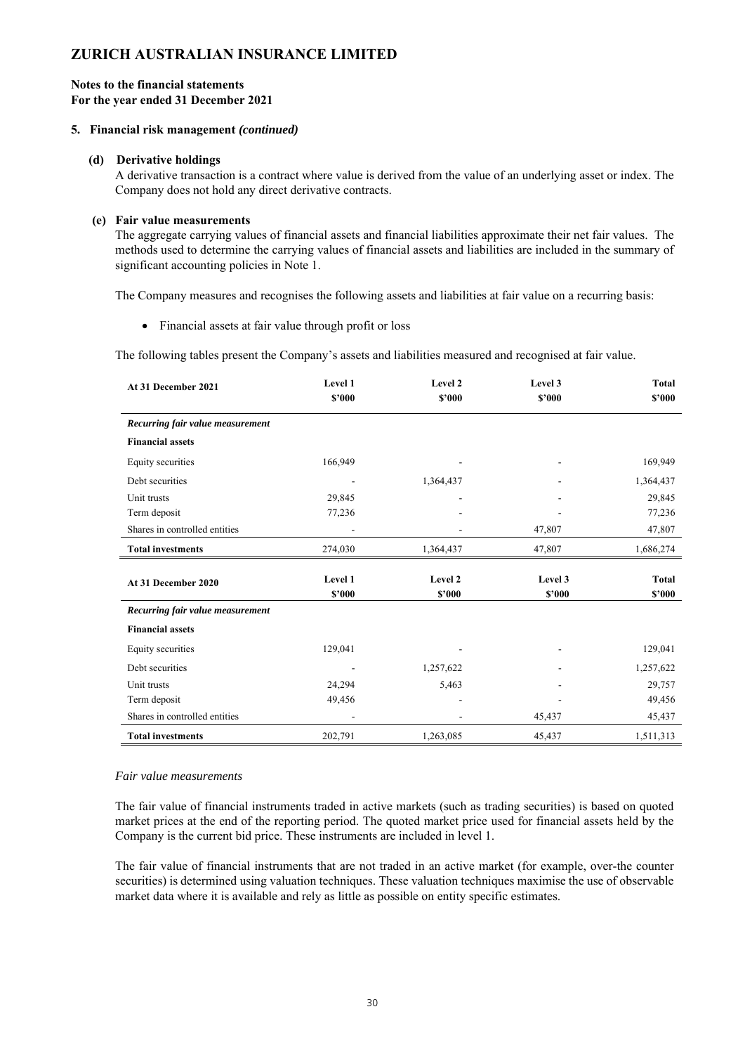# **Notes to the financial statements For the year ended 31 December 2021**

#### **5. Financial risk management** *(continued)*

#### **(d) Derivative holdings**

A derivative transaction is a contract where value is derived from the value of an underlying asset or index. The Company does not hold any direct derivative contracts.

#### **(e) Fair value measurements**

The aggregate carrying values of financial assets and financial liabilities approximate their net fair values. The methods used to determine the carrying values of financial assets and liabilities are included in the summary of significant accounting policies in Note 1.

The Company measures and recognises the following assets and liabilities at fair value on a recurring basis:

Financial assets at fair value through profit or loss

The following tables present the Company's assets and liabilities measured and recognised at fair value.

| At 31 December 2021              | Level 1<br>\$'000 | Level 2<br>\$2000 | Level 3<br>\$'000 | <b>Total</b><br>\$2000 |
|----------------------------------|-------------------|-------------------|-------------------|------------------------|
| Recurring fair value measurement |                   |                   |                   |                        |
| <b>Financial assets</b>          |                   |                   |                   |                        |
| Equity securities                | 166,949           |                   |                   | 169,949                |
| Debt securities                  |                   | 1,364,437         |                   | 1,364,437              |
| Unit trusts                      | 29,845            |                   |                   | 29,845                 |
| Term deposit                     | 77,236            |                   |                   | 77,236                 |
| Shares in controlled entities    |                   |                   | 47,807            | 47,807                 |
| <b>Total investments</b>         | 274,030           | 1,364,437         | 47,807            | 1,686,274              |
| At 31 December 2020              | Level 1<br>\$'000 | Level 2<br>\$'000 | Level 3<br>\$'000 | <b>Total</b><br>\$'000 |
| Recurring fair value measurement |                   |                   |                   |                        |
| <b>Financial assets</b>          |                   |                   |                   |                        |
| Equity securities                | 129,041           |                   |                   | 129,041                |
| Debt securities                  |                   | 1,257,622         |                   | 1,257,622              |
| Unit trusts                      | 24,294            | 5,463             |                   | 29,757                 |
| Term deposit                     | 49,456            |                   |                   | 49,456                 |
| Shares in controlled entities    |                   |                   | 45,437            | 45,437                 |
| <b>Total investments</b>         | 202,791           | 1,263,085         | 45,437            | 1,511,313              |

#### *Fair value measurements*

The fair value of financial instruments traded in active markets (such as trading securities) is based on quoted market prices at the end of the reporting period. The quoted market price used for financial assets held by the Company is the current bid price. These instruments are included in level 1.

The fair value of financial instruments that are not traded in an active market (for example, over-the counter securities) is determined using valuation techniques. These valuation techniques maximise the use of observable market data where it is available and rely as little as possible on entity specific estimates.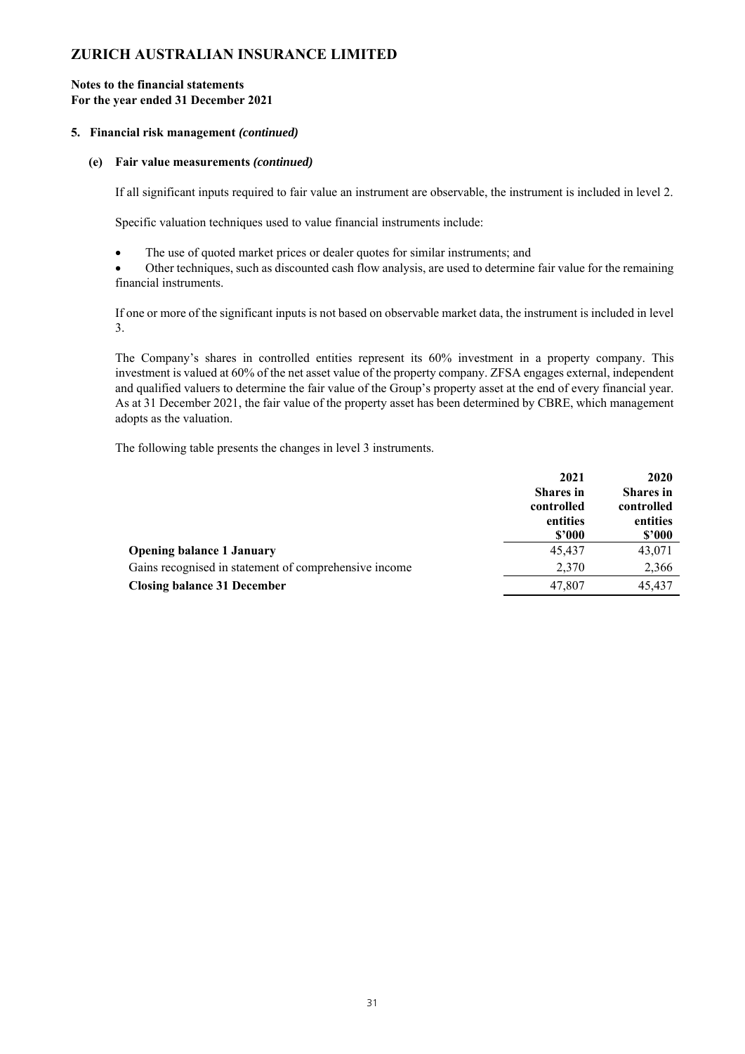### **Notes to the financial statements For the year ended 31 December 2021**

#### **5. Financial risk management** *(continued)*

### **(e) Fair value measurements** *(continued)*

If all significant inputs required to fair value an instrument are observable, the instrument is included in level 2.

Specific valuation techniques used to value financial instruments include:

The use of quoted market prices or dealer quotes for similar instruments; and

 Other techniques, such as discounted cash flow analysis, are used to determine fair value for the remaining financial instruments.

If one or more of the significant inputs is not based on observable market data, the instrument is included in level 3.

The Company's shares in controlled entities represent its 60% investment in a property company. This investment is valued at 60% of the net asset value of the property company. ZFSA engages external, independent and qualified valuers to determine the fair value of the Group's property asset at the end of every financial year. As at 31 December 2021, the fair value of the property asset has been determined by CBRE, which management adopts as the valuation.

The following table presents the changes in level 3 instruments.

|                                                       | 2021<br><b>Shares</b> in<br>controlled<br>entities<br>\$2000 | 2020<br><b>Shares</b> in<br>controlled<br>entities<br>\$2000 |
|-------------------------------------------------------|--------------------------------------------------------------|--------------------------------------------------------------|
| <b>Opening balance 1 January</b>                      | 45.437                                                       | 43,071                                                       |
| Gains recognised in statement of comprehensive income | 2,370                                                        | 2,366                                                        |
| <b>Closing balance 31 December</b>                    | 47,807                                                       | 45,437                                                       |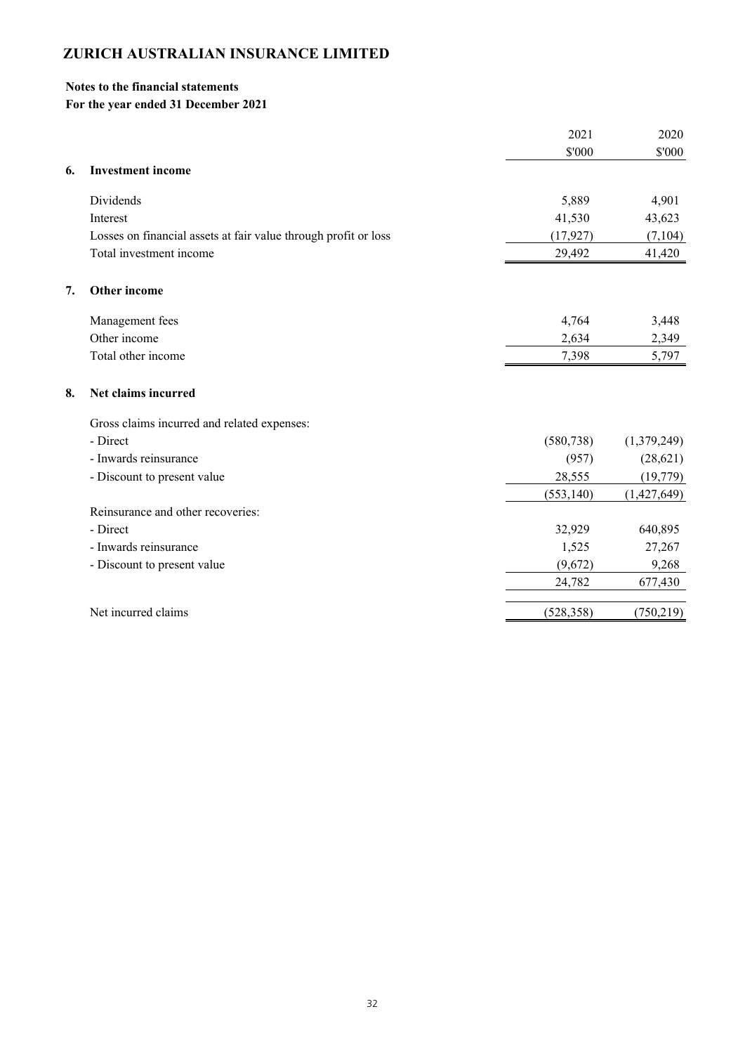# **Notes to the financial statements For the year ended 31 December 2021**

|    |                                                                 | 2021       | 2020        |
|----|-----------------------------------------------------------------|------------|-------------|
|    |                                                                 | \$'000     | \$'000      |
| 6. | <b>Investment income</b>                                        |            |             |
|    | Dividends                                                       | 5,889      | 4,901       |
|    | Interest                                                        | 41,530     | 43,623      |
|    | Losses on financial assets at fair value through profit or loss | (17, 927)  | (7,104)     |
|    | Total investment income                                         | 29,492     | 41,420      |
| 7. | <b>Other income</b>                                             |            |             |
|    | Management fees                                                 | 4,764      | 3,448       |
|    | Other income                                                    | 2,634      | 2,349       |
|    | Total other income                                              | 7,398      | 5,797       |
| 8. | Net claims incurred                                             |            |             |
|    | Gross claims incurred and related expenses:                     |            |             |
|    | - Direct                                                        | (580, 738) | (1,379,249) |
|    | - Inwards reinsurance                                           | (957)      | (28,621)    |
|    | - Discount to present value                                     | 28,555     | (19, 779)   |
|    |                                                                 | (553, 140) | (1,427,649) |
|    | Reinsurance and other recoveries:                               |            |             |
|    | - Direct                                                        | 32,929     | 640,895     |
|    | - Inwards reinsurance                                           | 1,525      | 27,267      |
|    | - Discount to present value                                     | (9,672)    | 9,268       |
|    |                                                                 | 24,782     | 677,430     |
|    | Net incurred claims                                             | (528, 358) | (750, 219)  |
|    |                                                                 |            |             |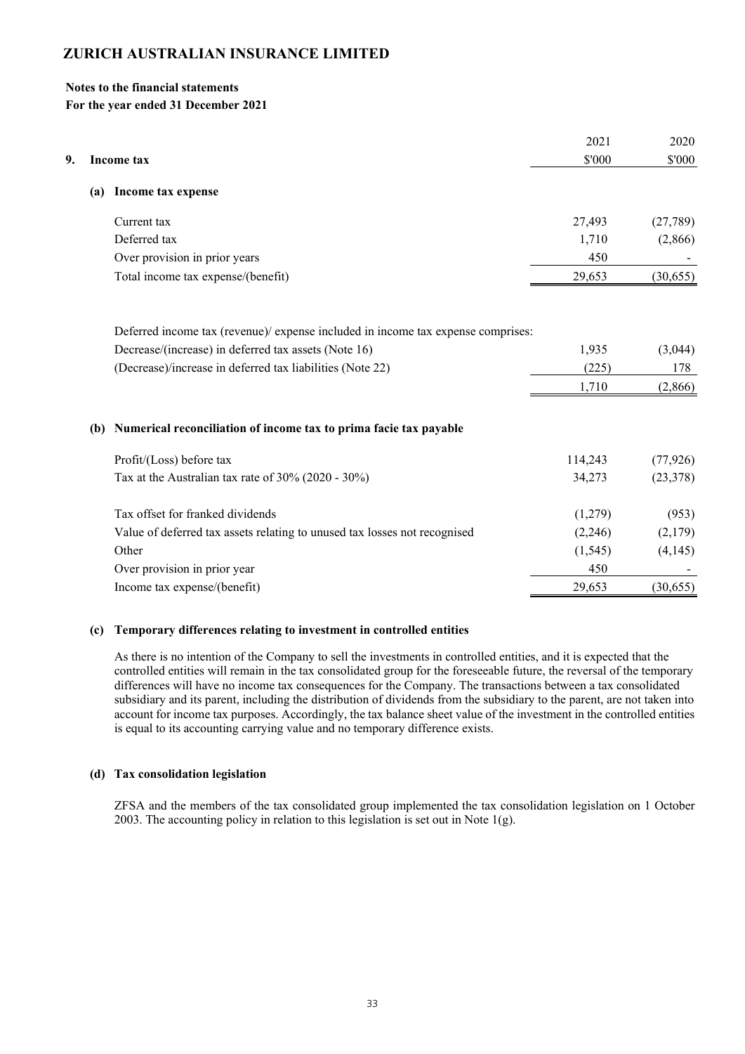# **Notes to the financial statements For the year ended 31 December 2021**

|    |     |                                                                                  | 2021     | 2020      |
|----|-----|----------------------------------------------------------------------------------|----------|-----------|
| 9. |     | <b>Income tax</b>                                                                | \$'000   | \$'000    |
|    | (a) | Income tax expense                                                               |          |           |
|    |     | Current tax                                                                      | 27,493   | (27, 789) |
|    |     | Deferred tax                                                                     | 1,710    | (2,866)   |
|    |     | Over provision in prior years                                                    | 450      |           |
|    |     | Total income tax expense/(benefit)                                               | 29,653   | (30, 655) |
|    |     | Deferred income tax (revenue)/ expense included in income tax expense comprises: |          |           |
|    |     | Decrease/(increase) in deferred tax assets (Note 16)                             | 1,935    | (3,044)   |
|    |     | (Decrease)/increase in deferred tax liabilities (Note 22)                        | (225)    | 178       |
|    |     |                                                                                  | 1,710    | (2,866)   |
|    | (b) | Numerical reconciliation of income tax to prima facie tax payable                |          |           |
|    |     | Profit/(Loss) before tax                                                         | 114,243  | (77, 926) |
|    |     | Tax at the Australian tax rate of $30\%$ (2020 - $30\%$ )                        | 34,273   | (23, 378) |
|    |     | Tax offset for franked dividends                                                 | (1,279)  | (953)     |
|    |     | Value of deferred tax assets relating to unused tax losses not recognised        | (2,246)  | (2,179)   |
|    |     | Other                                                                            | (1, 545) | (4,145)   |
|    |     | Over provision in prior year                                                     | 450      |           |
|    |     | Income tax expense/(benefit)                                                     | 29,653   | (30,655)  |

#### **(c) Temporary differences relating to investment in controlled entities**

As there is no intention of the Company to sell the investments in controlled entities, and it is expected that the<br>controlled entities will remain in the tax consolidated group for the foreseeable future, the reversal of controlled entities will remain in the tax consolidated group for the foreseeable future, the reversal of the temporary differences will have no income tax consequences for the Company. The transactions between a tax consolidated subsidiary and its parent, including the distribution of dividends from the subsidiary to the parent, are not taken into account for income tax purposes. Accordingly, the tax balance sheet value of the investment in the controlled entities is equal to its accounting carrying value and no temporary difference exists.

### **(d) Tax consolidation legislation**

 ZFSA and the members of the tax consolidated group implemented the tax consolidation legislation on 1 October 2003. The accounting policy in relation to this legislation is set out in Note 1(g).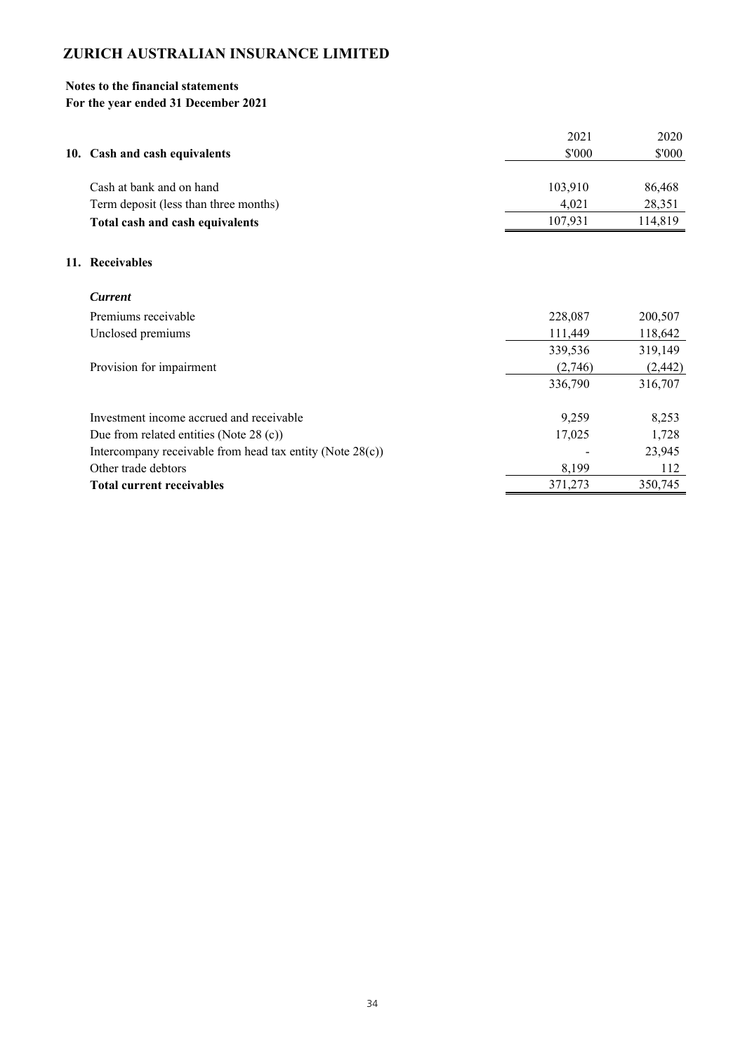# **Notes to the financial statements For the year ended 31 December 2021**

|     |                                                           | 2021    | 2020     |
|-----|-----------------------------------------------------------|---------|----------|
| 10. | Cash and cash equivalents                                 | \$'000  | \$'000   |
|     | Cash at bank and on hand                                  | 103,910 | 86,468   |
|     | Term deposit (less than three months)                     | 4,021   | 28,351   |
|     | Total cash and cash equivalents                           | 107,931 | 114,819  |
|     | 11. Receivables                                           |         |          |
|     | <b>Current</b>                                            |         |          |
|     | Premiums receivable                                       | 228,087 | 200,507  |
|     | Unclosed premiums                                         | 111,449 | 118,642  |
|     |                                                           | 339,536 | 319,149  |
|     | Provision for impairment                                  | (2,746) | (2, 442) |
|     |                                                           | 336,790 | 316,707  |
|     | Investment income accrued and receivable                  | 9,259   | 8,253    |
|     | Due from related entities (Note $28$ (c))                 | 17,025  | 1,728    |
|     | Intercompany receivable from head tax entity (Note 28(c)) |         | 23,945   |
|     | Other trade debtors                                       | 8,199   | 112      |
|     | <b>Total current receivables</b>                          | 371,273 | 350,745  |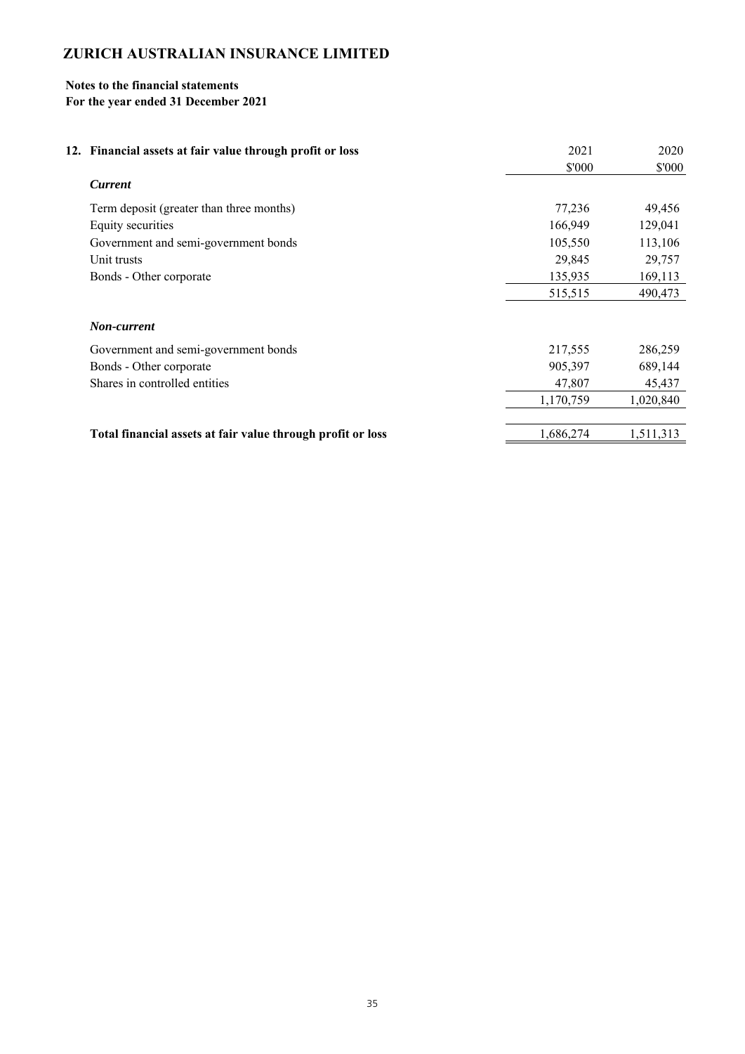# **Notes to the financial statements For the year ended 31 December 2021**

| 12. Financial assets at fair value through profit or loss   | 2021<br>\$'000 | 2020<br>\$'000 |
|-------------------------------------------------------------|----------------|----------------|
| <b>Current</b>                                              |                |                |
| Term deposit (greater than three months)                    | 77,236         | 49,456         |
| Equity securities                                           | 166,949        | 129,041        |
| Government and semi-government bonds                        | 105,550        | 113,106        |
| Unit trusts                                                 | 29,845         | 29,757         |
| Bonds - Other corporate                                     | 135,935        | 169,113        |
|                                                             | 515,515        | 490,473        |
| Non-current                                                 |                |                |
| Government and semi-government bonds                        | 217,555        | 286,259        |
| Bonds - Other corporate                                     | 905,397        | 689,144        |
| Shares in controlled entities                               | 47,807         | 45,437         |
|                                                             | 1,170,759      | 1,020,840      |
|                                                             |                |                |
| Total financial assets at fair value through profit or loss | 1,686,274      | 1,511,313      |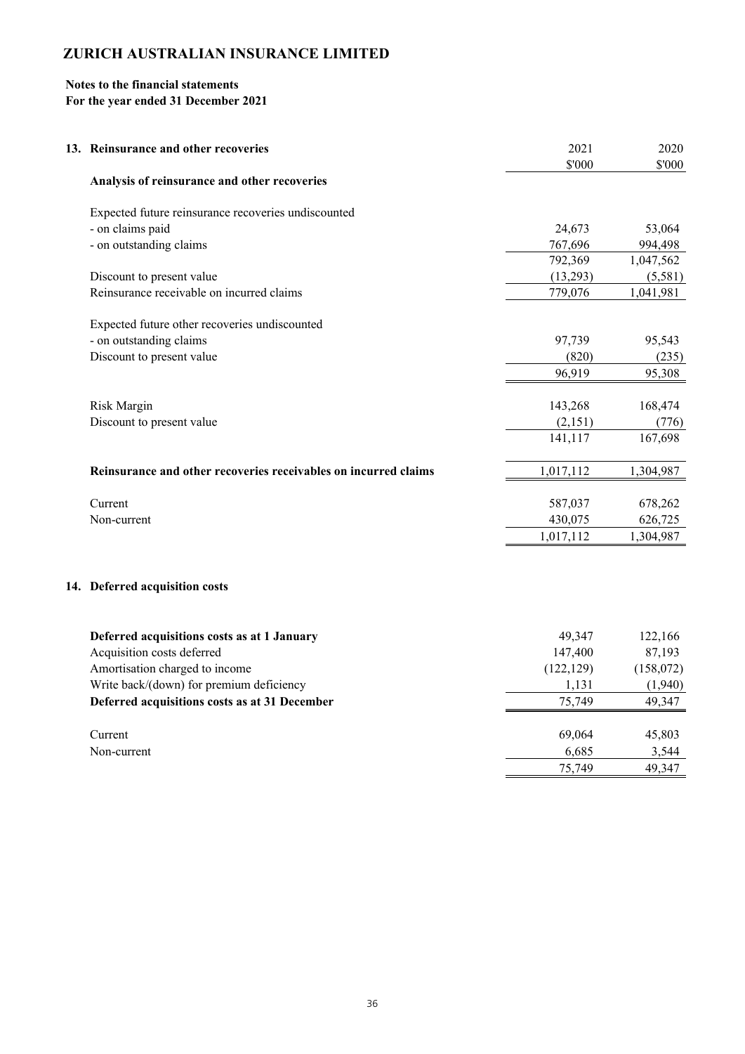# **Notes to the financial statements For the year ended 31 December 2021**

| 13. Reinsurance and other recoveries                            | 2021       | 2020      |
|-----------------------------------------------------------------|------------|-----------|
|                                                                 | \$'000     | \$'000    |
| Analysis of reinsurance and other recoveries                    |            |           |
| Expected future reinsurance recoveries undiscounted             |            |           |
| - on claims paid                                                | 24,673     | 53,064    |
| - on outstanding claims                                         | 767,696    | 994,498   |
|                                                                 | 792,369    | 1,047,562 |
| Discount to present value                                       | (13,293)   | (5,581)   |
| Reinsurance receivable on incurred claims                       | 779,076    | 1,041,981 |
| Expected future other recoveries undiscounted                   |            |           |
| - on outstanding claims                                         | 97,739     | 95,543    |
| Discount to present value                                       | (820)      | (235)     |
|                                                                 | 96,919     | 95,308    |
| Risk Margin                                                     | 143,268    | 168,474   |
| Discount to present value                                       | (2,151)    | (776)     |
|                                                                 | 141,117    | 167,698   |
| Reinsurance and other recoveries receivables on incurred claims | 1,017,112  | 1,304,987 |
|                                                                 |            |           |
| Current                                                         | 587,037    | 678,262   |
| Non-current                                                     | 430,075    | 626,725   |
|                                                                 | 1,017,112  | 1,304,987 |
|                                                                 |            |           |
| 14. Deferred acquisition costs                                  |            |           |
| Deferred acquisitions costs as at 1 January                     | 49,347     | 122,166   |
| Acquisition costs deferred                                      | 147,400    | 87,193    |
| Amortisation charged to income                                  | (122, 129) | (158,072) |
| Write back/(down) for premium deficiency                        | 1,131      | (1,940)   |
| Deferred acquisitions costs as at 31 December                   | 75,749     | 49,347    |
| Current                                                         | 69,064     | 45,803    |
| Non-current                                                     | 6,685      | 3,544     |
|                                                                 | 75,749     | 49,347    |
|                                                                 |            |           |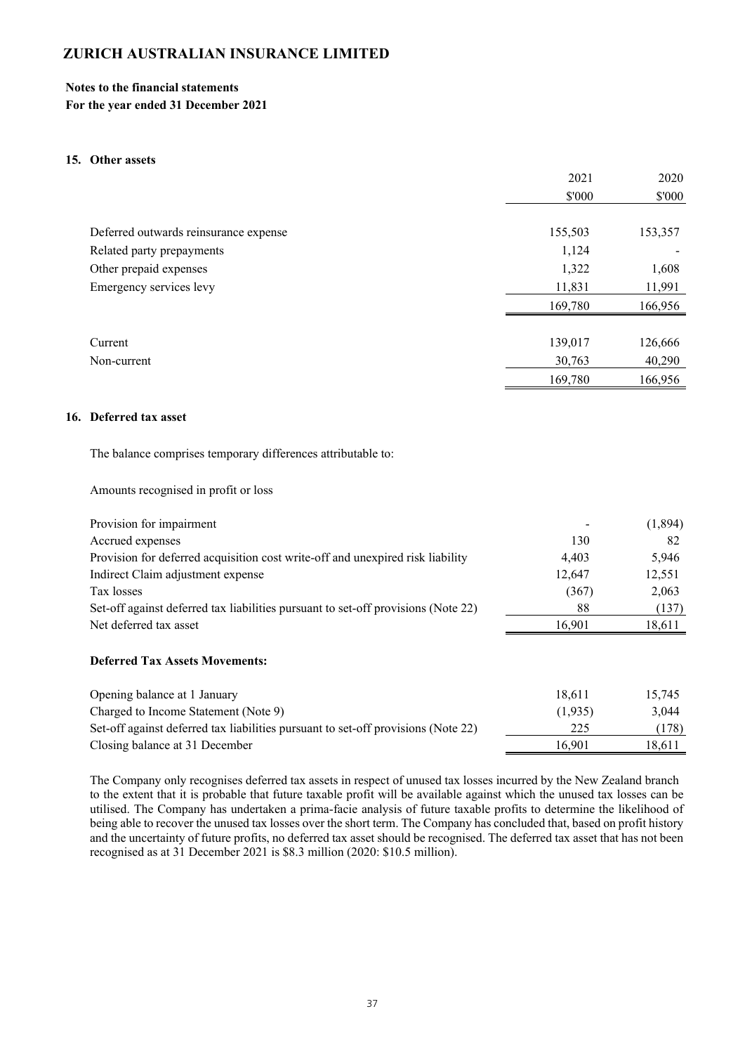# **Notes to the financial statements For the year ended 31 December 2021**

### **15. Other assets**

|                                                                                   | 2021    | 2020    |
|-----------------------------------------------------------------------------------|---------|---------|
|                                                                                   | \$'000  | \$'000  |
|                                                                                   |         |         |
| Deferred outwards reinsurance expense                                             | 155,503 | 153,357 |
| Related party prepayments                                                         | 1,124   |         |
| Other prepaid expenses                                                            | 1,322   | 1,608   |
| Emergency services levy                                                           | 11,831  | 11,991  |
|                                                                                   | 169,780 | 166,956 |
| Current                                                                           | 139,017 | 126,666 |
| Non-current                                                                       | 30,763  | 40,290  |
|                                                                                   | 169,780 | 166,956 |
| 16. Deferred tax asset                                                            |         |         |
| The balance comprises temporary differences attributable to:                      |         |         |
| Amounts recognised in profit or loss                                              |         |         |
| Provision for impairment                                                          |         | (1,894) |
| Accrued expenses                                                                  | 130     | 82      |
| Provision for deferred acquisition cost write-off and unexpired risk liability    | 4,403   | 5,946   |
| Indirect Claim adjustment expense                                                 | 12,647  | 12,551  |
| Tax losses                                                                        | (367)   | 2,063   |
| Set-off against deferred tax liabilities pursuant to set-off provisions (Note 22) | 88      | (137)   |
| Net deferred tax asset                                                            | 16,901  | 18,611  |
| <b>Deferred Tax Assets Movements:</b>                                             |         |         |
| Opening balance at 1 January                                                      | 18,611  | 15,745  |
| Charged to Income Statement (Note 9)                                              | (1,935) | 3,044   |
| Set-off against deferred tax liabilities pursuant to set-off provisions (Note 22) | 225     | (178)   |
| Closing balance at 31 December                                                    | 16,901  | 18,611  |
|                                                                                   |         |         |

The Company only recognises deferred tax assets in respect of unused tax losses incurred by the New Zealand branch to the extent that it is probable that future taxable profit will be available against which the unused tax losses can be utilised. The Company has undertaken a prima-facie analysis of future taxable profits to determine the likelihood of being able to recover the unused tax losses over the short term. The Company has concluded that, based on profit history and the uncertainty of future profits, no deferred tax asset should be recognised. The deferred tax asset that has not been recognised as at 31 December 2021 is \$8.3 million (2020: \$10.5 million).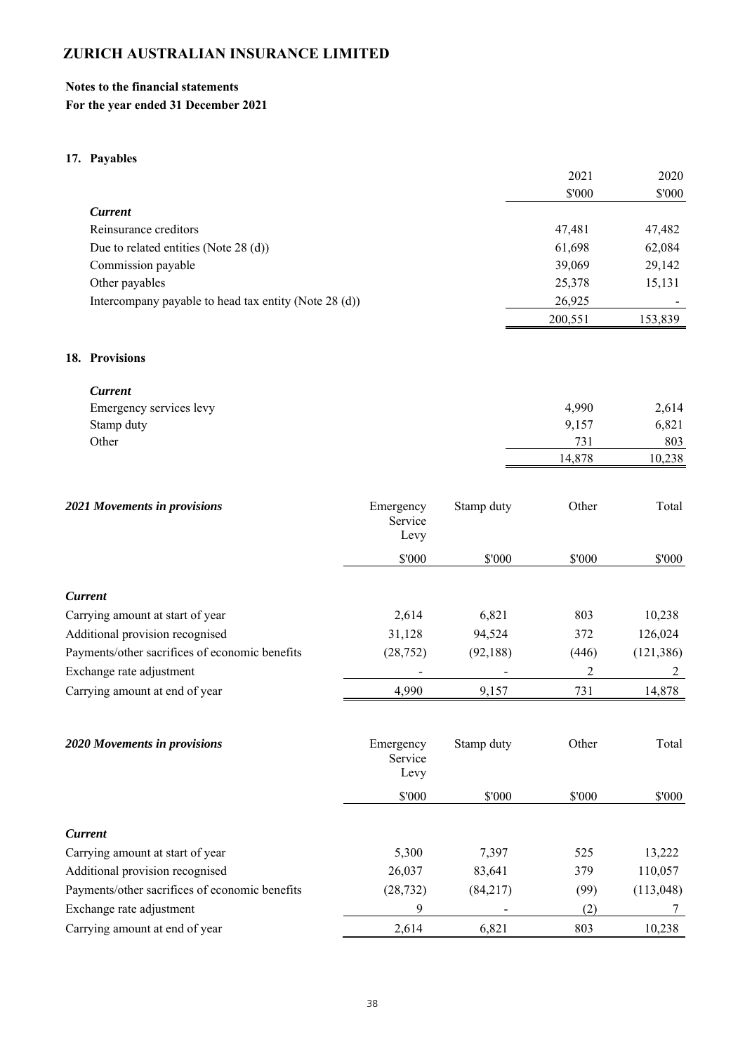# **Notes to the financial statements For the year ended 31 December 2021**

# **17. Payables**

| \$'000<br>\$'000<br><b>Current</b><br>Reinsurance creditors<br>47,481<br>47,482<br>61,698<br>Due to related entities (Note 28 (d))<br>62,084<br>Commission payable<br>39,069<br>29,142<br>Other payables<br>25,378<br>15,131<br>Intercompany payable to head tax entity (Note 28 (d))<br>26,925<br>200,551<br>153,839<br>18. Provisions<br><b>Current</b><br>Emergency services levy<br>4,990<br>2,614<br>Stamp duty<br>9,157<br>6,821<br>Other<br>731<br>803<br>14,878<br>10,238<br>Other<br>2021 Movements in provisions<br>Stamp duty<br>Total<br>Emergency<br>Service<br>Levy<br>\$'000<br>\$'000<br>\$'000<br>\$'000<br><b>Current</b><br>Carrying amount at start of year<br>2,614<br>6,821<br>803<br>10,238<br>Additional provision recognised<br>372<br>126,024<br>31,128<br>94,524<br>Payments/other sacrifices of economic benefits<br>(28, 752)<br>(92, 188)<br>(121, 386)<br>(446)<br>Exchange rate adjustment<br>$\overline{c}$<br>$\overline{2}$<br>Carrying amount at end of year<br>4,990<br>731<br>14,878<br>9,157<br>Other<br>2020 Movements in provisions<br>Stamp duty<br>Total<br>Emergency<br>Service<br>Levy<br>\$'000<br>\$'000<br>\$'000<br>$$'000$<br><b>Current</b><br>Carrying amount at start of year<br>5,300<br>7,397<br>525<br>13,222<br>Additional provision recognised<br>26,037<br>83,641<br>379<br>110,057<br>Payments/other sacrifices of economic benefits<br>(113, 048)<br>(28, 732)<br>(84,217)<br>(99)<br>Exchange rate adjustment<br>9<br>(2)<br>7<br>2,614<br>6,821<br>10,238<br>Carrying amount at end of year<br>803 |  | 2021 | 2020 |
|-------------------------------------------------------------------------------------------------------------------------------------------------------------------------------------------------------------------------------------------------------------------------------------------------------------------------------------------------------------------------------------------------------------------------------------------------------------------------------------------------------------------------------------------------------------------------------------------------------------------------------------------------------------------------------------------------------------------------------------------------------------------------------------------------------------------------------------------------------------------------------------------------------------------------------------------------------------------------------------------------------------------------------------------------------------------------------------------------------------------------------------------------------------------------------------------------------------------------------------------------------------------------------------------------------------------------------------------------------------------------------------------------------------------------------------------------------------------------------------------------------------------------------------------------------------------|--|------|------|
|                                                                                                                                                                                                                                                                                                                                                                                                                                                                                                                                                                                                                                                                                                                                                                                                                                                                                                                                                                                                                                                                                                                                                                                                                                                                                                                                                                                                                                                                                                                                                                   |  |      |      |
|                                                                                                                                                                                                                                                                                                                                                                                                                                                                                                                                                                                                                                                                                                                                                                                                                                                                                                                                                                                                                                                                                                                                                                                                                                                                                                                                                                                                                                                                                                                                                                   |  |      |      |
|                                                                                                                                                                                                                                                                                                                                                                                                                                                                                                                                                                                                                                                                                                                                                                                                                                                                                                                                                                                                                                                                                                                                                                                                                                                                                                                                                                                                                                                                                                                                                                   |  |      |      |
|                                                                                                                                                                                                                                                                                                                                                                                                                                                                                                                                                                                                                                                                                                                                                                                                                                                                                                                                                                                                                                                                                                                                                                                                                                                                                                                                                                                                                                                                                                                                                                   |  |      |      |
|                                                                                                                                                                                                                                                                                                                                                                                                                                                                                                                                                                                                                                                                                                                                                                                                                                                                                                                                                                                                                                                                                                                                                                                                                                                                                                                                                                                                                                                                                                                                                                   |  |      |      |
|                                                                                                                                                                                                                                                                                                                                                                                                                                                                                                                                                                                                                                                                                                                                                                                                                                                                                                                                                                                                                                                                                                                                                                                                                                                                                                                                                                                                                                                                                                                                                                   |  |      |      |
|                                                                                                                                                                                                                                                                                                                                                                                                                                                                                                                                                                                                                                                                                                                                                                                                                                                                                                                                                                                                                                                                                                                                                                                                                                                                                                                                                                                                                                                                                                                                                                   |  |      |      |
|                                                                                                                                                                                                                                                                                                                                                                                                                                                                                                                                                                                                                                                                                                                                                                                                                                                                                                                                                                                                                                                                                                                                                                                                                                                                                                                                                                                                                                                                                                                                                                   |  |      |      |
|                                                                                                                                                                                                                                                                                                                                                                                                                                                                                                                                                                                                                                                                                                                                                                                                                                                                                                                                                                                                                                                                                                                                                                                                                                                                                                                                                                                                                                                                                                                                                                   |  |      |      |
|                                                                                                                                                                                                                                                                                                                                                                                                                                                                                                                                                                                                                                                                                                                                                                                                                                                                                                                                                                                                                                                                                                                                                                                                                                                                                                                                                                                                                                                                                                                                                                   |  |      |      |
|                                                                                                                                                                                                                                                                                                                                                                                                                                                                                                                                                                                                                                                                                                                                                                                                                                                                                                                                                                                                                                                                                                                                                                                                                                                                                                                                                                                                                                                                                                                                                                   |  |      |      |
|                                                                                                                                                                                                                                                                                                                                                                                                                                                                                                                                                                                                                                                                                                                                                                                                                                                                                                                                                                                                                                                                                                                                                                                                                                                                                                                                                                                                                                                                                                                                                                   |  |      |      |
|                                                                                                                                                                                                                                                                                                                                                                                                                                                                                                                                                                                                                                                                                                                                                                                                                                                                                                                                                                                                                                                                                                                                                                                                                                                                                                                                                                                                                                                                                                                                                                   |  |      |      |
|                                                                                                                                                                                                                                                                                                                                                                                                                                                                                                                                                                                                                                                                                                                                                                                                                                                                                                                                                                                                                                                                                                                                                                                                                                                                                                                                                                                                                                                                                                                                                                   |  |      |      |
|                                                                                                                                                                                                                                                                                                                                                                                                                                                                                                                                                                                                                                                                                                                                                                                                                                                                                                                                                                                                                                                                                                                                                                                                                                                                                                                                                                                                                                                                                                                                                                   |  |      |      |
|                                                                                                                                                                                                                                                                                                                                                                                                                                                                                                                                                                                                                                                                                                                                                                                                                                                                                                                                                                                                                                                                                                                                                                                                                                                                                                                                                                                                                                                                                                                                                                   |  |      |      |
|                                                                                                                                                                                                                                                                                                                                                                                                                                                                                                                                                                                                                                                                                                                                                                                                                                                                                                                                                                                                                                                                                                                                                                                                                                                                                                                                                                                                                                                                                                                                                                   |  |      |      |
|                                                                                                                                                                                                                                                                                                                                                                                                                                                                                                                                                                                                                                                                                                                                                                                                                                                                                                                                                                                                                                                                                                                                                                                                                                                                                                                                                                                                                                                                                                                                                                   |  |      |      |
|                                                                                                                                                                                                                                                                                                                                                                                                                                                                                                                                                                                                                                                                                                                                                                                                                                                                                                                                                                                                                                                                                                                                                                                                                                                                                                                                                                                                                                                                                                                                                                   |  |      |      |
|                                                                                                                                                                                                                                                                                                                                                                                                                                                                                                                                                                                                                                                                                                                                                                                                                                                                                                                                                                                                                                                                                                                                                                                                                                                                                                                                                                                                                                                                                                                                                                   |  |      |      |
|                                                                                                                                                                                                                                                                                                                                                                                                                                                                                                                                                                                                                                                                                                                                                                                                                                                                                                                                                                                                                                                                                                                                                                                                                                                                                                                                                                                                                                                                                                                                                                   |  |      |      |
|                                                                                                                                                                                                                                                                                                                                                                                                                                                                                                                                                                                                                                                                                                                                                                                                                                                                                                                                                                                                                                                                                                                                                                                                                                                                                                                                                                                                                                                                                                                                                                   |  |      |      |
|                                                                                                                                                                                                                                                                                                                                                                                                                                                                                                                                                                                                                                                                                                                                                                                                                                                                                                                                                                                                                                                                                                                                                                                                                                                                                                                                                                                                                                                                                                                                                                   |  |      |      |
|                                                                                                                                                                                                                                                                                                                                                                                                                                                                                                                                                                                                                                                                                                                                                                                                                                                                                                                                                                                                                                                                                                                                                                                                                                                                                                                                                                                                                                                                                                                                                                   |  |      |      |
|                                                                                                                                                                                                                                                                                                                                                                                                                                                                                                                                                                                                                                                                                                                                                                                                                                                                                                                                                                                                                                                                                                                                                                                                                                                                                                                                                                                                                                                                                                                                                                   |  |      |      |
|                                                                                                                                                                                                                                                                                                                                                                                                                                                                                                                                                                                                                                                                                                                                                                                                                                                                                                                                                                                                                                                                                                                                                                                                                                                                                                                                                                                                                                                                                                                                                                   |  |      |      |
|                                                                                                                                                                                                                                                                                                                                                                                                                                                                                                                                                                                                                                                                                                                                                                                                                                                                                                                                                                                                                                                                                                                                                                                                                                                                                                                                                                                                                                                                                                                                                                   |  |      |      |
|                                                                                                                                                                                                                                                                                                                                                                                                                                                                                                                                                                                                                                                                                                                                                                                                                                                                                                                                                                                                                                                                                                                                                                                                                                                                                                                                                                                                                                                                                                                                                                   |  |      |      |
|                                                                                                                                                                                                                                                                                                                                                                                                                                                                                                                                                                                                                                                                                                                                                                                                                                                                                                                                                                                                                                                                                                                                                                                                                                                                                                                                                                                                                                                                                                                                                                   |  |      |      |
|                                                                                                                                                                                                                                                                                                                                                                                                                                                                                                                                                                                                                                                                                                                                                                                                                                                                                                                                                                                                                                                                                                                                                                                                                                                                                                                                                                                                                                                                                                                                                                   |  |      |      |
|                                                                                                                                                                                                                                                                                                                                                                                                                                                                                                                                                                                                                                                                                                                                                                                                                                                                                                                                                                                                                                                                                                                                                                                                                                                                                                                                                                                                                                                                                                                                                                   |  |      |      |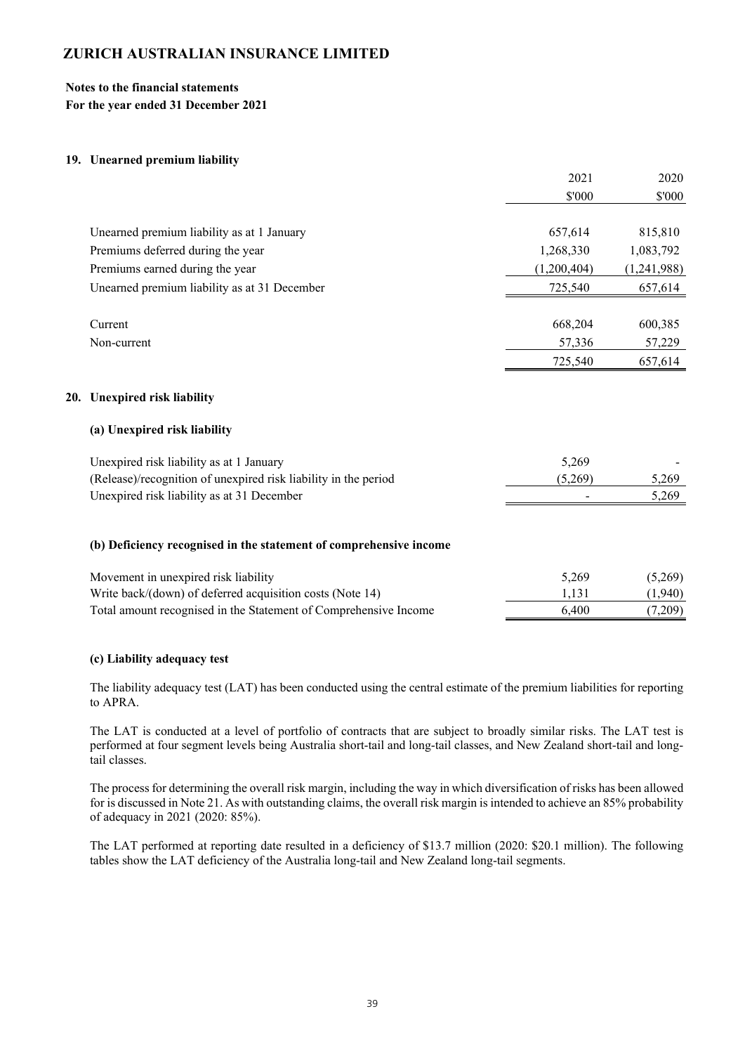# **Notes to the financial statements For the year ended 31 December 2021**

### **19. Unearned premium liability**

|                                                                    | 2021        | 2020        |
|--------------------------------------------------------------------|-------------|-------------|
|                                                                    | \$'000      | \$'000      |
| Unearned premium liability as at 1 January                         | 657,614     | 815,810     |
| Premiums deferred during the year                                  | 1,268,330   | 1,083,792   |
| Premiums earned during the year                                    | (1,200,404) | (1,241,988) |
| Unearned premium liability as at 31 December                       | 725,540     | 657,614     |
| Current                                                            | 668,204     | 600,385     |
| Non-current                                                        | 57,336      | 57,229      |
|                                                                    | 725,540     | 657,614     |
| 20. Unexpired risk liability                                       |             |             |
| (a) Unexpired risk liability                                       |             |             |
| Unexpired risk liability as at 1 January                           | 5,269       |             |
| (Release)/recognition of unexpired risk liability in the period    | (5,269)     | 5,269       |
| Unexpired risk liability as at 31 December                         |             | 5,269       |
| (b) Deficiency recognised in the statement of comprehensive income |             |             |
| Movement in unexpired risk liability                               | 5,269       | (5,269)     |
| Write back/(down) of deferred acquisition costs (Note 14)          | 1,131       | (1,940)     |
| Total amount recognised in the Statement of Comprehensive Income   | 6,400       | (7,209)     |

### **(c) Liability adequacy test**

The liability adequacy test (LAT) has been conducted using the central estimate of the premium liabilities for reporting to APRA.

The LAT is conducted at a level of portfolio of contracts that are subject to broadly similar risks. The LAT test is performed at four segment levels being Australia short-tail and long-tail classes, and New Zealand short-tail and longtail classes.

The process for determining the overall risk margin, including the way in which diversification of risks has been allowed for is discussed in Note 21. As with outstanding claims, the overall risk margin is intended to achieve an 85% probability of adequacy in 2021 (2020: 85%).

The LAT performed at reporting date resulted in a deficiency of \$13.7 million (2020: \$20.1 million). The following tables show the LAT deficiency of the Australia long-tail and New Zealand long-tail segments.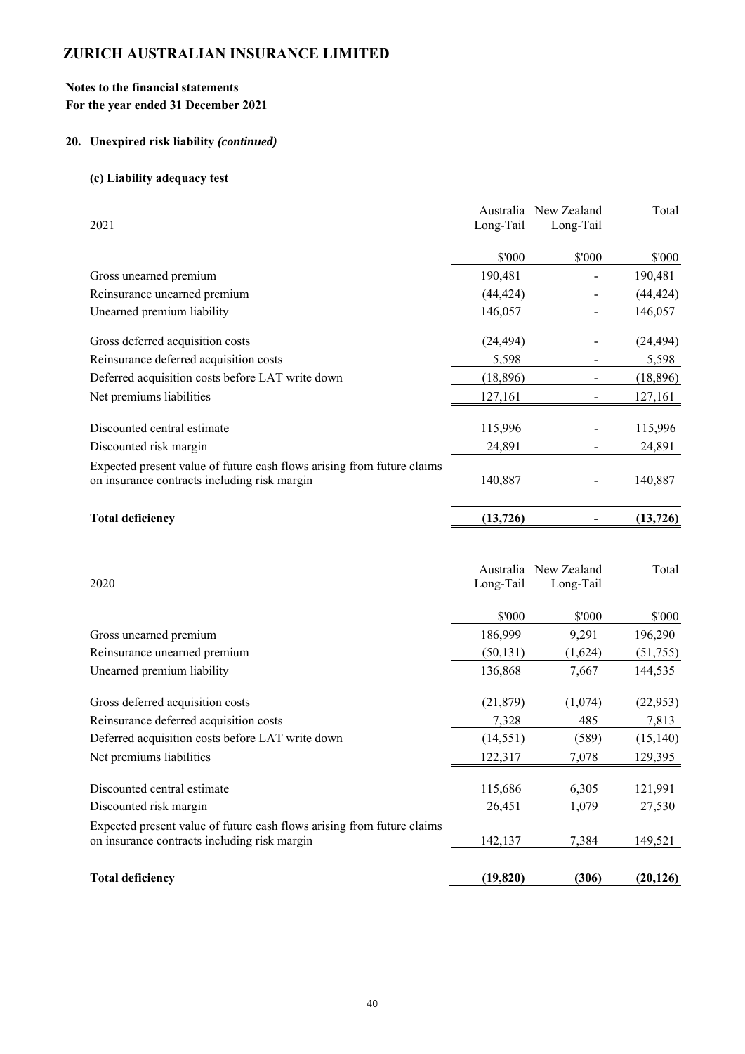# **Notes to the financial statements For the year ended 31 December 2021**

# **20. Unexpired risk liability** *(continued)*

**(c) Liability adequacy test** 

| 2021                                                                                                                   | Long-Tail            | Australia New Zealand<br>Long-Tail | Total               |
|------------------------------------------------------------------------------------------------------------------------|----------------------|------------------------------------|---------------------|
|                                                                                                                        | \$'000               | \$'000                             | \$'000              |
| Gross unearned premium                                                                                                 | 190,481              |                                    | 190,481             |
| Reinsurance unearned premium                                                                                           | (44, 424)            |                                    | (44, 424)           |
| Unearned premium liability                                                                                             | 146,057              |                                    | 146,057             |
| Gross deferred acquisition costs                                                                                       | (24, 494)            |                                    | (24, 494)           |
| Reinsurance deferred acquisition costs                                                                                 | 5,598                |                                    | 5,598               |
| Deferred acquisition costs before LAT write down                                                                       | (18, 896)            |                                    | (18,896)            |
| Net premiums liabilities                                                                                               | 127,161              |                                    | 127,161             |
| Discounted central estimate                                                                                            | 115,996              |                                    | 115,996             |
| Discounted risk margin                                                                                                 | 24,891               |                                    | 24,891              |
| Expected present value of future cash flows arising from future claims<br>on insurance contracts including risk margin | 140,887              |                                    | 140,887             |
| <b>Total deficiency</b>                                                                                                | (13, 726)            |                                    | (13, 726)           |
| 2020                                                                                                                   | Long-Tail            | Australia New Zealand<br>Long-Tail | Total               |
|                                                                                                                        | \$'000               | \$'000                             | \$'000              |
| Gross unearned premium                                                                                                 | 186,999              | 9,291                              | 196,290             |
| Reinsurance unearned premium<br>Unearned premium liability                                                             | (50, 131)<br>136,868 | (1,624)<br>7,667                   | (51,755)<br>144,535 |
| Gross deferred acquisition costs                                                                                       | (21, 879)            | (1,074)                            | (22, 953)           |
| Reinsurance deferred acquisition costs                                                                                 | 7,328                | 485                                | 7,813               |
| Deferred acquisition costs before LAT write down                                                                       | (14, 551)            | (589)                              | (15, 140)           |
| Net premiums liabilities                                                                                               | 122,317              | 7,078                              | 129,395             |
| Discounted central estimate                                                                                            | 115,686              | 6,305                              | 121,991             |
| Discounted risk margin                                                                                                 | 26,451               | 1,079                              | 27,530              |
| Expected present value of future cash flows arising from future claims<br>on insurance contracts including risk margin | 142,137              | 7,384                              | 149,521             |
| <b>Total deficiency</b>                                                                                                | (19, 820)            | (306)                              | (20, 126)           |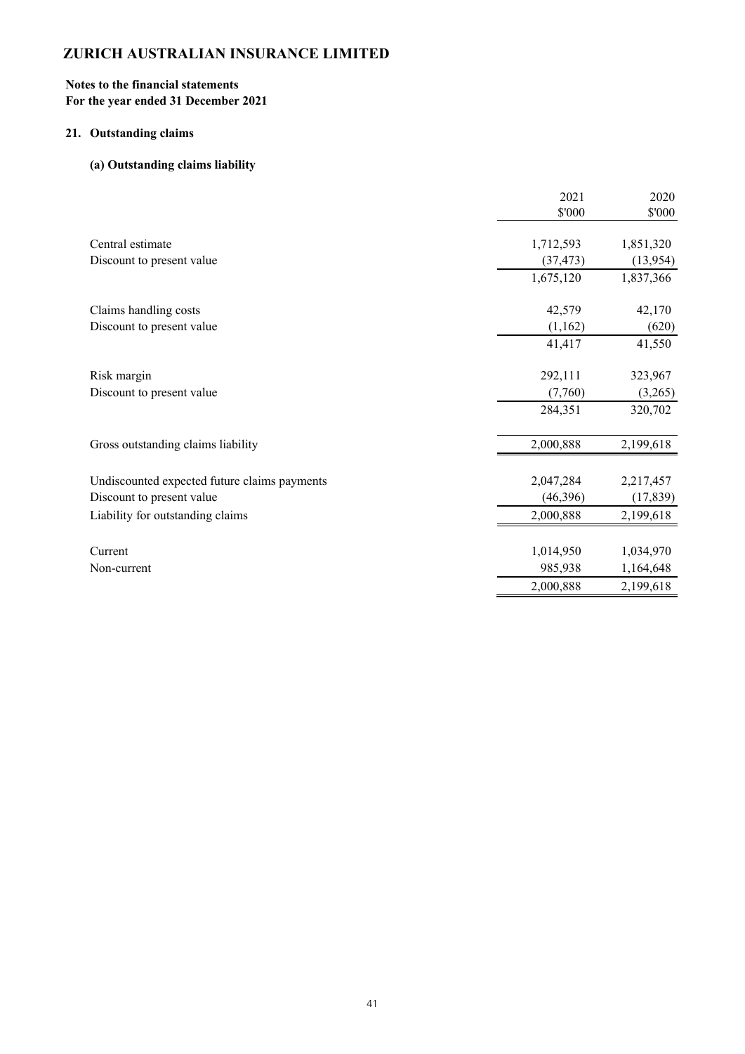# **Notes to the financial statements For the year ended 31 December 2021**

### **21. Outstanding claims**

# **(a) Outstanding claims liability**

|                                              | 2021<br>\$'000 | 2020<br>\$'000 |
|----------------------------------------------|----------------|----------------|
|                                              |                |                |
| Central estimate                             | 1,712,593      | 1,851,320      |
| Discount to present value                    | (37, 473)      | (13, 954)      |
|                                              | 1,675,120      | 1,837,366      |
| Claims handling costs                        | 42,579         | 42,170         |
| Discount to present value                    | (1,162)        | (620)          |
|                                              | 41,417         | 41,550         |
| Risk margin                                  | 292,111        | 323,967        |
| Discount to present value                    | (7,760)        | (3,265)        |
|                                              | 284,351        | 320,702        |
| Gross outstanding claims liability           | 2,000,888      | 2,199,618      |
| Undiscounted expected future claims payments | 2,047,284      | 2,217,457      |
| Discount to present value                    | (46,396)       | (17, 839)      |
| Liability for outstanding claims             | 2,000,888      | 2,199,618      |
| Current                                      | 1,014,950      | 1,034,970      |
| Non-current                                  | 985,938        | 1,164,648      |
|                                              | 2,000,888      | 2,199,618      |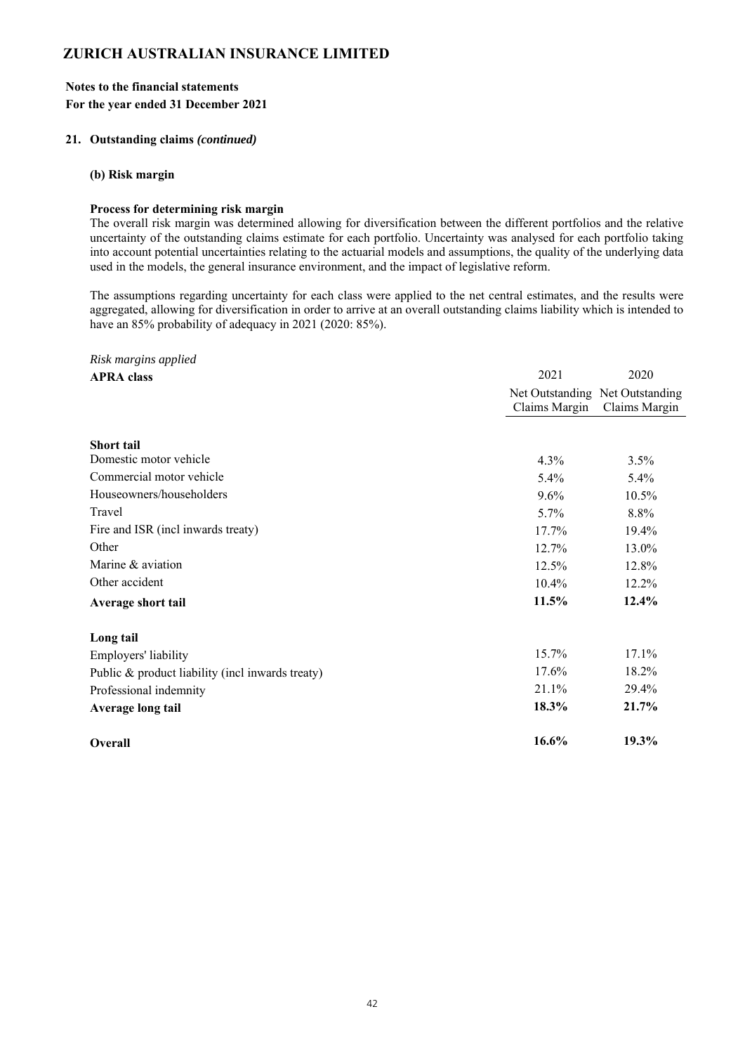# **Notes to the financial statements For the year ended 31 December 2021**

### **21. Outstanding claims** *(continued)*

#### **(b) Risk margin**

### **Process for determining risk margin**

The overall risk margin was determined allowing for diversification between the different portfolios and the relative uncertainty of the outstanding claims estimate for each portfolio. Uncertainty was analysed for each portfolio taking into account potential uncertainties relating to the actuarial models and assumptions, the quality of the underlying data used in the models, the general insurance environment, and the impact of legislative reform.

The assumptions regarding uncertainty for each class were applied to the net central estimates, and the results were aggregated, allowing for diversification in order to arrive at an overall outstanding claims liability which is intended to have an 85% probability of adequacy in 2021 (2020: 85%).

| Risk margins applied                             |               |                                                  |
|--------------------------------------------------|---------------|--------------------------------------------------|
| <b>APRA</b> class                                | 2021          | 2020                                             |
|                                                  | Claims Margin | Net Outstanding Net Outstanding<br>Claims Margin |
|                                                  |               |                                                  |
| <b>Short</b> tail                                |               |                                                  |
| Domestic motor vehicle                           | 4.3%          | 3.5%                                             |
| Commercial motor vehicle                         | 5.4%          | 5.4%                                             |
| Houseowners/householders                         | 9.6%          | 10.5%                                            |
| Travel                                           | 5.7%          | 8.8%                                             |
| Fire and ISR (incl inwards treaty)               | 17.7%         | 19.4%                                            |
| Other                                            | 12.7%         | 13.0%                                            |
| Marine & aviation                                | 12.5%         | 12.8%                                            |
| Other accident                                   | 10.4%         | 12.2%                                            |
| Average short tail                               | 11.5%         | 12.4%                                            |
| Long tail                                        |               |                                                  |
| Employers' liability                             | 15.7%         | 17.1%                                            |
| Public & product liability (incl inwards treaty) | 17.6%         | 18.2%                                            |
| Professional indemnity                           | 21.1%         | 29.4%                                            |
| Average long tail                                | 18.3%         | 21.7%                                            |
| Overall                                          | 16.6%         | 19.3%                                            |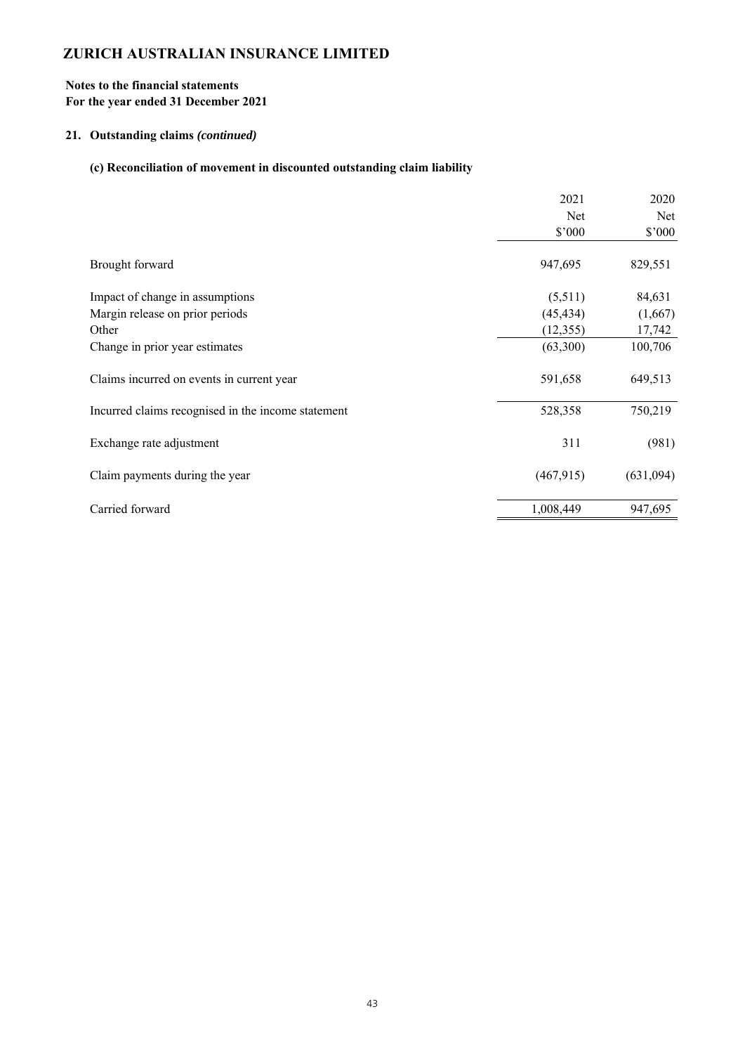# **Notes to the financial statements For the year ended 31 December 2021**

### **21. Outstanding claims** *(continued)*

### **(c) Reconciliation of movement in discounted outstanding claim liability**

|                                                    | 2021<br>Net<br>\$'000 | 2020<br>Net<br>\$'000 |
|----------------------------------------------------|-----------------------|-----------------------|
| Brought forward                                    | 947,695               | 829,551               |
| Impact of change in assumptions                    | (5,511)               | 84,631                |
| Margin release on prior periods                    | (45, 434)             | (1,667)               |
| Other                                              | (12, 355)             | 17,742                |
| Change in prior year estimates                     | (63,300)              | 100,706               |
| Claims incurred on events in current year          | 591,658               | 649,513               |
| Incurred claims recognised in the income statement | 528,358               | 750,219               |
| Exchange rate adjustment                           | 311                   | (981)                 |
| Claim payments during the year                     | (467, 915)            | (631,094)             |
| Carried forward                                    | 1,008,449             | 947,695               |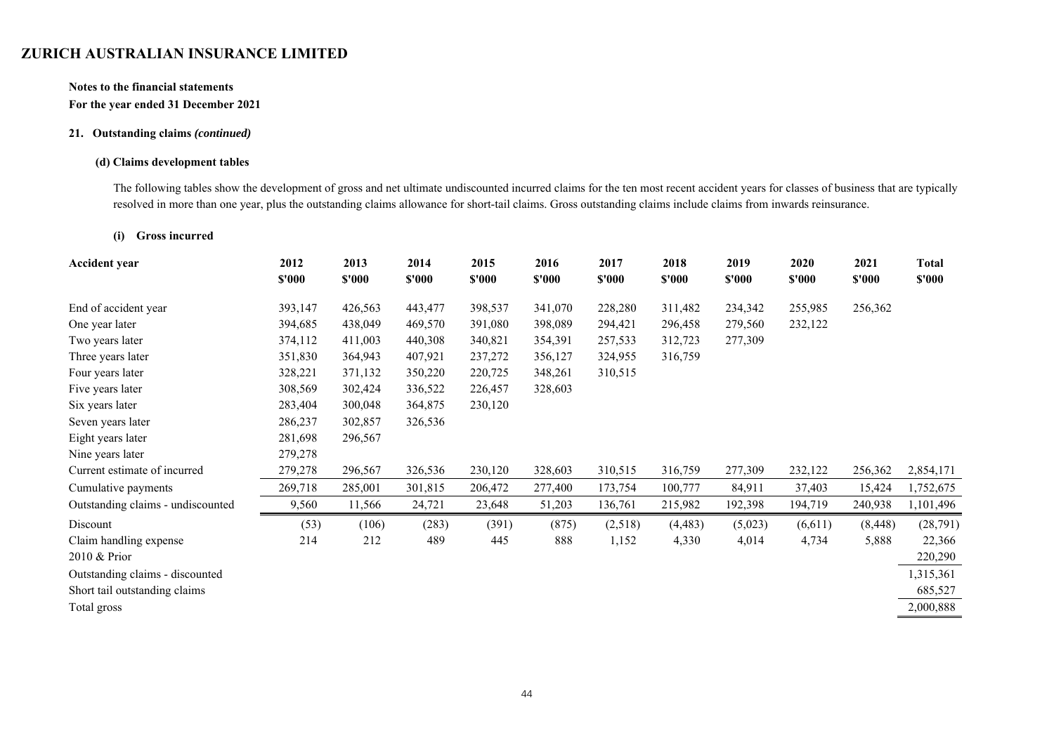#### **Notes to the financial statements**

#### **For the year ended 31 December 2021**

### **21. Outstanding claims** *(continued)*

#### **(d) Claims development tables**

 The following tables show the development of gross and net ultimate undiscounted incurred claims for the ten most recent accident years for classes of business that are typically resolved in more than one year, plus the outstanding claims allowance for short-tail claims. Gross outstanding claims include claims from inwards reinsurance.

### **(i) Gross incurred**

| <b>Accident year</b>              | 2012<br>\$'000 | 2013<br>\$'000 | 2014<br>\$'000 | 2015<br>\$'000 | 2016<br>\$'000 | 2017<br>\$'000 | 2018<br>\$'000 | 2019<br>\$'000 | 2020<br>\$'000 | 2021<br>\$'000 | <b>Total</b><br>\$'000 |
|-----------------------------------|----------------|----------------|----------------|----------------|----------------|----------------|----------------|----------------|----------------|----------------|------------------------|
| End of accident year              | 393,147        | 426,563        | 443,477        | 398,537        | 341,070        | 228,280        | 311,482        | 234,342        | 255,985        | 256,362        |                        |
| One year later                    | 394,685        | 438,049        | 469,570        | 391,080        | 398,089        | 294,421        | 296,458        | 279,560        | 232,122        |                |                        |
| Two years later                   | 374,112        | 411,003        | 440,308        | 340,821        | 354,391        | 257,533        | 312,723        | 277,309        |                |                |                        |
| Three years later                 | 351,830        | 364,943        | 407,921        | 237,272        | 356,127        | 324,955        | 316,759        |                |                |                |                        |
| Four years later                  | 328,221        | 371,132        | 350,220        | 220,725        | 348,261        | 310,515        |                |                |                |                |                        |
| Five years later                  | 308,569        | 302,424        | 336,522        | 226,457        | 328,603        |                |                |                |                |                |                        |
| Six years later                   | 283,404        | 300,048        | 364,875        | 230,120        |                |                |                |                |                |                |                        |
| Seven years later                 | 286,237        | 302,857        | 326,536        |                |                |                |                |                |                |                |                        |
| Eight years later                 | 281,698        | 296,567        |                |                |                |                |                |                |                |                |                        |
| Nine years later                  | 279,278        |                |                |                |                |                |                |                |                |                |                        |
| Current estimate of incurred      | 279,278        | 296,567        | 326,536        | 230,120        | 328,603        | 310,515        | 316,759        | 277,309        | 232,122        | 256,362        | 2,854,171              |
| Cumulative payments               | 269,718        | 285,001        | 301,815        | 206,472        | 277,400        | 173,754        | 100,777        | 84,911         | 37,403         | 15,424         | 1,752,675              |
| Outstanding claims - undiscounted | 9,560          | 11,566         | 24,721         | 23,648         | 51,203         | 136,761        | 215,982        | 192,398        | 194,719        | 240,938        | 1,101,496              |
| Discount                          | (53)           | (106)          | (283)          | (391)          | (875)          | (2,518)        | (4, 483)       | (5,023)        | (6,611)        | (8, 448)       | (28, 791)              |
| Claim handling expense            | 214            | 212            | 489            | 445            | 888            | 1,152          | 4,330          | 4,014          | 4,734          | 5,888          | 22,366                 |
| 2010 & Prior                      |                |                |                |                |                |                |                |                |                |                | 220,290                |
| Outstanding claims - discounted   |                |                |                |                |                |                |                |                |                |                | 1,315,361              |
| Short tail outstanding claims     |                |                |                |                |                |                |                |                |                |                | 685,527                |
| Total gross                       |                |                |                |                |                |                |                |                |                |                | 2,000,888              |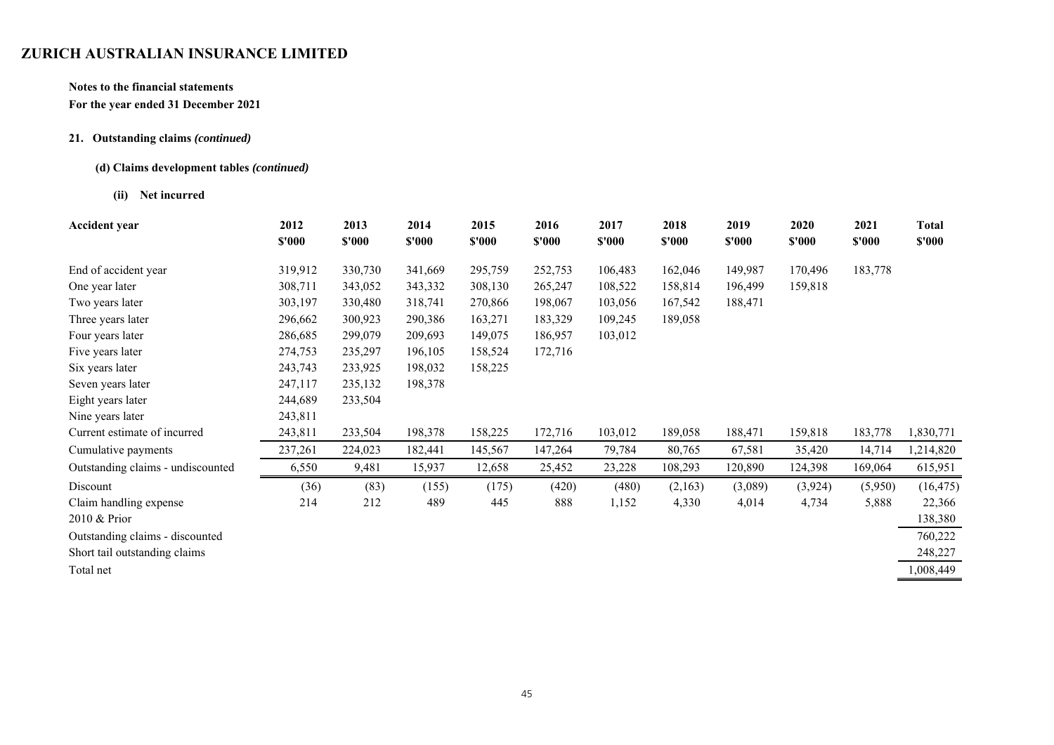#### **Notes to the financial statements**

**For the year ended 31 December 2021**

### **21. Outstanding claims** *(continued)*

# **(d) Claims development tables** *(continued)*

# **(ii) Net incurred**

| <b>Accident year</b>              | 2012<br>\$'000 | 2013<br>\$'000 | 2014    | 2015<br>\$'000 | 2016<br>\$'000 | 2017<br>\$'000 | 2018<br>\$'000 | 2019<br>\$'000 | 2020<br>\$'000 | 2021<br>\$'000 | Total<br>\$'000 |
|-----------------------------------|----------------|----------------|---------|----------------|----------------|----------------|----------------|----------------|----------------|----------------|-----------------|
|                                   |                |                | \$'000  |                |                |                |                |                |                |                |                 |
| End of accident year              | 319,912        | 330,730        | 341,669 | 295,759        | 252,753        | 106,483        | 162,046        | 149,987        | 170,496        | 183,778        |                 |
| One year later                    | 308,711        | 343,052        | 343,332 | 308,130        | 265,247        | 108,522        | 158,814        | 196,499        | 159,818        |                |                 |
| Two years later                   | 303,197        | 330,480        | 318,741 | 270,866        | 198,067        | 103,056        | 167,542        | 188,471        |                |                |                 |
| Three years later                 | 296,662        | 300,923        | 290,386 | 163,271        | 183,329        | 109,245        | 189,058        |                |                |                |                 |
| Four years later                  | 286,685        | 299,079        | 209,693 | 149,075        | 186,957        | 103,012        |                |                |                |                |                 |
| Five years later                  | 274,753        | 235,297        | 196,105 | 158,524        | 172,716        |                |                |                |                |                |                 |
| Six years later                   | 243,743        | 233,925        | 198,032 | 158,225        |                |                |                |                |                |                |                 |
| Seven years later                 | 247,117        | 235,132        | 198,378 |                |                |                |                |                |                |                |                 |
| Eight years later                 | 244,689        | 233,504        |         |                |                |                |                |                |                |                |                 |
| Nine years later                  | 243,811        |                |         |                |                |                |                |                |                |                |                 |
| Current estimate of incurred      | 243,811        | 233,504        | 198,378 | 158,225        | 172,716        | 103,012        | 189,058        | 188,471        | 159,818        | 183,778        | 1,830,771       |
| Cumulative payments               | 237,261        | 224,023        | 182,441 | 145,567        | 147,264        | 79,784         | 80,765         | 67,581         | 35,420         | 14,714         | 1,214,820       |
| Outstanding claims - undiscounted | 6,550          | 9,481          | 15,937  | 12,658         | 25,452         | 23,228         | 108,293        | 120,890        | 124,398        | 169,064        | 615,951         |
| Discount                          | (36)           | (83)           | (155)   | (175)          | (420)          | (480)          | (2,163)        | (3,089)        | (3,924)        | (5,950)        | (16, 475)       |
| Claim handling expense            | 214            | 212            | 489     | 445            | 888            | 1,152          | 4,330          | 4,014          | 4,734          | 5,888          | 22,366          |
| 2010 & Prior                      |                |                |         |                |                |                |                |                |                |                | 138,380         |
| Outstanding claims - discounted   |                |                |         |                |                |                |                |                |                |                | 760,222         |
| Short tail outstanding claims     |                |                |         |                |                |                |                |                |                |                | 248,227         |
| Total net                         |                |                |         |                |                |                |                |                |                |                | 1,008,449       |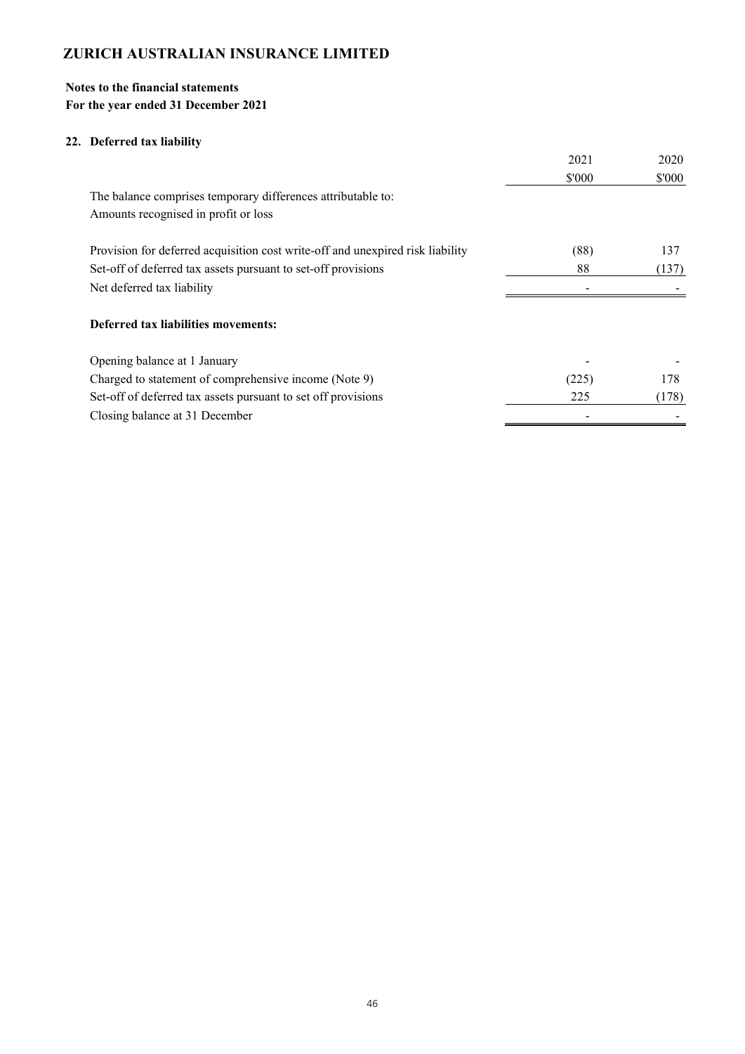# **Notes to the financial statements For the year ended 31 December 2021**

# **22. Deferred tax liability**

|                                                                                | 2021   | 2020   |
|--------------------------------------------------------------------------------|--------|--------|
|                                                                                | \$'000 | \$'000 |
| The balance comprises temporary differences attributable to:                   |        |        |
| Amounts recognised in profit or loss                                           |        |        |
| Provision for deferred acquisition cost write-off and unexpired risk liability | (88)   | 137    |
| Set-off of deferred tax assets pursuant to set-off provisions                  | 88     | (137)  |
| Net deferred tax liability                                                     |        |        |
| Deferred tax liabilities movements:                                            |        |        |
| Opening balance at 1 January                                                   |        |        |
| Charged to statement of comprehensive income (Note 9)                          | (225)  | 178    |
| Set-off of deferred tax assets pursuant to set off provisions                  | 225    | (178)  |
| Closing balance at 31 December                                                 |        |        |
|                                                                                |        |        |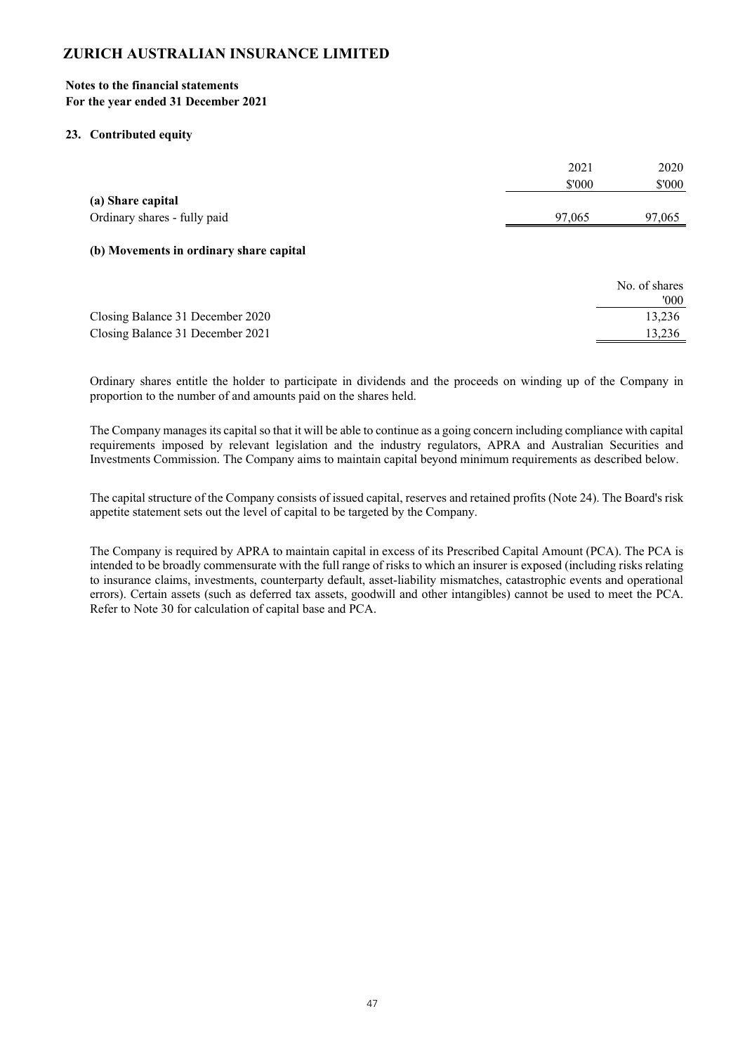# **Notes to the financial statements For the year ended 31 December 2021**

### **23. Contributed equity**

|                              | 2021<br>\$'000 | 2020<br>\$'000 |
|------------------------------|----------------|----------------|
| (a) Share capital            |                |                |
| Ordinary shares - fully paid | 97,065         | 97,065         |

| No. of shares<br>'000' |
|------------------------|
| 13.236                 |
| 13,236                 |
|                        |

Ordinary shares entitle the holder to participate in dividends and the proceeds on winding up of the Company in proportion to the number of and amounts paid on the shares held.

The Company manages its capital so that it will be able to continue as a going concern including compliance with capital requirements imposed by relevant legislation and the industry regulators, APRA and Australian Securities and Investments Commission. The Company aims to maintain capital beyond minimum requirements as described below.

The capital structure of the Company consists of issued capital, reserves and retained profits (Note 24). The Board's risk appetite statement sets out the level of capital to be targeted by the Company.

The Company is required by APRA to maintain capital in excess of its Prescribed Capital Amount (PCA). The PCA is intended to be broadly commensurate with the full range of risks to which an insurer is exposed (including risks relating to insurance claims, investments, counterparty default, asset-liability mismatches, catastrophic events and operational errors). Certain assets (such as deferred tax assets, goodwill and other intangibles) cannot be used to meet the PCA. Refer to Note 30 for calculation of capital base and PCA.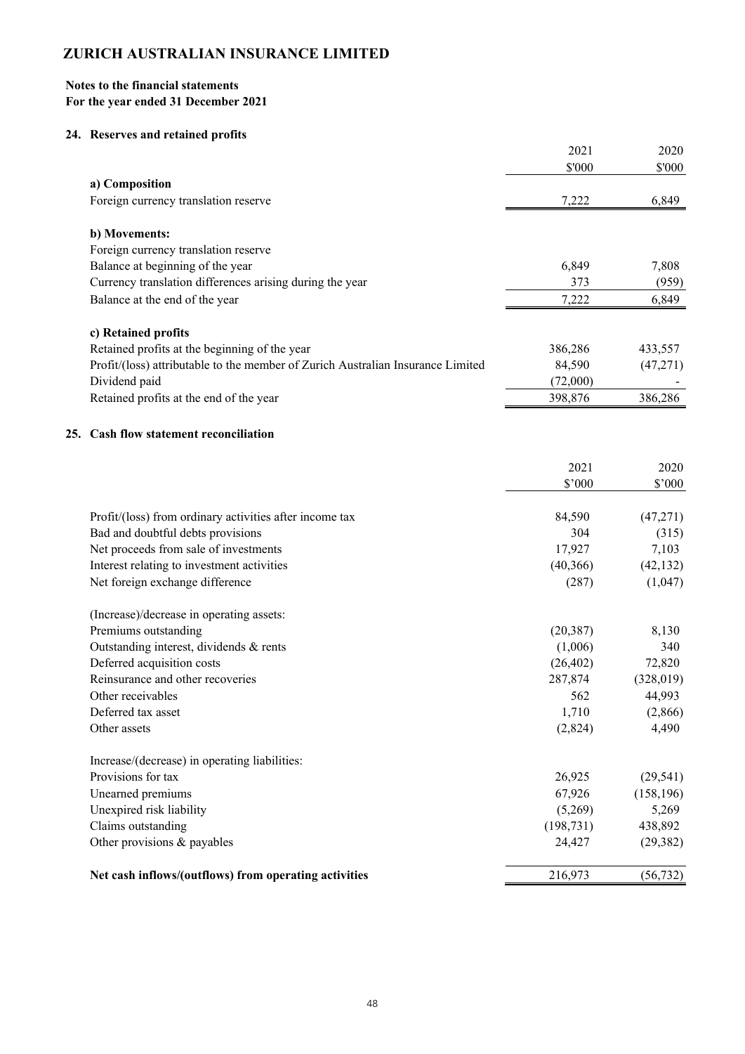# **Notes to the financial statements For the year ended 31 December 2021**

### **24. Reserves and retained profits**

|                                                                                 | 2021       | 2020       |
|---------------------------------------------------------------------------------|------------|------------|
|                                                                                 | \$'000     | $$'000$    |
| a) Composition                                                                  |            |            |
| Foreign currency translation reserve                                            | 7,222      | 6,849      |
| b) Movements:                                                                   |            |            |
| Foreign currency translation reserve                                            |            |            |
| Balance at beginning of the year                                                | 6,849      | 7,808      |
| Currency translation differences arising during the year                        | 373        | (959)      |
| Balance at the end of the year                                                  | 7,222      | 6,849      |
| c) Retained profits                                                             |            |            |
| Retained profits at the beginning of the year                                   | 386,286    | 433,557    |
| Profit/(loss) attributable to the member of Zurich Australian Insurance Limited | 84,590     | (47,271)   |
| Dividend paid                                                                   | (72,000)   |            |
| Retained profits at the end of the year                                         | 398,876    | 386,286    |
| 25. Cash flow statement reconciliation                                          |            |            |
|                                                                                 | 2021       | 2020       |
|                                                                                 | \$'000     | \$'000     |
| Profit/(loss) from ordinary activities after income tax                         | 84,590     | (47,271)   |
| Bad and doubtful debts provisions                                               | 304        | (315)      |
| Net proceeds from sale of investments                                           | 17,927     | 7,103      |
| Interest relating to investment activities                                      | (40, 366)  | (42, 132)  |
| Net foreign exchange difference                                                 | (287)      | (1,047)    |
| (Increase)/decrease in operating assets:                                        |            |            |
| Premiums outstanding                                                            | (20, 387)  | 8,130      |
| Outstanding interest, dividends & rents                                         | (1,006)    | 340        |
| Deferred acquisition costs                                                      | (26, 402)  | 72,820     |
| Reinsurance and other recoveries                                                | 287,874    | (328,019)  |
| Other receivables                                                               | 562        | 44,993     |
| Deferred tax asset                                                              | 1,710      | (2,866)    |
| Other assets                                                                    | (2,824)    | 4,490      |
| Increase/(decrease) in operating liabilities:                                   |            |            |
| Provisions for tax                                                              | 26,925     | (29, 541)  |
| Unearned premiums                                                               | 67,926     | (158, 196) |
| Unexpired risk liability                                                        | (5,269)    | 5,269      |
| Claims outstanding                                                              | (198, 731) | 438,892    |
| Other provisions & payables                                                     | 24,427     | (29, 382)  |
| Net cash inflows/(outflows) from operating activities                           | 216,973    | (56, 732)  |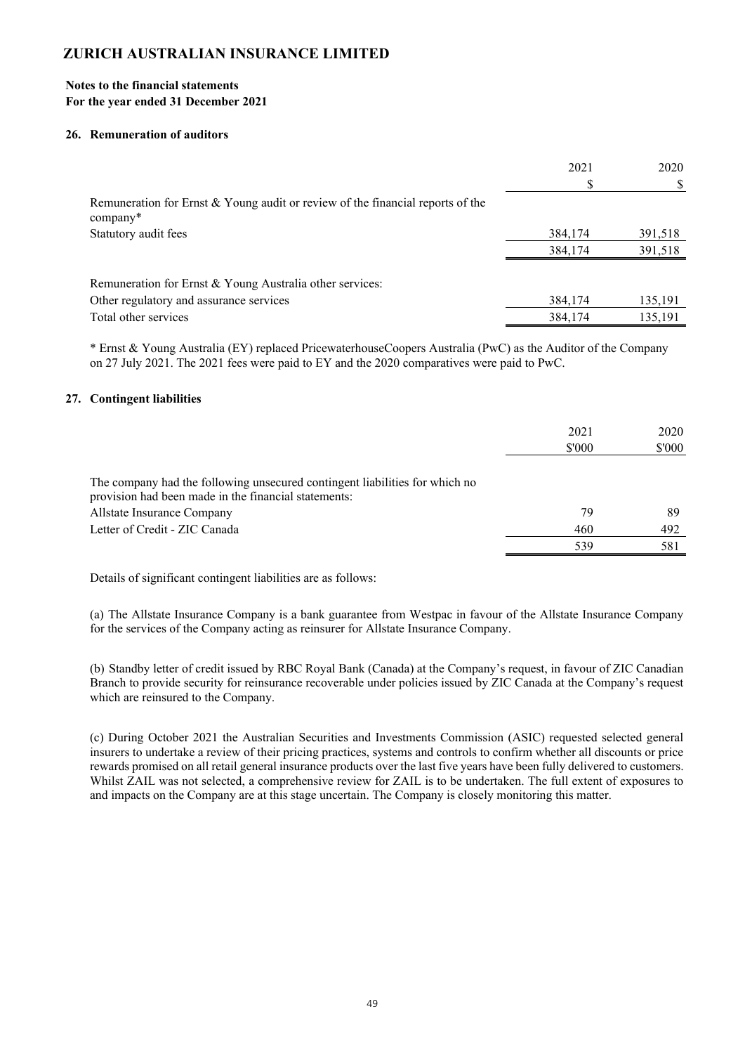# **Notes to the financial statements For the year ended 31 December 2021**

#### **26. Remuneration of auditors**

|                                                                                            | 2021    | 2020    |
|--------------------------------------------------------------------------------------------|---------|---------|
|                                                                                            |         |         |
| Remuneration for Ernst & Young audit or review of the financial reports of the<br>company* |         |         |
| Statutory audit fees                                                                       | 384,174 | 391,518 |
|                                                                                            | 384,174 | 391,518 |
| Remuneration for Ernst & Young Australia other services:                                   |         |         |
| Other regulatory and assurance services                                                    | 384,174 | 135,191 |
| Total other services                                                                       | 384,174 | 135,191 |

\* Ernst & Young Australia (EY) replaced PricewaterhouseCoopers Australia (PwC) as the Auditor of the Company on 27 July 2021. The 2021 fees were paid to EY and the 2020 comparatives were paid to PwC.

### **27. Contingent liabilities**

|                                                                                                                                     | 2021<br>\$'000 | 2020<br>\$'000 |
|-------------------------------------------------------------------------------------------------------------------------------------|----------------|----------------|
| The company had the following unsecured contingent liabilities for which no<br>provision had been made in the financial statements: |                |                |
| Allstate Insurance Company                                                                                                          | 79             | 89             |
| Letter of Credit - ZIC Canada                                                                                                       | 460            | 492            |
|                                                                                                                                     | 539            | 581            |

Details of significant contingent liabilities are as follows:

(a) The Allstate Insurance Company is a bank guarantee from Westpac in favour of the Allstate Insurance Company for the services of the Company acting as reinsurer for Allstate Insurance Company.

(b) Standby letter of credit issued by RBC Royal Bank (Canada) at the Company's request, in favour of ZIC Canadian Branch to provide security for reinsurance recoverable under policies issued by ZIC Canada at the Company's request which are reinsured to the Company.

(c) During October 2021 the Australian Securities and Investments Commission (ASIC) requested selected general insurers to undertake a review of their pricing practices, systems and controls to confirm whether all discounts or price rewards promised on all retail general insurance products over the last five years have been fully delivered to customers. Whilst ZAIL was not selected, a comprehensive review for ZAIL is to be undertaken. The full extent of exposures to and impacts on the Company are at this stage uncertain. The Company is closely monitoring this matter.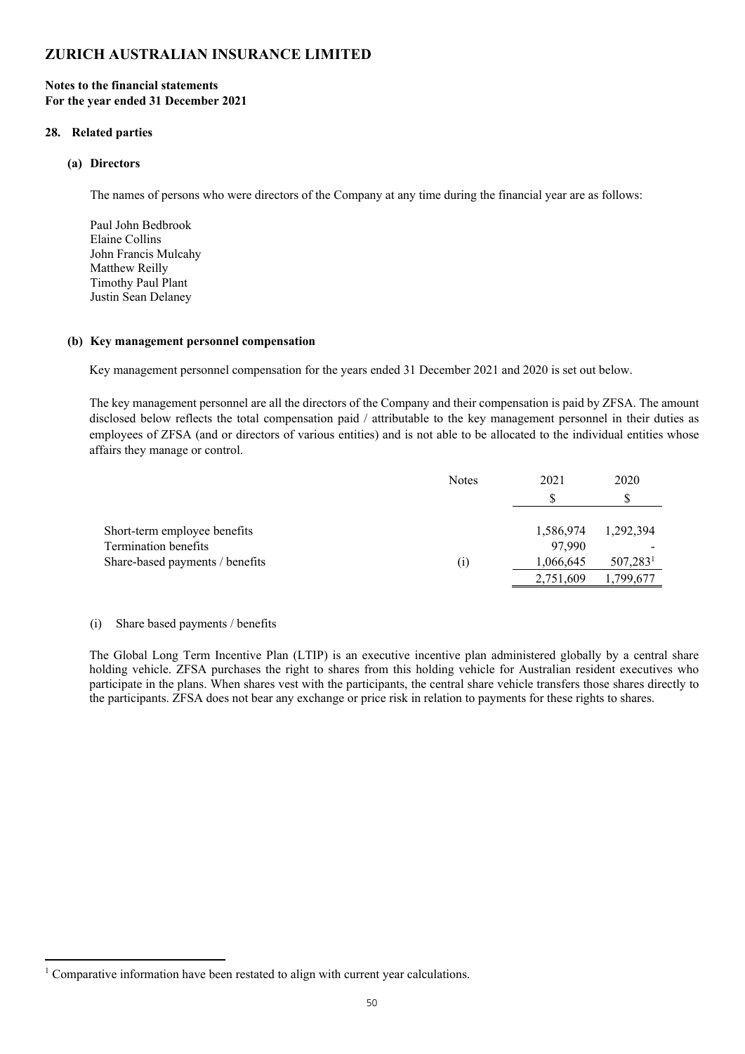### **Notes to the financial statements For the year ended 31 December 2021**

#### **28. Related parties**

#### **(a) Directors**

The names of persons who were directors of the Company at any time during the financial year are as follows:

Paul John Bedbrook Elaine Collins John Francis Mulcahy Matthew Reilly Timothy Paul Plant Justin Sean Delaney

#### **(b) Key management personnel compensation**

Key management personnel compensation for the years ended 31 December 2021 and 2020 is set out below.

The key management personnel are all the directors of the Company and their compensation is paid by ZFSA. The amount disclosed below reflects the total compensation paid / attributable to the key management personnel in their duties as employees of ZFSA (and or directors of various entities) and is not able to be allocated to the individual entities whose affairs they manage or control.

|                                 | <b>Notes</b> | 2021      | 2020                   |
|---------------------------------|--------------|-----------|------------------------|
|                                 |              |           |                        |
|                                 |              |           |                        |
| Short-term employee benefits    |              | 1,586,974 | 1,292,394              |
| Termination benefits            |              | 97,990    |                        |
| Share-based payments / benefits | (1)          | 1,066,645 | $507,283$ <sup>1</sup> |
|                                 |              | 2,751,609 | 1,799,677              |

(i) Share based payments / benefits

The Global Long Term Incentive Plan (LTIP) is an executive incentive plan administered globally by a central share holding vehicle. ZFSA purchases the right to shares from this holding vehicle for Australian resident executives who participate in the plans. When shares vest with the participants, the central share vehicle transfers those shares directly to the participants. ZFSA does not bear any exchange or price risk in relation to payments for these rights to shares.

<sup>&</sup>lt;sup>1</sup> Comparative information have been restated to align with current year calculations.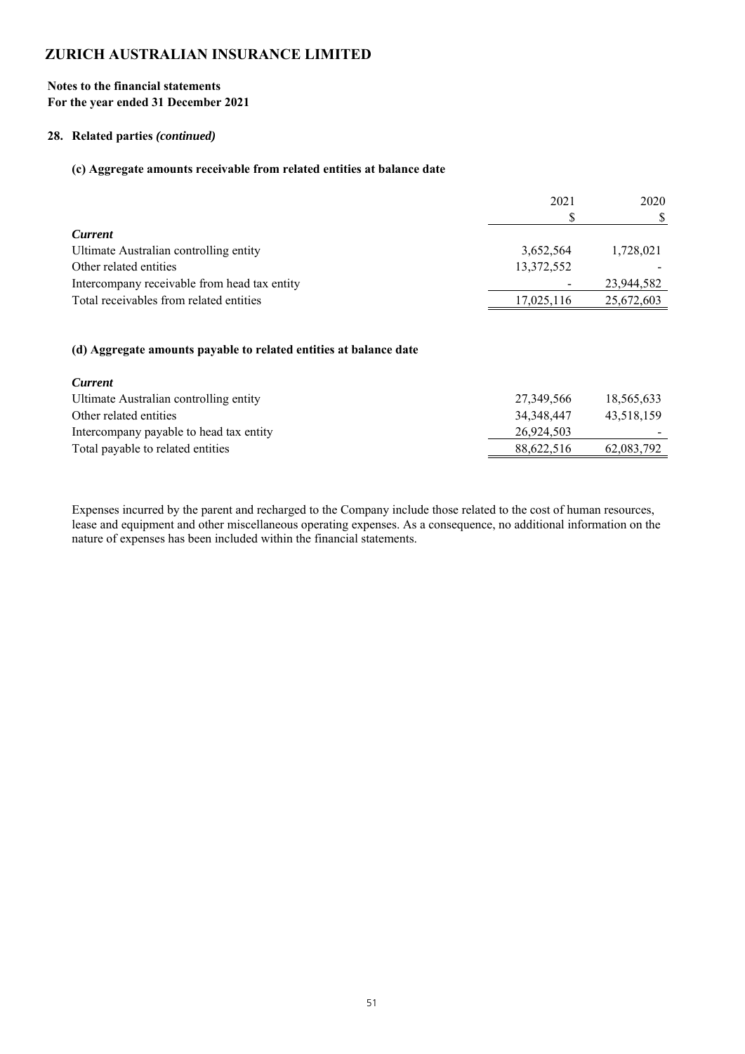# **Notes to the financial statements For the year ended 31 December 2021**

### **28. Related parties** *(continued)*

### **(c) Aggregate amounts receivable from related entities at balance date**

| 2021       | 2020       |
|------------|------------|
|            |            |
|            |            |
| 3,652,564  | 1,728,021  |
| 13,372,552 |            |
|            | 23,944,582 |
| 17,025,116 | 25,672,603 |
|            |            |

### **(d) Aggregate amounts payable to related entities at balance date**

| Current                                 |              |            |
|-----------------------------------------|--------------|------------|
| Ultimate Australian controlling entity  | 27,349,566   | 18,565,633 |
| Other related entities                  | 34, 348, 447 | 43.518.159 |
| Intercompany payable to head tax entity | 26,924,503   |            |
| Total payable to related entities       | 88,622,516   | 62,083,792 |

Expenses incurred by the parent and recharged to the Company include those related to the cost of human resources, lease and equipment and other miscellaneous operating expenses. As a consequence, no additional information on the nature of expenses has been included within the financial statements.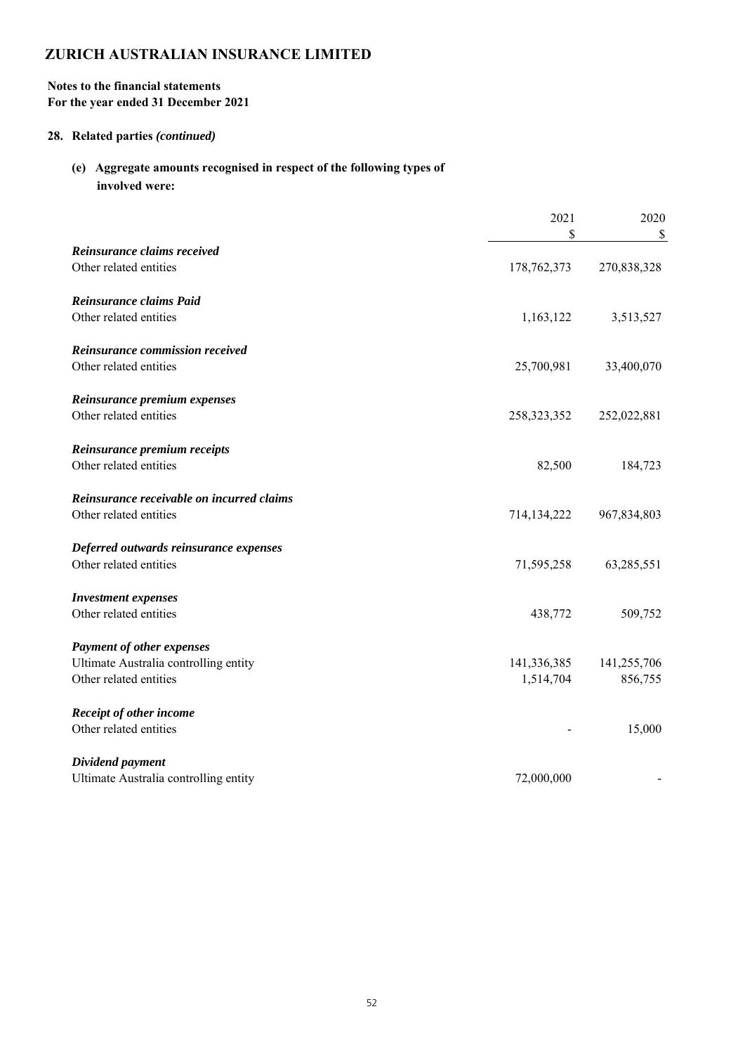# **Notes to the financial statements For the year ended 31 December 2021**

# **28. Related parties** *(continued)*

# **(e) Aggregate amounts recognised in respect of the following types of involved were:**

|                                           | 2021          | 2020        |
|-------------------------------------------|---------------|-------------|
|                                           | \$            | \$          |
| Reinsurance claims received               |               |             |
| Other related entities                    | 178,762,373   | 270,838,328 |
| Reinsurance claims Paid                   |               |             |
| Other related entities                    | 1,163,122     | 3,513,527   |
| Reinsurance commission received           |               |             |
| Other related entities                    | 25,700,981    | 33,400,070  |
| Reinsurance premium expenses              |               |             |
| Other related entities                    | 258, 323, 352 | 252,022,881 |
| Reinsurance premium receipts              |               |             |
| Other related entities                    | 82,500        | 184,723     |
| Reinsurance receivable on incurred claims |               |             |
| Other related entities                    | 714,134,222   | 967,834,803 |
| Deferred outwards reinsurance expenses    |               |             |
| Other related entities                    | 71,595,258    | 63,285,551  |
| <b>Investment</b> expenses                |               |             |
| Other related entities                    | 438,772       | 509,752     |
| <b>Payment of other expenses</b>          |               |             |
| Ultimate Australia controlling entity     | 141,336,385   | 141,255,706 |
| Other related entities                    | 1,514,704     | 856,755     |
| Receipt of other income                   |               |             |
| Other related entities                    |               | 15,000      |
| Dividend payment                          |               |             |
| Ultimate Australia controlling entity     | 72,000,000    |             |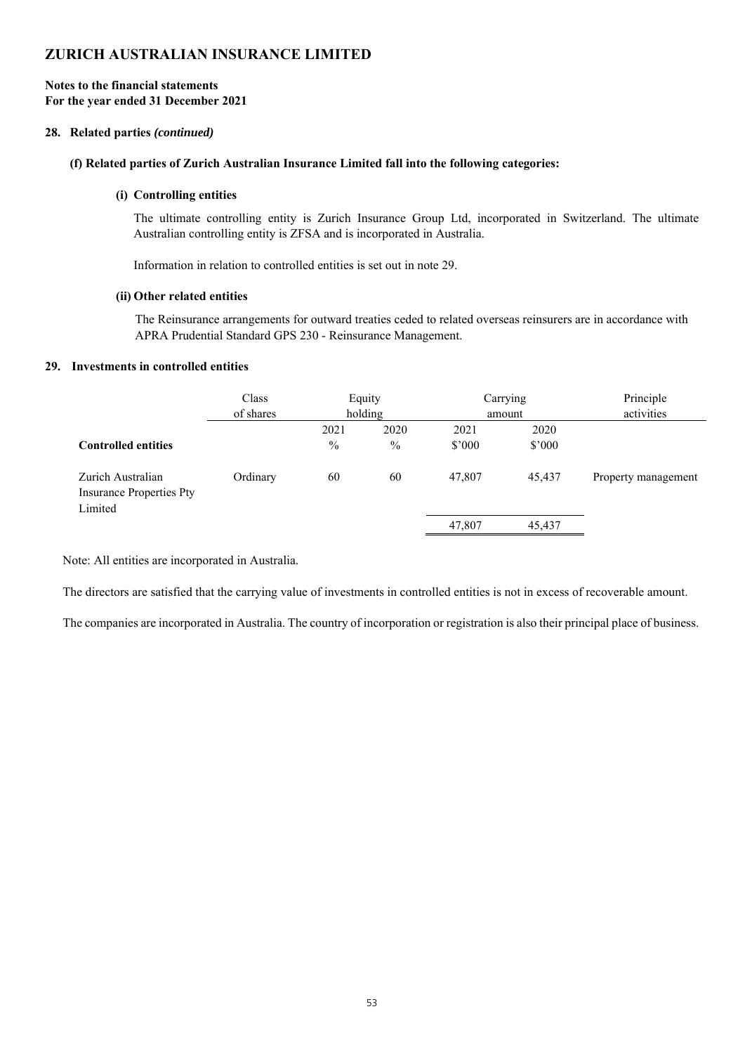### **Notes to the financial statements For the year ended 31 December 2021**

#### **28. Related parties** *(continued)*

#### **(f) Related parties of Zurich Australian Insurance Limited fall into the following categories:**

#### **(i) Controlling entities**

The ultimate controlling entity is Zurich Insurance Group Ltd, incorporated in Switzerland. The ultimate Australian controlling entity is ZFSA and is incorporated in Australia.

Information in relation to controlled entities is set out in note 29.

### **(ii) Other related entities**

The Reinsurance arrangements for outward treaties ceded to related overseas reinsurers are in accordance with APRA Prudential Standard GPS 230 - Reinsurance Management.

# **29. Investments in controlled entities**

|                                                                 | Class     | Equity<br>holding |                       | Carrying         |                  | Principle           |
|-----------------------------------------------------------------|-----------|-------------------|-----------------------|------------------|------------------|---------------------|
|                                                                 | of shares |                   |                       |                  | amount           | activities          |
| <b>Controlled entities</b>                                      |           | 2021<br>$\%$      | 2020<br>$\frac{0}{0}$ | 2021<br>\$'000   | 2020<br>\$2000   |                     |
| Zurich Australian<br><b>Insurance Properties Pty</b><br>Limited | Ordinary  | 60                | 60                    | 47,807<br>47,807 | 45.437<br>45.437 | Property management |

Note: All entities are incorporated in Australia.

The directors are satisfied that the carrying value of investments in controlled entities is not in excess of recoverable amount.

The companies are incorporated in Australia. The country of incorporation or registration is also their principal place of business.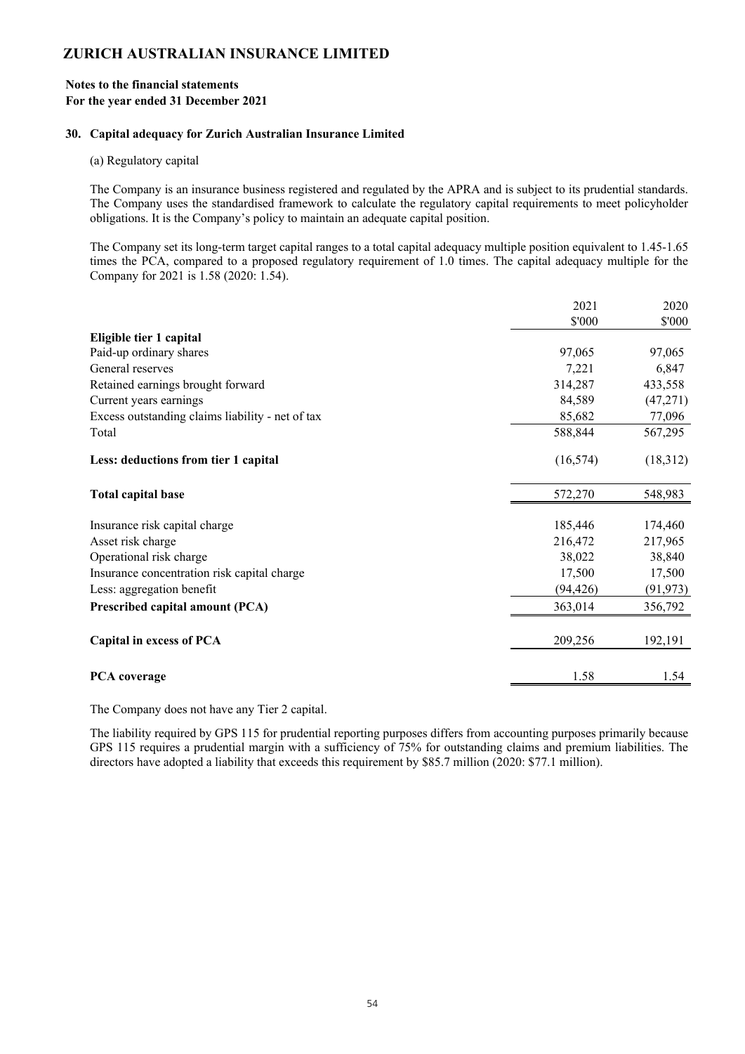# **Notes to the financial statements For the year ended 31 December 2021**

### **30. Capital adequacy for Zurich Australian Insurance Limited**

(a) Regulatory capital

The Company is an insurance business registered and regulated by the APRA and is subject to its prudential standards. The Company uses the standardised framework to calculate the regulatory capital requirements to meet policyholder obligations. It is the Company's policy to maintain an adequate capital position.

The Company set its long-term target capital ranges to a total capital adequacy multiple position equivalent to 1.45-1.65 times the PCA, compared to a proposed regulatory requirement of 1.0 times. The capital adequacy multiple for the Company for 2021 is 1.58 (2020: 1.54).

|                                                  | 2021<br>\$'000 | 2020<br>\$'000 |
|--------------------------------------------------|----------------|----------------|
| Eligible tier 1 capital                          |                |                |
| Paid-up ordinary shares                          | 97,065         | 97,065         |
| General reserves                                 | 7,221          | 6,847          |
| Retained earnings brought forward                | 314,287        | 433,558        |
| Current years earnings                           | 84,589         | (47,271)       |
| Excess outstanding claims liability - net of tax | 85,682         | 77,096         |
| Total                                            | 588,844        | 567,295        |
| Less: deductions from tier 1 capital             | (16, 574)      | (18,312)       |
| <b>Total capital base</b>                        | 572,270        | 548,983        |
| Insurance risk capital charge                    | 185,446        | 174,460        |
| Asset risk charge                                | 216,472        | 217,965        |
| Operational risk charge                          | 38,022         | 38,840         |
| Insurance concentration risk capital charge      | 17,500         | 17,500         |
| Less: aggregation benefit                        | (94, 426)      | (91, 973)      |
| Prescribed capital amount (PCA)                  | 363,014        | 356,792        |
| <b>Capital in excess of PCA</b>                  | 209,256        | 192,191        |
| PCA coverage                                     | 1.58           | 1.54           |

The Company does not have any Tier 2 capital.

The liability required by GPS 115 for prudential reporting purposes differs from accounting purposes primarily because GPS 115 requires a prudential margin with a sufficiency of 75% for outstanding claims and premium liabilities. The directors have adopted a liability that exceeds this requirement by \$85.7 million (2020: \$77.1 million).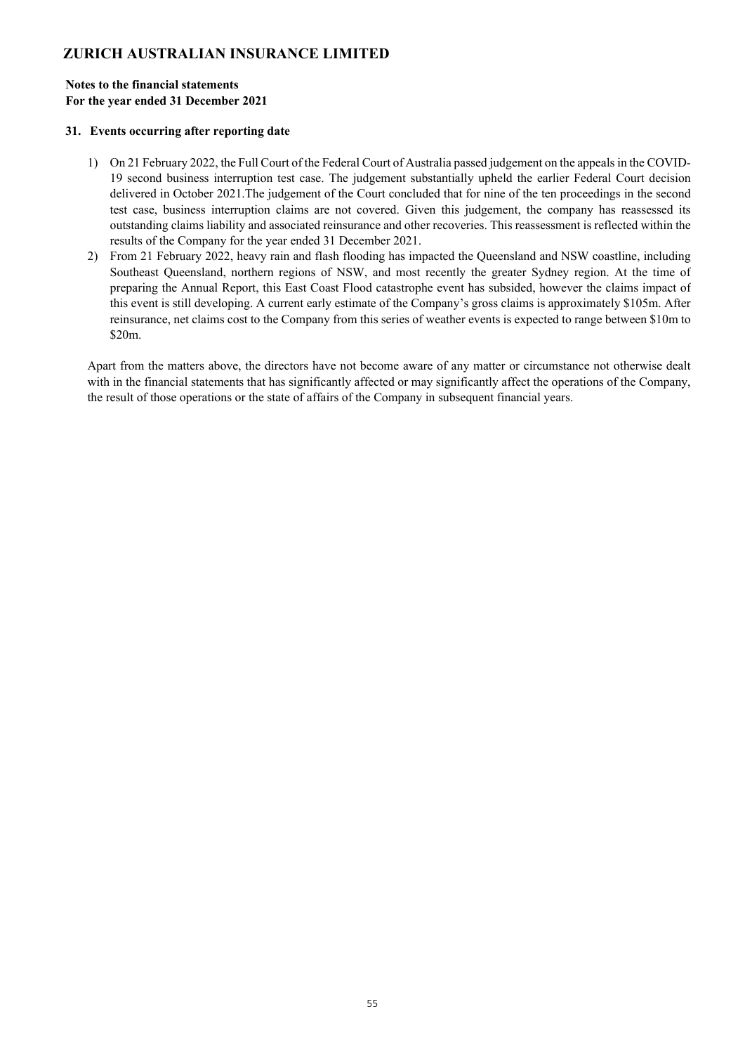# **Notes to the financial statements For the year ended 31 December 2021**

### **31. Events occurring after reporting date**

- 1) On 21 February 2022, the Full Court of the Federal Court of Australia passed judgement on the appeals in the COVID-19 second business interruption test case. The judgement substantially upheld the earlier Federal Court decision delivered in October 2021.The judgement of the Court concluded that for nine of the ten proceedings in the second test case, business interruption claims are not covered. Given this judgement, the company has reassessed its outstanding claims liability and associated reinsurance and other recoveries. This reassessment is reflected within the results of the Company for the year ended 31 December 2021.
- 2) From 21 February 2022, heavy rain and flash flooding has impacted the Queensland and NSW coastline, including Southeast Queensland, northern regions of NSW, and most recently the greater Sydney region. At the time of preparing the Annual Report, this East Coast Flood catastrophe event has subsided, however the claims impact of this event is still developing. A current early estimate of the Company's gross claims is approximately \$105m. After reinsurance, net claims cost to the Company from this series of weather events is expected to range between \$10m to \$20m.

Apart from the matters above, the directors have not become aware of any matter or circumstance not otherwise dealt with in the financial statements that has significantly affected or may significantly affect the operations of the Company, the result of those operations or the state of affairs of the Company in subsequent financial years.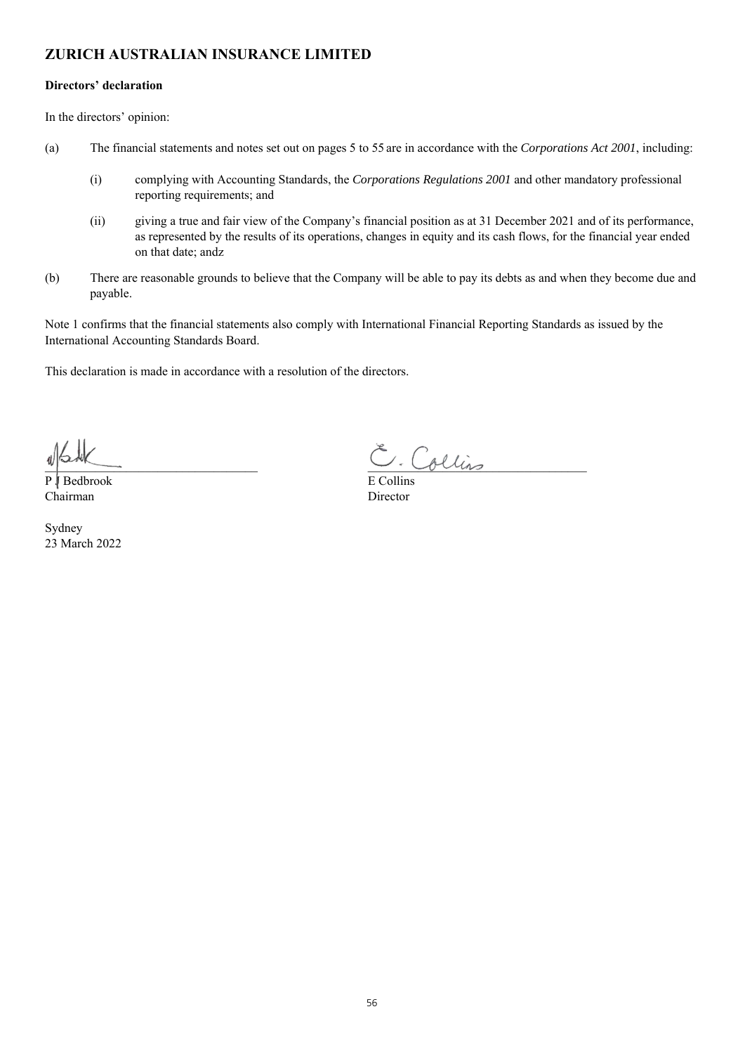#### **Directors' declaration**

In the directors' opinion:

- (a) The financial statements and notes set out on pages 5 to 55 are in accordance with the *Corporations Act 2001*, including:
	- (i) complying with Accounting Standards, the *Corporations Regulations 2001* and other mandatory professional reporting requirements; and
	- (ii) giving a true and fair view of the Company's financial position as at 31 December 2021 and of its performance, as represented by the results of its operations, changes in equity and its cash flows, for the financial year ended on that date; andz
- (b) There are reasonable grounds to believe that the Company will be able to pay its debts as and when they become due and payable.

Note 1 confirms that the financial statements also comply with International Financial Reporting Standards as issued by the International Accounting Standards Board.

This declaration is made in accordance with a resolution of the directors.

P J Bedbrook E Collins Chairman Director

Sydney 23 March 2022

 $C.\fbox{Collins}$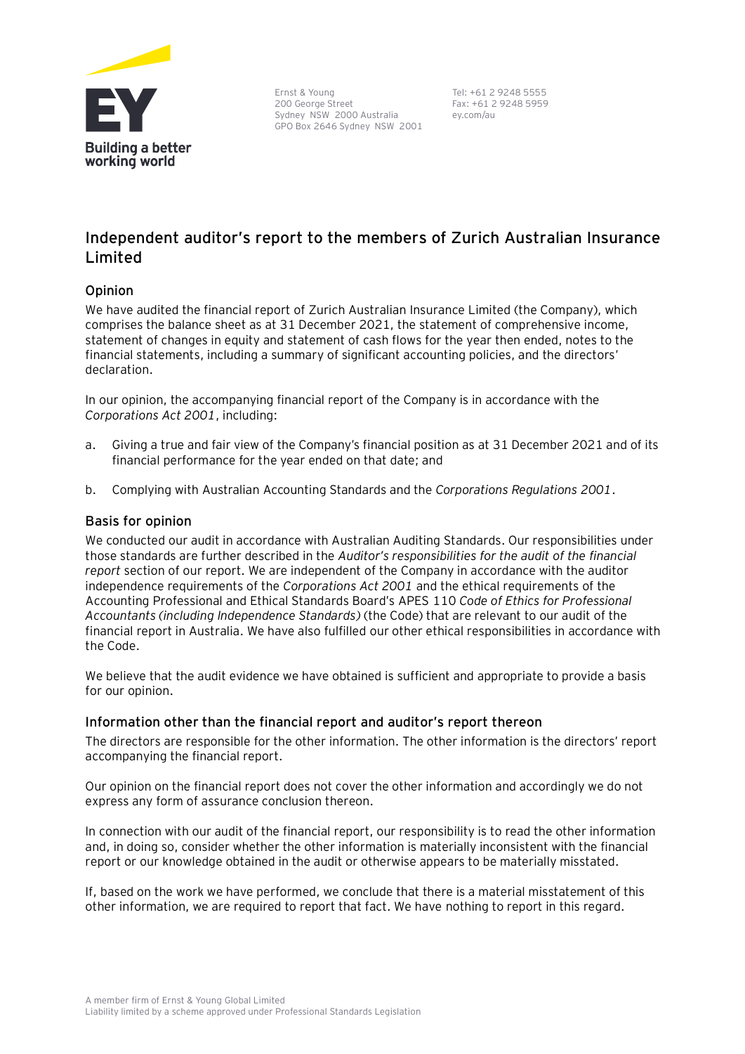

Ernst & Young 200 George Street Sydney NSW 2000 Australia GPO Box 2646 Sydney NSW 2001

Tel: +61 2 9248 5555 Fax: +61 2 9248 5959 ey.com/au

# **Independent auditor's report to the members of Zurich Australian Insurance Limited**

# **Opinion**

We have audited the financial report of Zurich Australian Insurance Limited (the Company), which comprises the balance sheet as at 31 December 2021, the statement of comprehensive income, statement of changes in equity and statement of cash flows for the year then ended, notes to the financial statements, including a summary of significant accounting policies, and the directors' declaration.

In our opinion, the accompanying financial report of the Company is in accordance with the *Corporations Act 2001*, including:

- a. Giving a true and fair view of the Company's financial position as at 31 December 2021 and of its financial performance for the year ended on that date; and
- b. Complying with Australian Accounting Standards and the *Corporations Regulations 2001*.

# **Basis for opinion**

We conducted our audit in accordance with Australian Auditing Standards. Our responsibilities under those standards are further described in the *Auditor's responsibilities for the audit of the financial report* section of our report. We are independent of the Company in accordance with the auditor independence requirements of the *Corporations Act 2001* and the ethical requirements of the Accounting Professional and Ethical Standards Board's APES 110 *Code of Ethics for Professional Accountants (including Independence Standards)* (the Code) that are relevant to our audit of the financial report in Australia. We have also fulfilled our other ethical responsibilities in accordance with the Code.

We believe that the audit evidence we have obtained is sufficient and appropriate to provide a basis for our opinion.

# **Information other than the financial report and auditor's report thereon**

The directors are responsible for the other information. The other information is the directors' report accompanying the financial report.

Our opinion on the financial report does not cover the other information and accordingly we do not express any form of assurance conclusion thereon.

In connection with our audit of the financial report, our responsibility is to read the other information and, in doing so, consider whether the other information is materially inconsistent with the financial report or our knowledge obtained in the audit or otherwise appears to be materially misstated.

If, based on the work we have performed, we conclude that there is a material misstatement of this other information, we are required to report that fact. We have nothing to report in this regard.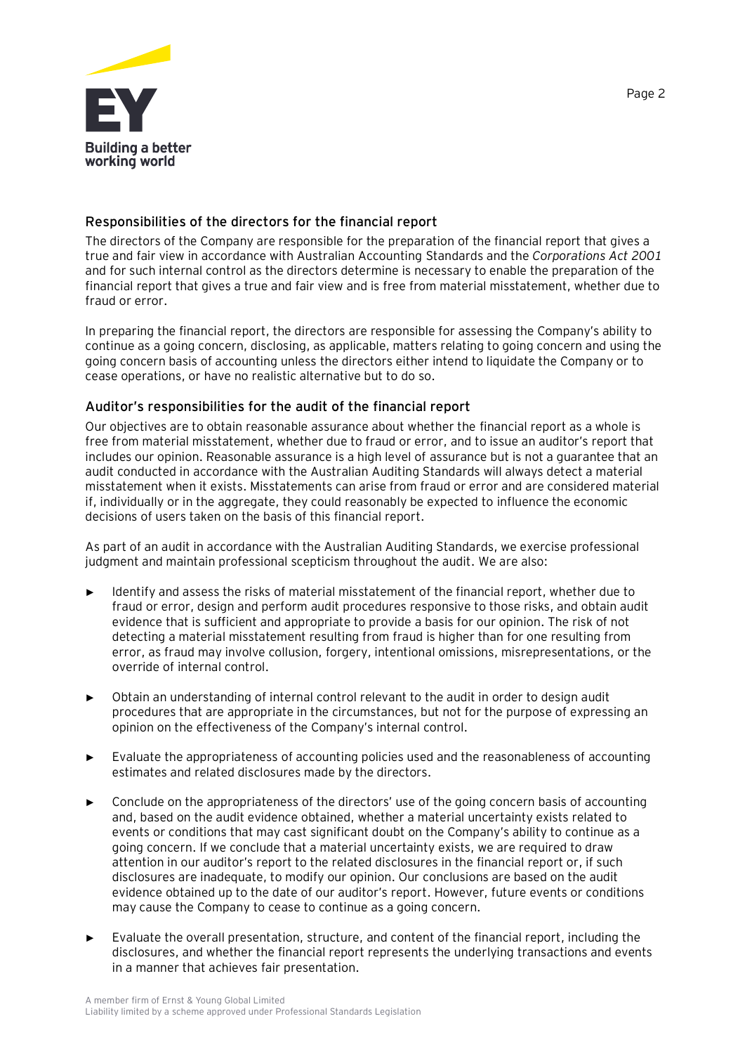

# **Responsibilities of the directors for the financial report**

The directors of the Company are responsible for the preparation of the financial report that gives a true and fair view in accordance with Australian Accounting Standards and the *Corporations Act 2001* and for such internal control as the directors determine is necessary to enable the preparation of the financial report that gives a true and fair view and is free from material misstatement, whether due to fraud or error.

In preparing the financial report, the directors are responsible for assessing the Company's ability to continue as a going concern, disclosing, as applicable, matters relating to going concern and using the going concern basis of accounting unless the directors either intend to liquidate the Company or to cease operations, or have no realistic alternative but to do so.

# **Auditor's responsibilities for the audit of the financial report**

Our objectives are to obtain reasonable assurance about whether the financial report as a whole is free from material misstatement, whether due to fraud or error, and to issue an auditor's report that includes our opinion. Reasonable assurance is a high level of assurance but is not a guarantee that an audit conducted in accordance with the Australian Auditing Standards will always detect a material misstatement when it exists. Misstatements can arise from fraud or error and are considered material if, individually or in the aggregate, they could reasonably be expected to influence the economic decisions of users taken on the basis of this financial report.

As part of an audit in accordance with the Australian Auditing Standards, we exercise professional judgment and maintain professional scepticism throughout the audit. We are also:

- Identify and assess the risks of material misstatement of the financial report, whether due to fraud or error, design and perform audit procedures responsive to those risks, and obtain audit evidence that is sufficient and appropriate to provide a basis for our opinion. The risk of not detecting a material misstatement resulting from fraud is higher than for one resulting from error, as fraud may involve collusion, forgery, intentional omissions, misrepresentations, or the override of internal control.
- ► Obtain an understanding of internal control relevant to the audit in order to design audit procedures that are appropriate in the circumstances, but not for the purpose of expressing an opinion on the effectiveness of the Company's internal control.
- Evaluate the appropriateness of accounting policies used and the reasonableness of accounting estimates and related disclosures made by the directors.
- Conclude on the appropriateness of the directors' use of the going concern basis of accounting and, based on the audit evidence obtained, whether a material uncertainty exists related to events or conditions that may cast significant doubt on the Company's ability to continue as a going concern. If we conclude that a material uncertainty exists, we are required to draw attention in our auditor's report to the related disclosures in the financial report or, if such disclosures are inadequate, to modify our opinion. Our conclusions are based on the audit evidence obtained up to the date of our auditor's report. However, future events or conditions may cause the Company to cease to continue as a going concern.
- ► Evaluate the overall presentation, structure, and content of the financial report, including the disclosures, and whether the financial report represents the underlying transactions and events in a manner that achieves fair presentation.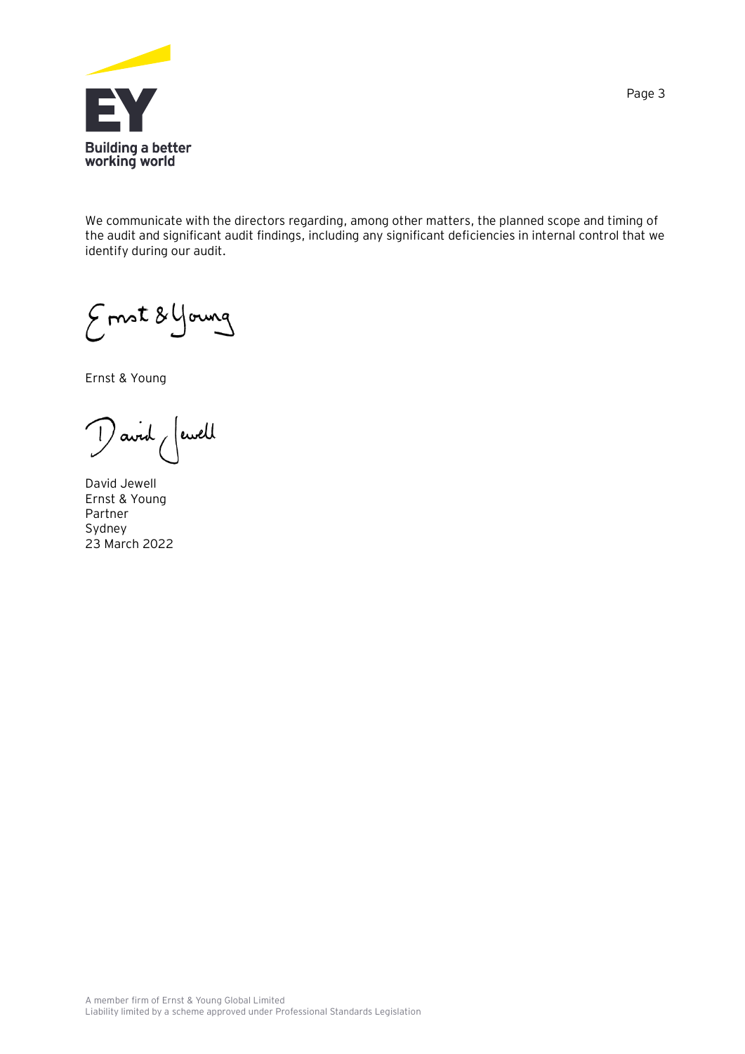

We communicate with the directors regarding, among other matters, the planned scope and timing of the audit and significant audit findings, including any significant deficiencies in internal control that we identify during our audit.

Emst & Young

Ernst & Young

David ( ewell

David Jewell Ernst & Young Partner Sydney 23 March 2022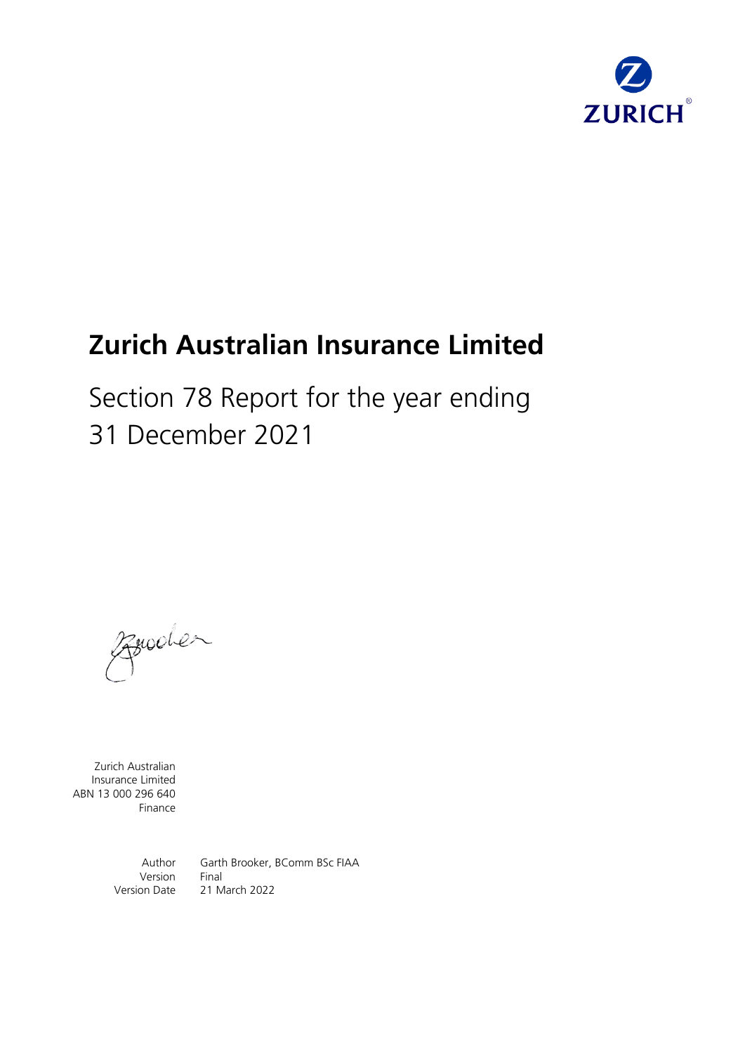

# <span id="page-61-0"></span>**Zurich Australian Insurance Limited**

Section 78 Report for the year ending 31 December 2021

Arocher

Zurich Australian Insurance Limited ABN 13 000 296 640 Finance

> Author Garth Brooker, BComm BSc FIAA<br>Version Final Version Version Date 21 March 2022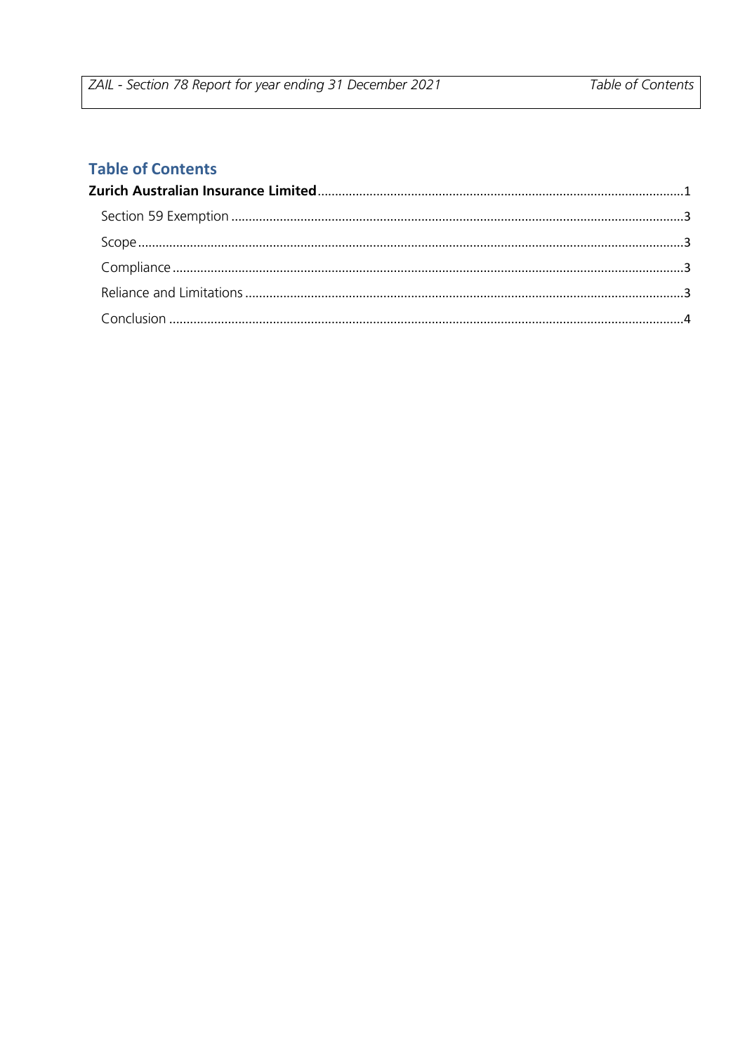# **Table of Contents**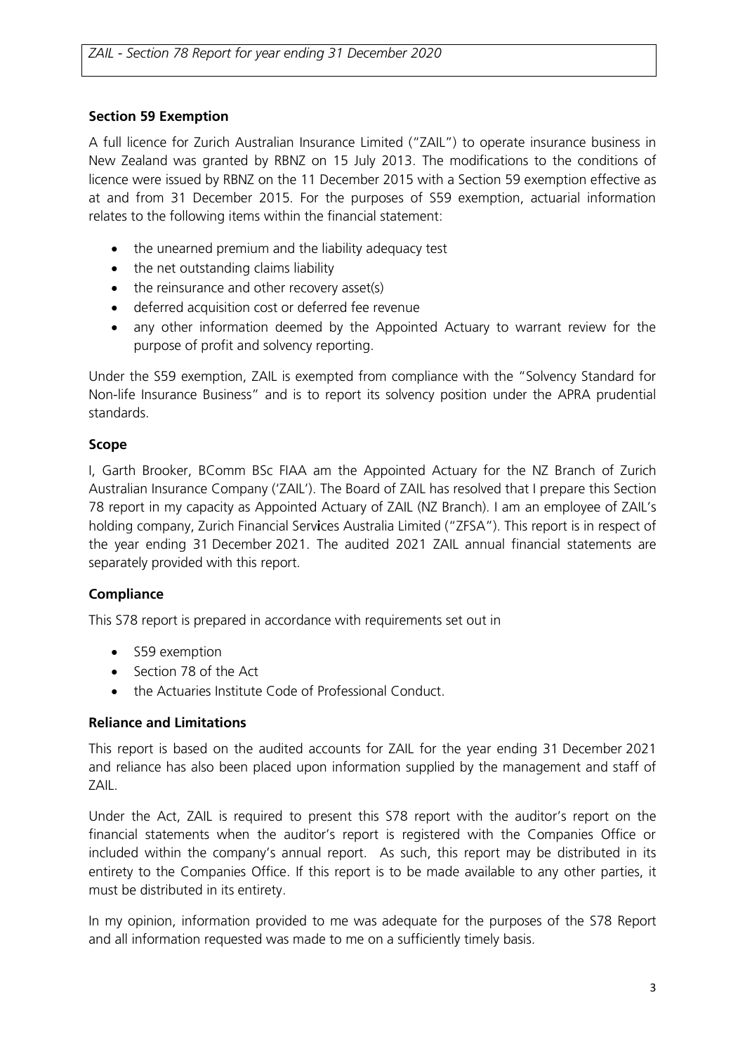# <span id="page-63-0"></span>**Section 59 Exemption**

A full licence for Zurich Australian Insurance Limited ("ZAIL") to operate insurance business in New Zealand was granted by RBNZ on 15 July 2013. The modifications to the conditions of licence were issued by RBNZ on the 11 December 2015 with a Section 59 exemption effective as at and from 31 December 2015. For the purposes of S59 exemption, actuarial information relates to the following items within the financial statement:

- the unearned premium and the liability adequacy test
- the net outstanding claims liability
- the reinsurance and other recovery asset(s)
- deferred acquisition cost or deferred fee revenue
- any other information deemed by the Appointed Actuary to warrant review for the purpose of profit and solvency reporting.

Under the S59 exemption, ZAIL is exempted from compliance with the "Solvency Standard for Non-life Insurance Business" and is to report its solvency position under the APRA prudential standards.

# <span id="page-63-1"></span>**Scope**

I, Garth Brooker, BComm BSc FIAA am the Appointed Actuary for the NZ Branch of Zurich Australian Insurance Company ('ZAIL'). The Board of ZAIL has resolved that I prepare this Section 78 report in my capacity as Appointed Actuary of ZAIL (NZ Branch). I am an employee of ZAIL's holding company, Zurich Financial Serv**i**ces Australia Limited ("ZFSA"). This report is in respect of the year ending 31 December 2021. The audited 2021 ZAIL annual financial statements are separately provided with this report.

# <span id="page-63-2"></span>**Compliance**

This S78 report is prepared in accordance with requirements set out in

- S59 exemption
- Section 78 of the Act
- the Actuaries Institute Code of Professional Conduct.

# <span id="page-63-3"></span>**Reliance and Limitations**

This report is based on the audited accounts for ZAIL for the year ending 31 December 2021 and reliance has also been placed upon information supplied by the management and staff of ZAIL.

Under the Act, ZAIL is required to present this S78 report with the auditor's report on the financial statements when the auditor's report is registered with the Companies Office or included within the company's annual report. As such, this report may be distributed in its entirety to the Companies Office. If this report is to be made available to any other parties, it must be distributed in its entirety.

In my opinion, information provided to me was adequate for the purposes of the S78 Report and all information requested was made to me on a sufficiently timely basis.